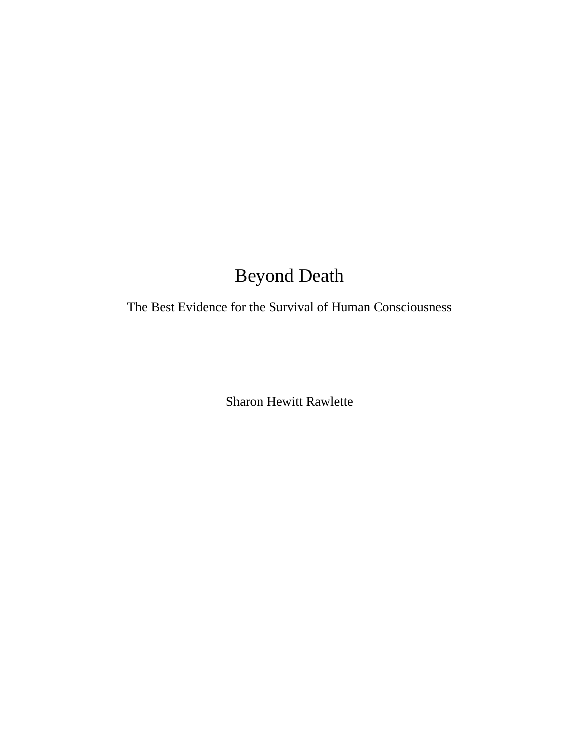# Beyond Death

The Best Evidence for the Survival of Human Consciousness

Sharon Hewitt Rawlette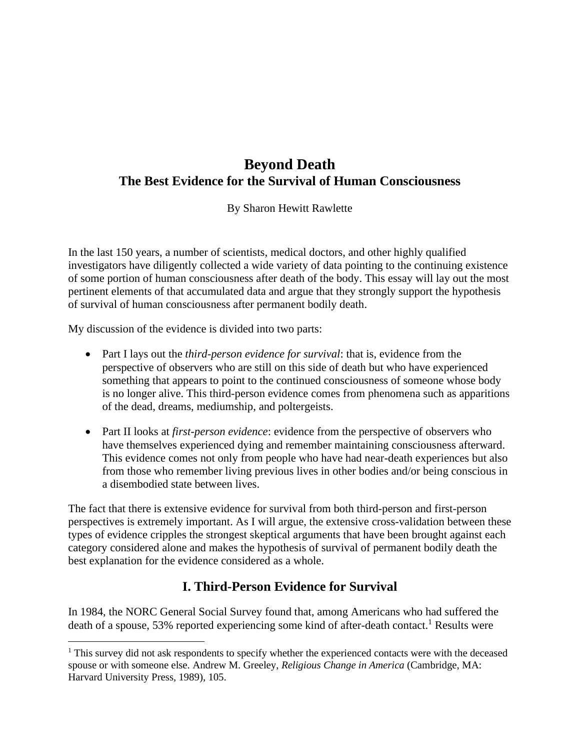# **Beyond Death The Best Evidence for the Survival of Human Consciousness**

By Sharon Hewitt Rawlette

In the last 150 years, a number of scientists, medical doctors, and other highly qualified investigators have diligently collected a wide variety of data pointing to the continuing existence of some portion of human consciousness after death of the body. This essay will lay out the most pertinent elements of that accumulated data and argue that they strongly support the hypothesis of survival of human consciousness after permanent bodily death.

My discussion of the evidence is divided into two parts:

- Part I lays out the *third-person evidence for survival*: that is, evidence from the perspective of observers who are still on this side of death but who have experienced something that appears to point to the continued consciousness of someone whose body is no longer alive. This third-person evidence comes from phenomena such as apparitions of the dead, dreams, mediumship, and poltergeists.
- Part II looks at *first-person evidence*: evidence from the perspective of observers who have themselves experienced dying and remember maintaining consciousness afterward. This evidence comes not only from people who have had near-death experiences but also from those who remember living previous lives in other bodies and/or being conscious in a disembodied state between lives.

The fact that there is extensive evidence for survival from both third-person and first-person perspectives is extremely important. As I will argue, the extensive cross-validation between these types of evidence cripples the strongest skeptical arguments that have been brought against each category considered alone and makes the hypothesis of survival of permanent bodily death the best explanation for the evidence considered as a whole.

# **I. Third-Person Evidence for Survival**

In 1984, the NORC General Social Survey found that, among Americans who had suffered the death of a spouse, 53% reported experiencing some kind of after-death contact.<sup>1</sup> Results were

<sup>&</sup>lt;sup>1</sup> This survey did not ask respondents to specify whether the experienced contacts were with the deceased spouse or with someone else. Andrew M. Greeley, *Religious Change in America* (Cambridge, MA: Harvard University Press, 1989), 105.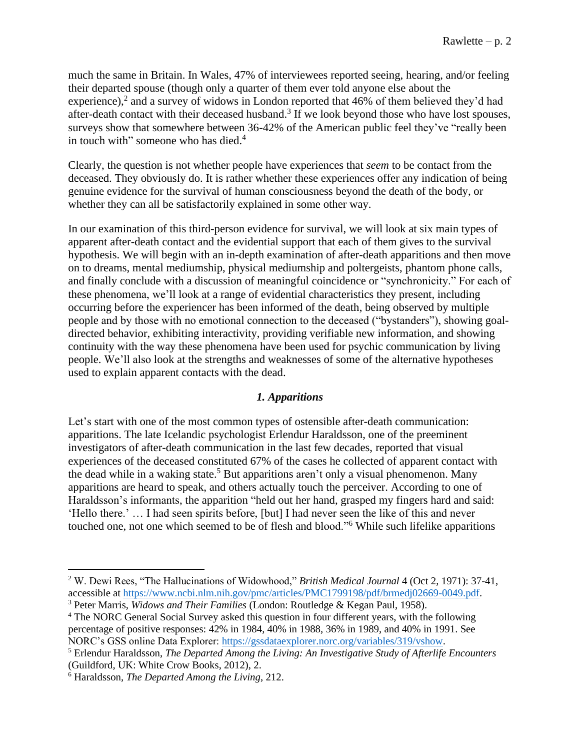much the same in Britain. In Wales, 47% of interviewees reported seeing, hearing, and/or feeling their departed spouse (though only a quarter of them ever told anyone else about the experience),<sup>2</sup> and a survey of widows in London reported that 46% of them believed they'd had after-death contact with their deceased husband.<sup>3</sup> If we look beyond those who have lost spouses, surveys show that somewhere between 36-42% of the American public feel they've "really been in touch with" someone who has died.<sup>4</sup>

Clearly, the question is not whether people have experiences that *seem* to be contact from the deceased. They obviously do. It is rather whether these experiences offer any indication of being genuine evidence for the survival of human consciousness beyond the death of the body, or whether they can all be satisfactorily explained in some other way.

In our examination of this third-person evidence for survival, we will look at six main types of apparent after-death contact and the evidential support that each of them gives to the survival hypothesis. We will begin with an in-depth examination of after-death apparitions and then move on to dreams, mental mediumship, physical mediumship and poltergeists, phantom phone calls, and finally conclude with a discussion of meaningful coincidence or "synchronicity." For each of these phenomena, we'll look at a range of evidential characteristics they present, including occurring before the experiencer has been informed of the death, being observed by multiple people and by those with no emotional connection to the deceased ("bystanders"), showing goaldirected behavior, exhibiting interactivity, providing verifiable new information, and showing continuity with the way these phenomena have been used for psychic communication by living people. We'll also look at the strengths and weaknesses of some of the alternative hypotheses used to explain apparent contacts with the dead.

#### *1. Apparitions*

Let's start with one of the most common types of ostensible after-death communication: apparitions. The late Icelandic psychologist Erlendur Haraldsson, one of the preeminent investigators of after-death communication in the last few decades, reported that visual experiences of the deceased constituted 67% of the cases he collected of apparent contact with the dead while in a waking state.<sup>5</sup> But apparitions aren't only a visual phenomenon. Many apparitions are heard to speak, and others actually touch the perceiver. According to one of Haraldsson's informants, the apparition "held out her hand, grasped my fingers hard and said: 'Hello there.' … I had seen spirits before, [but] I had never seen the like of this and never touched one, not one which seemed to be of flesh and blood."<sup>6</sup> While such lifelike apparitions

<sup>2</sup> W. Dewi Rees, "The Hallucinations of Widowhood," *British Medical Journal* 4 (Oct 2, 1971): 37-41, accessible at [https://www.ncbi.nlm.nih.gov/pmc/articles/PMC1799198/pdf/brmedj02669-0049.pdf.](https://www.ncbi.nlm.nih.gov/pmc/articles/PMC1799198/pdf/brmedj02669-0049.pdf)

<sup>3</sup> Peter Marris, *Widows and Their Families* (London: Routledge & Kegan Paul, 1958).

<sup>&</sup>lt;sup>4</sup> The NORC General Social Survey asked this question in four different years, with the following percentage of positive responses: 42% in 1984, 40% in 1988, 36% in 1989, and 40% in 1991. See NORC's GSS online Data Explorer: [https://gssdataexplorer.norc.org/variables/319/vshow.](https://gssdataexplorer.norc.org/variables/319/vshow)

<sup>5</sup> Erlendur Haraldsson, *The Departed Among the Living: An Investigative Study of Afterlife Encounters* (Guildford, UK: White Crow Books, 2012), 2.

<sup>6</sup> Haraldsson, *The Departed Among the Living*, 212.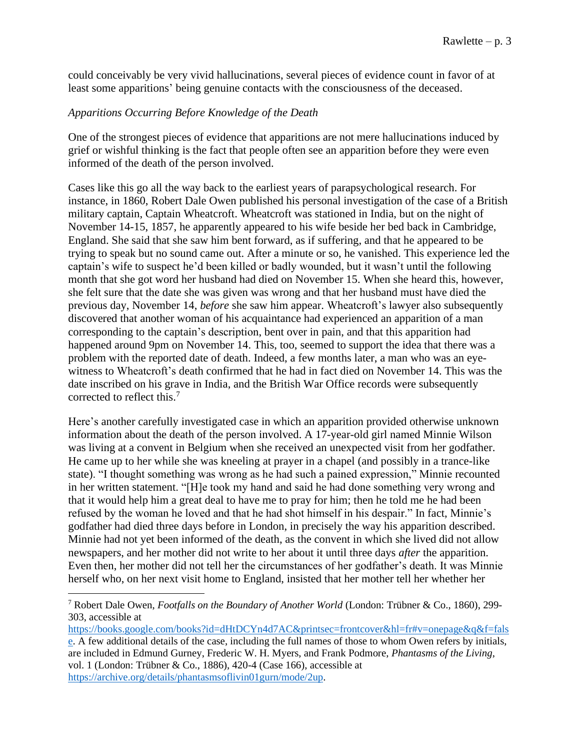could conceivably be very vivid hallucinations, several pieces of evidence count in favor of at least some apparitions' being genuine contacts with the consciousness of the deceased.

## *Apparitions Occurring Before Knowledge of the Death*

One of the strongest pieces of evidence that apparitions are not mere hallucinations induced by grief or wishful thinking is the fact that people often see an apparition before they were even informed of the death of the person involved.

Cases like this go all the way back to the earliest years of parapsychological research. For instance, in 1860, Robert Dale Owen published his personal investigation of the case of a British military captain, Captain Wheatcroft. Wheatcroft was stationed in India, but on the night of November 14-15, 1857, he apparently appeared to his wife beside her bed back in Cambridge, England. She said that she saw him bent forward, as if suffering, and that he appeared to be trying to speak but no sound came out. After a minute or so, he vanished. This experience led the captain's wife to suspect he'd been killed or badly wounded, but it wasn't until the following month that she got word her husband had died on November 15. When she heard this, however, she felt sure that the date she was given was wrong and that her husband must have died the previous day, November 14, *before* she saw him appear. Wheatcroft's lawyer also subsequently discovered that another woman of his acquaintance had experienced an apparition of a man corresponding to the captain's description, bent over in pain, and that this apparition had happened around 9pm on November 14. This, too, seemed to support the idea that there was a problem with the reported date of death. Indeed, a few months later, a man who was an eyewitness to Wheatcroft's death confirmed that he had in fact died on November 14. This was the date inscribed on his grave in India, and the British War Office records were subsequently corrected to reflect this. 7

Here's another carefully investigated case in which an apparition provided otherwise unknown information about the death of the person involved. A 17-year-old girl named Minnie Wilson was living at a convent in Belgium when she received an unexpected visit from her godfather. He came up to her while she was kneeling at prayer in a chapel (and possibly in a trance-like state). "I thought something was wrong as he had such a pained expression," Minnie recounted in her written statement. "[H]e took my hand and said he had done something very wrong and that it would help him a great deal to have me to pray for him; then he told me he had been refused by the woman he loved and that he had shot himself in his despair." In fact, Minnie's godfather had died three days before in London, in precisely the way his apparition described. Minnie had not yet been informed of the death, as the convent in which she lived did not allow newspapers, and her mother did not write to her about it until three days *after* the apparition. Even then, her mother did not tell her the circumstances of her godfather's death. It was Minnie herself who, on her next visit home to England, insisted that her mother tell her whether her

<sup>7</sup> Robert Dale Owen, *Footfalls on the Boundary of Another World* (London: Trübner & Co., 1860), 299- 303, accessible at

[https://books.google.com/books?id=dHtDCYn4d7AC&printsec=frontcover&hl=fr#v=onepage&q&f=fals](https://books.google.com/books?id=dHtDCYn4d7AC&printsec=frontcover&hl=fr#v=onepage&q&f=false) [e.](https://books.google.com/books?id=dHtDCYn4d7AC&printsec=frontcover&hl=fr#v=onepage&q&f=false) A few additional details of the case, including the full names of those to whom Owen refers by initials, are included in Edmund Gurney, Frederic W. H. Myers, and Frank Podmore, *Phantasms of the Living*, vol. 1 (London: Trübner & Co., 1886), 420-4 (Case 166), accessible at [https://archive.org/details/phantasmsoflivin01gurn/mode/2up.](https://archive.org/details/phantasmsoflivin01gurn/mode/2up)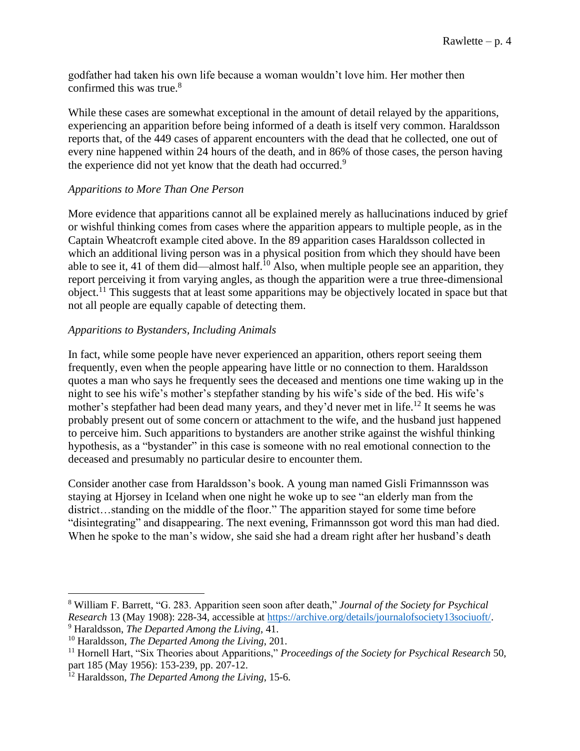godfather had taken his own life because a woman wouldn't love him. Her mother then confirmed this was true. 8

While these cases are somewhat exceptional in the amount of detail relayed by the apparitions, experiencing an apparition before being informed of a death is itself very common. Haraldsson reports that, of the 449 cases of apparent encounters with the dead that he collected, one out of every nine happened within 24 hours of the death, and in 86% of those cases, the person having the experience did not yet know that the death had occurred.<sup>9</sup>

## *Apparitions to More Than One Person*

More evidence that apparitions cannot all be explained merely as hallucinations induced by grief or wishful thinking comes from cases where the apparition appears to multiple people, as in the Captain Wheatcroft example cited above. In the 89 apparition cases Haraldsson collected in which an additional living person was in a physical position from which they should have been able to see it, 41 of them did—almost half.<sup>10</sup> Also, when multiple people see an apparition, they report perceiving it from varying angles, as though the apparition were a true three-dimensional object.<sup>11</sup> This suggests that at least some apparitions may be objectively located in space but that not all people are equally capable of detecting them.

## *Apparitions to Bystanders, Including Animals*

In fact, while some people have never experienced an apparition, others report seeing them frequently, even when the people appearing have little or no connection to them. Haraldsson quotes a man who says he frequently sees the deceased and mentions one time waking up in the night to see his wife's mother's stepfather standing by his wife's side of the bed. His wife's mother's stepfather had been dead many years, and they'd never met in life.<sup>12</sup> It seems he was probably present out of some concern or attachment to the wife, and the husband just happened to perceive him. Such apparitions to bystanders are another strike against the wishful thinking hypothesis, as a "bystander" in this case is someone with no real emotional connection to the deceased and presumably no particular desire to encounter them.

Consider another case from Haraldsson's book. A young man named Gisli Frimannsson was staying at Hjorsey in Iceland when one night he woke up to see "an elderly man from the district…standing on the middle of the floor." The apparition stayed for some time before "disintegrating" and disappearing. The next evening, Frimannsson got word this man had died. When he spoke to the man's widow, she said she had a dream right after her husband's death

<sup>8</sup> William F. Barrett, "G. 283. Apparition seen soon after death," *Journal of the Society for Psychical Research* 13 (May 1908): 228-34, accessible at [https://archive.org/details/journalofsociety13sociuoft/.](https://archive.org/details/journalofsociety13sociuoft/) <sup>9</sup> Haraldsson, *The Departed Among the Living*, 41.

<sup>10</sup> Haraldsson, *The Departed Among the Living*, 201.

<sup>11</sup> Hornell Hart, "Six Theories about Apparitions," *Proceedings of the Society for Psychical Research* 50, part 185 (May 1956): 153-239, pp. 207-12.

<sup>12</sup> Haraldsson, *The Departed Among the Living*, 15-6.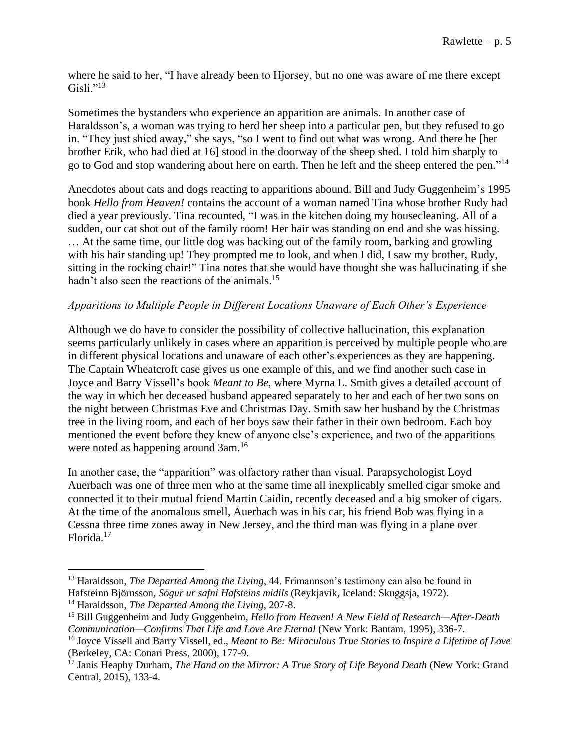where he said to her, "I have already been to Hjorsey, but no one was aware of me there except Gisli." $^{13}$ 

Sometimes the bystanders who experience an apparition are animals. In another case of Haraldsson's, a woman was trying to herd her sheep into a particular pen, but they refused to go in. "They just shied away," she says, "so I went to find out what was wrong. And there he [her brother Erik, who had died at 16] stood in the doorway of the sheep shed. I told him sharply to go to God and stop wandering about here on earth. Then he left and the sheep entered the pen."<sup>14</sup>

Anecdotes about cats and dogs reacting to apparitions abound. Bill and Judy Guggenheim's 1995 book *Hello from Heaven!* contains the account of a woman named Tina whose brother Rudy had died a year previously. Tina recounted, "I was in the kitchen doing my housecleaning. All of a sudden, our cat shot out of the family room! Her hair was standing on end and she was hissing. … At the same time, our little dog was backing out of the family room, barking and growling with his hair standing up! They prompted me to look, and when I did, I saw my brother, Rudy, sitting in the rocking chair!" Tina notes that she would have thought she was hallucinating if she hadn't also seen the reactions of the animals.<sup>15</sup>

## *Apparitions to Multiple People in Different Locations Unaware of Each Other's Experience*

Although we do have to consider the possibility of collective hallucination, this explanation seems particularly unlikely in cases where an apparition is perceived by multiple people who are in different physical locations and unaware of each other's experiences as they are happening. The Captain Wheatcroft case gives us one example of this, and we find another such case in Joyce and Barry Vissell's book *Meant to Be*, where Myrna L. Smith gives a detailed account of the way in which her deceased husband appeared separately to her and each of her two sons on the night between Christmas Eve and Christmas Day. Smith saw her husband by the Christmas tree in the living room, and each of her boys saw their father in their own bedroom. Each boy mentioned the event before they knew of anyone else's experience, and two of the apparitions were noted as happening around 3am.<sup>16</sup>

In another case, the "apparition" was olfactory rather than visual. Parapsychologist Loyd Auerbach was one of three men who at the same time all inexplicably smelled cigar smoke and connected it to their mutual friend Martin Caidin, recently deceased and a big smoker of cigars. At the time of the anomalous smell, Auerbach was in his car, his friend Bob was flying in a Cessna three time zones away in New Jersey, and the third man was flying in a plane over Florida.<sup>17</sup>

<sup>&</sup>lt;sup>13</sup> Haraldsson, *The Departed Among the Living*, 44. Frimannson's testimony can also be found in Hafsteinn Björnsson, *Sögur ur safni Hafsteins midils* (Reykjavik, Iceland: Skuggsja, 1972).

<sup>14</sup> Haraldsson, *The Departed Among the Living*, 207-8.

<sup>15</sup> Bill Guggenheim and Judy Guggenheim, *Hello from Heaven! A New Field of Research—After-Death Communication—Confirms That Life and Love Are Eternal* (New York: Bantam, 1995), 336-7.

<sup>16</sup> Joyce Vissell and Barry Vissell, ed., *Meant to Be: Miraculous True Stories to Inspire a Lifetime of Love* (Berkeley, CA: Conari Press, 2000), 177-9.

<sup>17</sup> Janis Heaphy Durham, *The Hand on the Mirror: A True Story of Life Beyond Death* (New York: Grand Central, 2015), 133-4.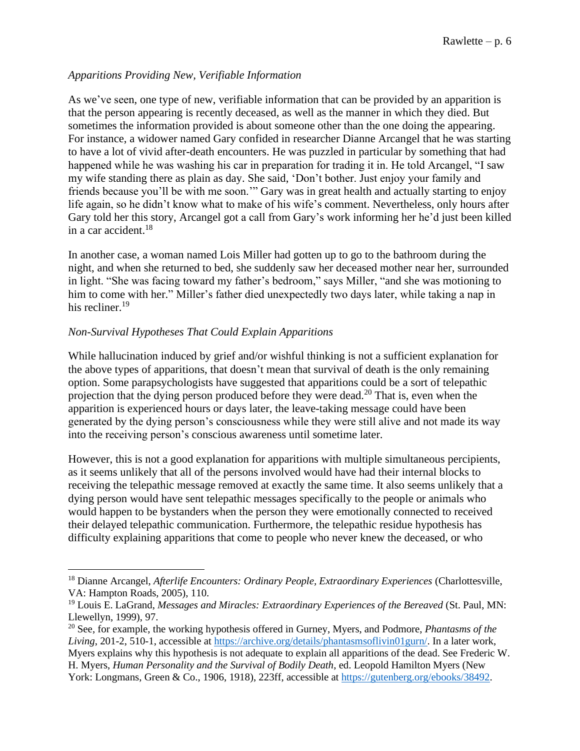## *Apparitions Providing New, Verifiable Information*

As we've seen, one type of new, verifiable information that can be provided by an apparition is that the person appearing is recently deceased, as well as the manner in which they died. But sometimes the information provided is about someone other than the one doing the appearing. For instance, a widower named Gary confided in researcher Dianne Arcangel that he was starting to have a lot of vivid after-death encounters. He was puzzled in particular by something that had happened while he was washing his car in preparation for trading it in. He told Arcangel, "I saw my wife standing there as plain as day. She said, 'Don't bother. Just enjoy your family and friends because you'll be with me soon.'" Gary was in great health and actually starting to enjoy life again, so he didn't know what to make of his wife's comment. Nevertheless, only hours after Gary told her this story, Arcangel got a call from Gary's work informing her he'd just been killed in a car accident. 18

In another case, a woman named Lois Miller had gotten up to go to the bathroom during the night, and when she returned to bed, she suddenly saw her deceased mother near her, surrounded in light. "She was facing toward my father's bedroom," says Miller, "and she was motioning to him to come with her." Miller's father died unexpectedly two days later, while taking a nap in his recliner.<sup>19</sup>

## *Non-Survival Hypotheses That Could Explain Apparitions*

While hallucination induced by grief and/or wishful thinking is not a sufficient explanation for the above types of apparitions, that doesn't mean that survival of death is the only remaining option. Some parapsychologists have suggested that apparitions could be a sort of telepathic projection that the dying person produced before they were dead.<sup>20</sup> That is, even when the apparition is experienced hours or days later, the leave-taking message could have been generated by the dying person's consciousness while they were still alive and not made its way into the receiving person's conscious awareness until sometime later.

However, this is not a good explanation for apparitions with multiple simultaneous percipients, as it seems unlikely that all of the persons involved would have had their internal blocks to receiving the telepathic message removed at exactly the same time. It also seems unlikely that a dying person would have sent telepathic messages specifically to the people or animals who would happen to be bystanders when the person they were emotionally connected to received their delayed telepathic communication. Furthermore, the telepathic residue hypothesis has difficulty explaining apparitions that come to people who never knew the deceased, or who

<sup>18</sup> Dianne Arcangel, *Afterlife Encounters: Ordinary People, Extraordinary Experiences* (Charlottesville, VA: Hampton Roads, 2005), 110.

<sup>19</sup> Louis E. LaGrand, *Messages and Miracles: Extraordinary Experiences of the Bereaved* (St. Paul, MN: Llewellyn, 1999), 97.

<sup>20</sup> See, for example, the working hypothesis offered in Gurney, Myers, and Podmore, *Phantasms of the Living*, 201-2, 510-1, accessible at [https://archive.org/details/phantasmsoflivin01gurn/.](https://archive.org/details/phantasmsoflivin01gurn/) In a later work, Myers explains why this hypothesis is not adequate to explain all apparitions of the dead. See Frederic W. H. Myers, *Human Personality and the Survival of Bodily Death*, ed. Leopold Hamilton Myers (New York: Longmans, Green & Co., 1906, 1918), 223ff, accessible at [https://gutenberg.org/ebooks/38492.](https://gutenberg.org/ebooks/38492)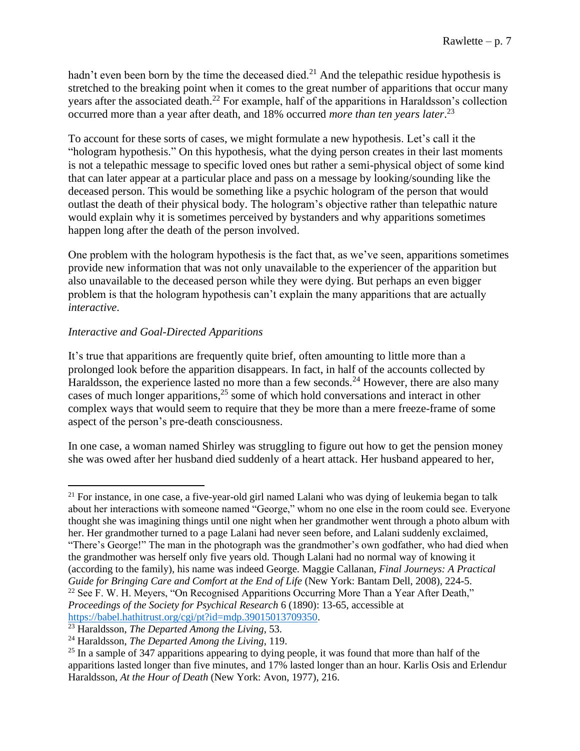hadn't even been born by the time the deceased died.<sup>21</sup> And the telepathic residue hypothesis is stretched to the breaking point when it comes to the great number of apparitions that occur many years after the associated death.<sup>22</sup> For example, half of the apparitions in Haraldsson's collection occurred more than a year after death, and 18% occurred *more than ten years later*. 23

To account for these sorts of cases, we might formulate a new hypothesis. Let's call it the "hologram hypothesis." On this hypothesis, what the dying person creates in their last moments is not a telepathic message to specific loved ones but rather a semi-physical object of some kind that can later appear at a particular place and pass on a message by looking/sounding like the deceased person. This would be something like a psychic hologram of the person that would outlast the death of their physical body. The hologram's objective rather than telepathic nature would explain why it is sometimes perceived by bystanders and why apparitions sometimes happen long after the death of the person involved.

One problem with the hologram hypothesis is the fact that, as we've seen, apparitions sometimes provide new information that was not only unavailable to the experiencer of the apparition but also unavailable to the deceased person while they were dying. But perhaps an even bigger problem is that the hologram hypothesis can't explain the many apparitions that are actually *interactive*.

## *Interactive and Goal-Directed Apparitions*

It's true that apparitions are frequently quite brief, often amounting to little more than a prolonged look before the apparition disappears. In fact, in half of the accounts collected by Haraldsson, the experience lasted no more than a few seconds.<sup>24</sup> However, there are also many cases of much longer apparitions,  $25$  some of which hold conversations and interact in other complex ways that would seem to require that they be more than a mere freeze-frame of some aspect of the person's pre-death consciousness.

In one case, a woman named Shirley was struggling to figure out how to get the pension money she was owed after her husband died suddenly of a heart attack. Her husband appeared to her,

 $21$  For instance, in one case, a five-year-old girl named Lalani who was dying of leukemia began to talk about her interactions with someone named "George," whom no one else in the room could see. Everyone thought she was imagining things until one night when her grandmother went through a photo album with her. Her grandmother turned to a page Lalani had never seen before, and Lalani suddenly exclaimed, "There's George!" The man in the photograph was the grandmother's own godfather, who had died when the grandmother was herself only five years old. Though Lalani had no normal way of knowing it (according to the family), his name was indeed George. Maggie Callanan, *Final Journeys: A Practical Guide for Bringing Care and Comfort at the End of Life* (New York: Bantam Dell, 2008), 224-5.  $22$  See F. W. H. Meyers, "On Recognised Apparitions Occurring More Than a Year After Death," *Proceedings of the Society for Psychical Research* 6 (1890): 13-65, accessible at [https://babel.hathitrust.org/cgi/pt?id=mdp.39015013709350.](https://babel.hathitrust.org/cgi/pt?id=mdp.39015013709350)

<sup>23</sup> Haraldsson, *The Departed Among the Living*, 53.

<sup>24</sup> Haraldsson, *The Departed Among the Living*, 119.

<sup>&</sup>lt;sup>25</sup> In a sample of 347 apparitions appearing to dying people, it was found that more than half of the apparitions lasted longer than five minutes, and 17% lasted longer than an hour. Karlis Osis and Erlendur Haraldsson, *At the Hour of Death* (New York: Avon, 1977), 216.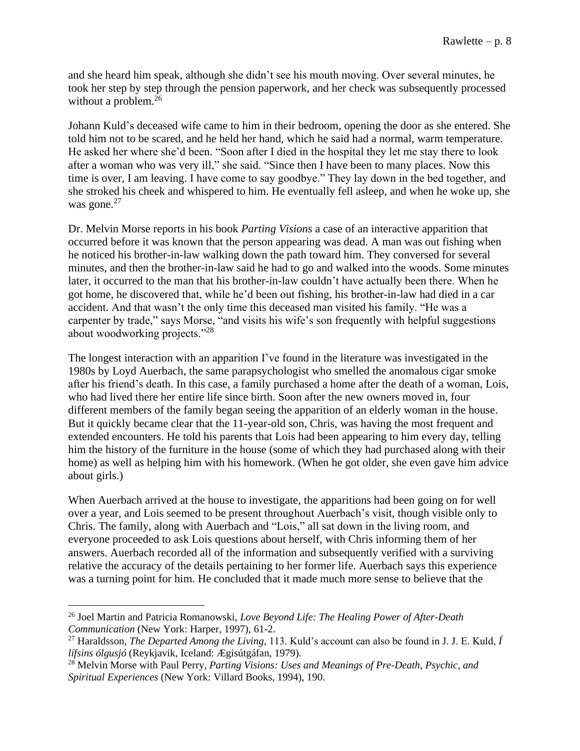and she heard him speak, although she didn't see his mouth moving. Over several minutes, he took her step by step through the pension paperwork, and her check was subsequently processed without a problem.<sup>26</sup>

Johann Kuld's deceased wife came to him in their bedroom, opening the door as she entered. She told him not to be scared, and he held her hand, which he said had a normal, warm temperature. He asked her where she'd been. "Soon after I died in the hospital they let me stay there to look after a woman who was very ill," she said. "Since then I have been to many places. Now this time is over, I am leaving. I have come to say goodbye." They lay down in the bed together, and she stroked his cheek and whispered to him. He eventually fell asleep, and when he woke up, she was gone. $27$ 

Dr. Melvin Morse reports in his book *Parting Visions* a case of an interactive apparition that occurred before it was known that the person appearing was dead. A man was out fishing when he noticed his brother-in-law walking down the path toward him. They conversed for several minutes, and then the brother-in-law said he had to go and walked into the woods. Some minutes later, it occurred to the man that his brother-in-law couldn't have actually been there. When he got home, he discovered that, while he'd been out fishing, his brother-in-law had died in a car accident. And that wasn't the only time this deceased man visited his family. "He was a carpenter by trade," says Morse, "and visits his wife's son frequently with helpful suggestions about woodworking projects."<sup>28</sup>

The longest interaction with an apparition I've found in the literature was investigated in the 1980s by Loyd Auerbach, the same parapsychologist who smelled the anomalous cigar smoke after his friend's death. In this case, a family purchased a home after the death of a woman, Lois, who had lived there her entire life since birth. Soon after the new owners moved in, four different members of the family began seeing the apparition of an elderly woman in the house. But it quickly became clear that the 11-year-old son, Chris, was having the most frequent and extended encounters. He told his parents that Lois had been appearing to him every day, telling him the history of the furniture in the house (some of which they had purchased along with their home) as well as helping him with his homework. (When he got older, she even gave him advice about girls.)

When Auerbach arrived at the house to investigate, the apparitions had been going on for well over a year, and Lois seemed to be present throughout Auerbach's visit, though visible only to Chris. The family, along with Auerbach and "Lois," all sat down in the living room, and everyone proceeded to ask Lois questions about herself, with Chris informing them of her answers. Auerbach recorded all of the information and subsequently verified with a surviving relative the accuracy of the details pertaining to her former life. Auerbach says this experience was a turning point for him. He concluded that it made much more sense to believe that the

<sup>26</sup> Joel Martin and Patricia Romanowski, *Love Beyond Life: The Healing Power of After-Death Communication* (New York: Harper, 1997), 61-2.

<sup>27</sup> Haraldsson, *The Departed Among the Living*, 113. Kuld's account can also be found in J. J. E. Kuld, *Í lífsins ólgusjó* (Reykjavik, Iceland: Ægisútgáfan, 1979).

<sup>28</sup> Melvin Morse with Paul Perry, *Parting Visions: Uses and Meanings of Pre-Death, Psychic, and Spiritual Experiences* (New York: Villard Books, 1994), 190.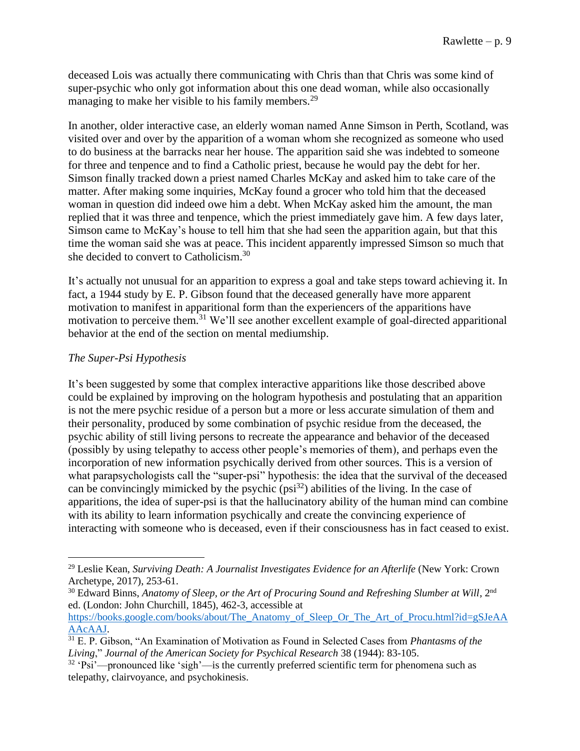deceased Lois was actually there communicating with Chris than that Chris was some kind of super-psychic who only got information about this one dead woman, while also occasionally managing to make her visible to his family members.<sup>29</sup>

In another, older interactive case, an elderly woman named Anne Simson in Perth, Scotland, was visited over and over by the apparition of a woman whom she recognized as someone who used to do business at the barracks near her house. The apparition said she was indebted to someone for three and tenpence and to find a Catholic priest, because he would pay the debt for her. Simson finally tracked down a priest named Charles McKay and asked him to take care of the matter. After making some inquiries, McKay found a grocer who told him that the deceased woman in question did indeed owe him a debt. When McKay asked him the amount, the man replied that it was three and tenpence, which the priest immediately gave him. A few days later, Simson came to McKay's house to tell him that she had seen the apparition again, but that this time the woman said she was at peace. This incident apparently impressed Simson so much that she decided to convert to Catholicism.<sup>30</sup>

It's actually not unusual for an apparition to express a goal and take steps toward achieving it. In fact, a 1944 study by E. P. Gibson found that the deceased generally have more apparent motivation to manifest in apparitional form than the experiencers of the apparitions have motivation to perceive them.<sup>31</sup> We'll see another excellent example of goal-directed apparitional behavior at the end of the section on mental mediumship.

## *The Super-Psi Hypothesis*

It's been suggested by some that complex interactive apparitions like those described above could be explained by improving on the hologram hypothesis and postulating that an apparition is not the mere psychic residue of a person but a more or less accurate simulation of them and their personality, produced by some combination of psychic residue from the deceased, the psychic ability of still living persons to recreate the appearance and behavior of the deceased (possibly by using telepathy to access other people's memories of them), and perhaps even the incorporation of new information psychically derived from other sources. This is a version of what parapsychologists call the "super-psi" hypothesis: the idea that the survival of the deceased can be convincingly mimicked by the psychic  $(psi^{32})$  abilities of the living. In the case of apparitions, the idea of super-psi is that the hallucinatory ability of the human mind can combine with its ability to learn information psychically and create the convincing experience of interacting with someone who is deceased, even if their consciousness has in fact ceased to exist.

[https://books.google.com/books/about/The\\_Anatomy\\_of\\_Sleep\\_Or\\_The\\_Art\\_of\\_Procu.html?id=gSJeAA](https://books.google.com/books/about/The_Anatomy_of_Sleep_Or_The_Art_of_Procu.html?id=gSJeAAAAcAAJ) [AAcAAJ.](https://books.google.com/books/about/The_Anatomy_of_Sleep_Or_The_Art_of_Procu.html?id=gSJeAAAAcAAJ)

<sup>29</sup> Leslie Kean, *Surviving Death: A Journalist Investigates Evidence for an Afterlife* (New York: Crown Archetype, 2017), 253-61.

<sup>&</sup>lt;sup>30</sup> Edward Binns, *Anatomy of Sleep, or the Art of Procuring Sound and Refreshing Slumber at Will*, 2<sup>nd</sup> ed. (London: John Churchill, 1845), 462-3, accessible at

<sup>31</sup> E. P. Gibson, "An Examination of Motivation as Found in Selected Cases from *Phantasms of the Living*," *Journal of the American Society for Psychical Research* 38 (1944): 83-105.

 $32 \text{ 'Psi}$  -pronounced like 'sigh'—is the currently preferred scientific term for phenomena such as telepathy, clairvoyance, and psychokinesis.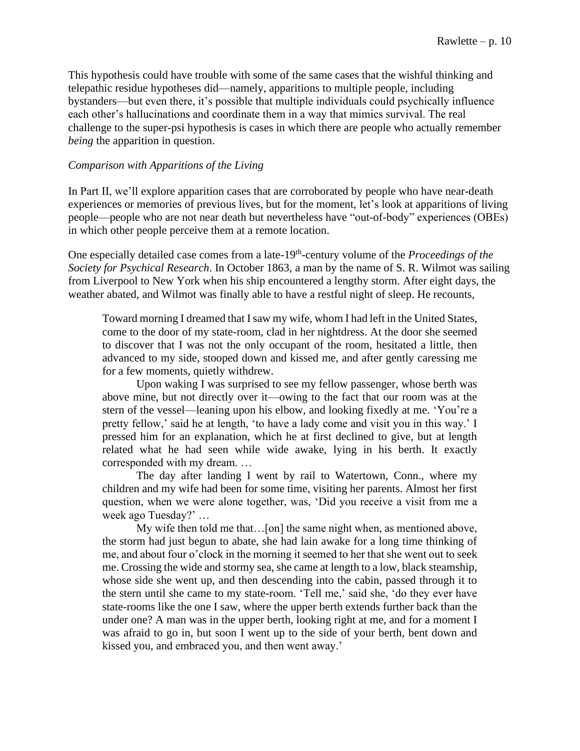This hypothesis could have trouble with some of the same cases that the wishful thinking and telepathic residue hypotheses did—namely, apparitions to multiple people, including bystanders—but even there, it's possible that multiple individuals could psychically influence each other's hallucinations and coordinate them in a way that mimics survival. The real challenge to the super-psi hypothesis is cases in which there are people who actually remember *being* the apparition in question.

#### *Comparison with Apparitions of the Living*

In Part II, we'll explore apparition cases that are corroborated by people who have near-death experiences or memories of previous lives, but for the moment, let's look at apparitions of living people—people who are not near death but nevertheless have "out-of-body" experiences (OBEs) in which other people perceive them at a remote location.

One especially detailed case comes from a late-19<sup>th</sup>-century volume of the *Proceedings of the Society for Psychical Research*. In October 1863, a man by the name of S. R. Wilmot was sailing from Liverpool to New York when his ship encountered a lengthy storm. After eight days, the weather abated, and Wilmot was finally able to have a restful night of sleep. He recounts,

Toward morning I dreamed that I saw my wife, whom I had left in the United States, come to the door of my state-room, clad in her nightdress. At the door she seemed to discover that I was not the only occupant of the room, hesitated a little, then advanced to my side, stooped down and kissed me, and after gently caressing me for a few moments, quietly withdrew.

Upon waking I was surprised to see my fellow passenger, whose berth was above mine, but not directly over it—owing to the fact that our room was at the stern of the vessel—leaning upon his elbow, and looking fixedly at me. 'You're a pretty fellow,' said he at length, 'to have a lady come and visit you in this way.' I pressed him for an explanation, which he at first declined to give, but at length related what he had seen while wide awake, lying in his berth. It exactly corresponded with my dream. …

The day after landing I went by rail to Watertown, Conn., where my children and my wife had been for some time, visiting her parents. Almost her first question, when we were alone together, was, 'Did you receive a visit from me a week ago Tuesday?' …

My wife then told me that…[on] the same night when, as mentioned above, the storm had just begun to abate, she had lain awake for a long time thinking of me, and about four o'clock in the morning it seemed to her that she went out to seek me. Crossing the wide and stormy sea, she came at length to a low, black steamship, whose side she went up, and then descending into the cabin, passed through it to the stern until she came to my state-room. 'Tell me,' said she, 'do they ever have state-rooms like the one I saw, where the upper berth extends further back than the under one? A man was in the upper berth, looking right at me, and for a moment I was afraid to go in, but soon I went up to the side of your berth, bent down and kissed you, and embraced you, and then went away.'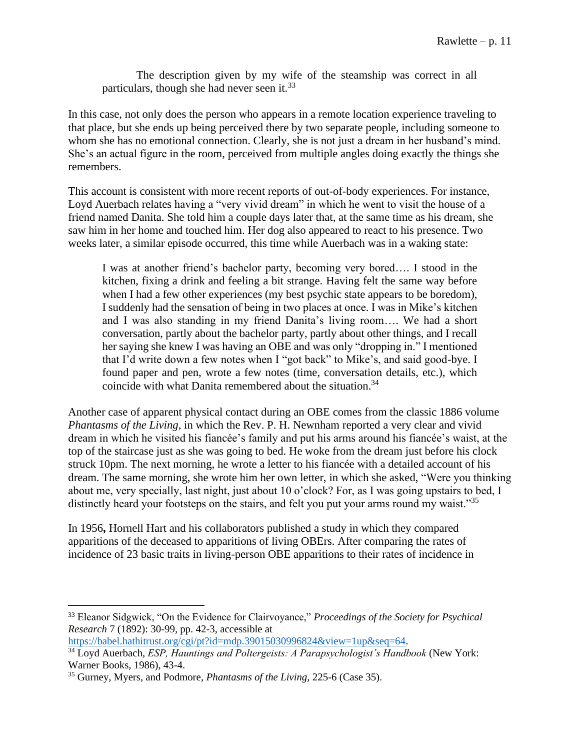The description given by my wife of the steamship was correct in all particulars, though she had never seen it. $^{33}$ 

In this case, not only does the person who appears in a remote location experience traveling to that place, but she ends up being perceived there by two separate people, including someone to whom she has no emotional connection. Clearly, she is not just a dream in her husband's mind. She's an actual figure in the room, perceived from multiple angles doing exactly the things she remembers.

This account is consistent with more recent reports of out-of-body experiences. For instance, Loyd Auerbach relates having a "very vivid dream" in which he went to visit the house of a friend named Danita. She told him a couple days later that, at the same time as his dream, she saw him in her home and touched him. Her dog also appeared to react to his presence. Two weeks later, a similar episode occurred, this time while Auerbach was in a waking state:

I was at another friend's bachelor party, becoming very bored…. I stood in the kitchen, fixing a drink and feeling a bit strange. Having felt the same way before when I had a few other experiences (my best psychic state appears to be boredom), I suddenly had the sensation of being in two places at once. I was in Mike's kitchen and I was also standing in my friend Danita's living room…. We had a short conversation, partly about the bachelor party, partly about other things, and I recall her saying she knew I was having an OBE and was only "dropping in." I mentioned that I'd write down a few notes when I "got back" to Mike's, and said good-bye. I found paper and pen, wrote a few notes (time, conversation details, etc.), which coincide with what Danita remembered about the situation.<sup>34</sup>

Another case of apparent physical contact during an OBE comes from the classic 1886 volume *Phantasms of the Living*, in which the Rev. P. H. Newnham reported a very clear and vivid dream in which he visited his fiancée's family and put his arms around his fiancée's waist, at the top of the staircase just as she was going to bed. He woke from the dream just before his clock struck 10pm. The next morning, he wrote a letter to his fiancée with a detailed account of his dream. The same morning, she wrote him her own letter, in which she asked, "Were you thinking about me, very specially, last night, just about 10 o'clock? For, as I was going upstairs to bed, I distinctly heard your footsteps on the stairs, and felt you put your arms round my waist."<sup>35</sup>

In 1956**,** Hornell Hart and his collaborators published a study in which they compared apparitions of the deceased to apparitions of living OBErs. After comparing the rates of incidence of 23 basic traits in living-person OBE apparitions to their rates of incidence in

```
https://babel.hathitrust.org/cgi/pt?id=mdp.39015030996824&view=1up&seq=64.
```
<sup>33</sup> Eleanor Sidgwick, "On the Evidence for Clairvoyance," *Proceedings of the Society for Psychical Research* 7 (1892): 30-99, pp. 42-3, accessible at

<sup>34</sup> Loyd Auerbach, *ESP, Hauntings and Poltergeists: A Parapsychologist's Handbook* (New York: Warner Books, 1986), 43-4.

<sup>35</sup> Gurney, Myers, and Podmore, *Phantasms of the Living*, 225-6 (Case 35).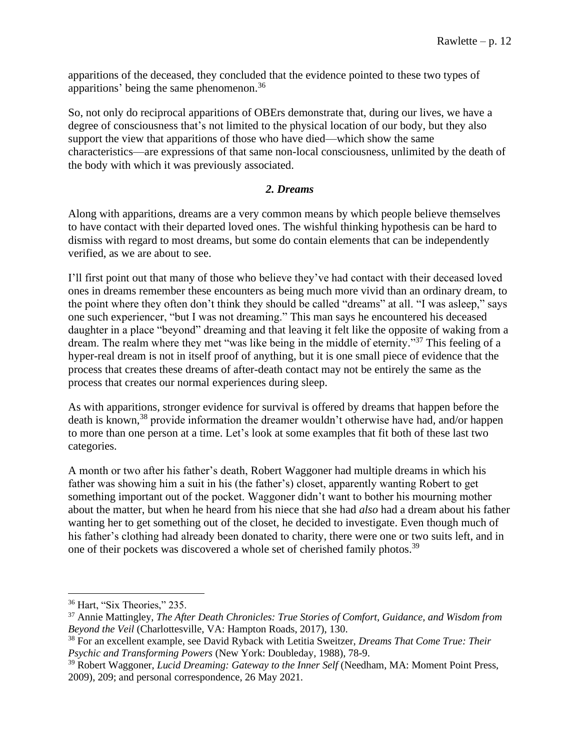apparitions of the deceased, they concluded that the evidence pointed to these two types of apparitions' being the same phenomenon.<sup>36</sup>

So, not only do reciprocal apparitions of OBErs demonstrate that, during our lives, we have a degree of consciousness that's not limited to the physical location of our body, but they also support the view that apparitions of those who have died—which show the same characteristics—are expressions of that same non-local consciousness, unlimited by the death of the body with which it was previously associated.

## *2. Dreams*

Along with apparitions, dreams are a very common means by which people believe themselves to have contact with their departed loved ones. The wishful thinking hypothesis can be hard to dismiss with regard to most dreams, but some do contain elements that can be independently verified, as we are about to see.

I'll first point out that many of those who believe they've had contact with their deceased loved ones in dreams remember these encounters as being much more vivid than an ordinary dream, to the point where they often don't think they should be called "dreams" at all. "I was asleep," says one such experiencer, "but I was not dreaming." This man says he encountered his deceased daughter in a place "beyond" dreaming and that leaving it felt like the opposite of waking from a dream. The realm where they met "was like being in the middle of eternity."<sup>37</sup> This feeling of a hyper-real dream is not in itself proof of anything, but it is one small piece of evidence that the process that creates these dreams of after-death contact may not be entirely the same as the process that creates our normal experiences during sleep.

As with apparitions, stronger evidence for survival is offered by dreams that happen before the death is known,<sup>38</sup> provide information the dreamer wouldn't otherwise have had, and/or happen to more than one person at a time. Let's look at some examples that fit both of these last two categories.

A month or two after his father's death, Robert Waggoner had multiple dreams in which his father was showing him a suit in his (the father's) closet, apparently wanting Robert to get something important out of the pocket. Waggoner didn't want to bother his mourning mother about the matter, but when he heard from his niece that she had *also* had a dream about his father wanting her to get something out of the closet, he decided to investigate. Even though much of his father's clothing had already been donated to charity, there were one or two suits left, and in one of their pockets was discovered a whole set of cherished family photos.<sup>39</sup>

<sup>36</sup> Hart, "Six Theories," 235.

<sup>37</sup> Annie Mattingley, *The After Death Chronicles: True Stories of Comfort, Guidance, and Wisdom from Beyond the Veil* (Charlottesville, VA: Hampton Roads, 2017), 130.

<sup>38</sup> For an excellent example, see David Ryback with Letitia Sweitzer, *Dreams That Come True: Their Psychic and Transforming Powers* (New York: Doubleday, 1988), 78-9.

<sup>39</sup> Robert Waggoner, *Lucid Dreaming: Gateway to the Inner Self* (Needham, MA: Moment Point Press, 2009), 209; and personal correspondence, 26 May 2021.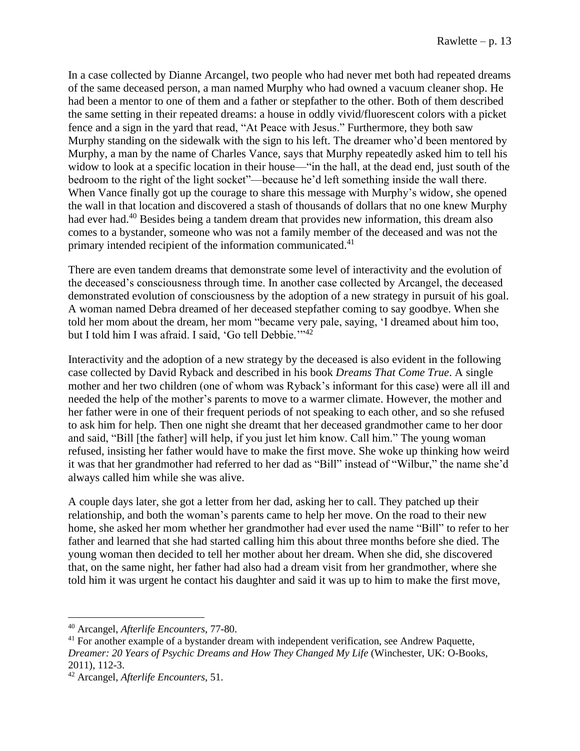In a case collected by Dianne Arcangel, two people who had never met both had repeated dreams of the same deceased person, a man named Murphy who had owned a vacuum cleaner shop. He had been a mentor to one of them and a father or stepfather to the other. Both of them described the same setting in their repeated dreams: a house in oddly vivid/fluorescent colors with a picket fence and a sign in the yard that read, "At Peace with Jesus." Furthermore, they both saw Murphy standing on the sidewalk with the sign to his left. The dreamer who'd been mentored by Murphy, a man by the name of Charles Vance, says that Murphy repeatedly asked him to tell his widow to look at a specific location in their house—"in the hall, at the dead end, just south of the bedroom to the right of the light socket"—because he'd left something inside the wall there. When Vance finally got up the courage to share this message with Murphy's widow, she opened the wall in that location and discovered a stash of thousands of dollars that no one knew Murphy had ever had.<sup>40</sup> Besides being a tandem dream that provides new information, this dream also comes to a bystander, someone who was not a family member of the deceased and was not the primary intended recipient of the information communicated.<sup>41</sup>

There are even tandem dreams that demonstrate some level of interactivity and the evolution of the deceased's consciousness through time. In another case collected by Arcangel, the deceased demonstrated evolution of consciousness by the adoption of a new strategy in pursuit of his goal. A woman named Debra dreamed of her deceased stepfather coming to say goodbye. When she told her mom about the dream, her mom "became very pale, saying, 'I dreamed about him too, but I told him I was afraid. I said, 'Go tell Debbie.'"<sup>42</sup>

Interactivity and the adoption of a new strategy by the deceased is also evident in the following case collected by David Ryback and described in his book *Dreams That Come True*. A single mother and her two children (one of whom was Ryback's informant for this case) were all ill and needed the help of the mother's parents to move to a warmer climate. However, the mother and her father were in one of their frequent periods of not speaking to each other, and so she refused to ask him for help. Then one night she dreamt that her deceased grandmother came to her door and said, "Bill [the father] will help, if you just let him know. Call him." The young woman refused, insisting her father would have to make the first move. She woke up thinking how weird it was that her grandmother had referred to her dad as "Bill" instead of "Wilbur," the name she'd always called him while she was alive.

A couple days later, she got a letter from her dad, asking her to call. They patched up their relationship, and both the woman's parents came to help her move. On the road to their new home, she asked her mom whether her grandmother had ever used the name "Bill" to refer to her father and learned that she had started calling him this about three months before she died. The young woman then decided to tell her mother about her dream. When she did, she discovered that, on the same night, her father had also had a dream visit from her grandmother, where she told him it was urgent he contact his daughter and said it was up to him to make the first move,

<sup>40</sup> Arcangel, *Afterlife Encounters*, 77-80.

<sup>&</sup>lt;sup>41</sup> For another example of a bystander dream with independent verification, see Andrew Paquette, *Dreamer: 20 Years of Psychic Dreams and How They Changed My Life* (Winchester, UK: O-Books, 2011), 112-3.

<sup>42</sup> Arcangel, *Afterlife Encounters*, 51.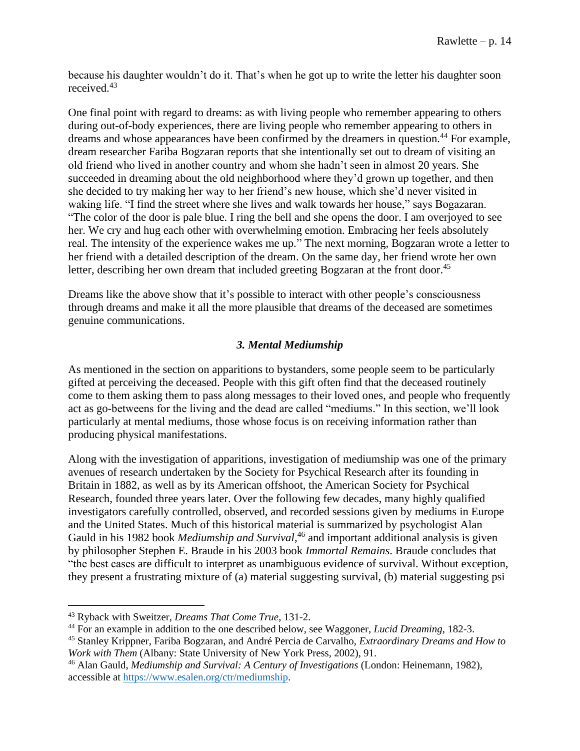because his daughter wouldn't do it. That's when he got up to write the letter his daughter soon received.<sup>43</sup>

One final point with regard to dreams: as with living people who remember appearing to others during out-of-body experiences, there are living people who remember appearing to others in dreams and whose appearances have been confirmed by the dreamers in question.<sup>44</sup> For example, dream researcher Fariba Bogzaran reports that she intentionally set out to dream of visiting an old friend who lived in another country and whom she hadn't seen in almost 20 years. She succeeded in dreaming about the old neighborhood where they'd grown up together, and then she decided to try making her way to her friend's new house, which she'd never visited in waking life. "I find the street where she lives and walk towards her house," says Bogazaran. "The color of the door is pale blue. I ring the bell and she opens the door. I am overjoyed to see her. We cry and hug each other with overwhelming emotion. Embracing her feels absolutely real. The intensity of the experience wakes me up." The next morning, Bogzaran wrote a letter to her friend with a detailed description of the dream. On the same day, her friend wrote her own letter, describing her own dream that included greeting Bogzaran at the front door.<sup>45</sup>

Dreams like the above show that it's possible to interact with other people's consciousness through dreams and make it all the more plausible that dreams of the deceased are sometimes genuine communications.

## *3. Mental Mediumship*

As mentioned in the section on apparitions to bystanders, some people seem to be particularly gifted at perceiving the deceased. People with this gift often find that the deceased routinely come to them asking them to pass along messages to their loved ones, and people who frequently act as go-betweens for the living and the dead are called "mediums." In this section, we'll look particularly at mental mediums, those whose focus is on receiving information rather than producing physical manifestations.

Along with the investigation of apparitions, investigation of mediumship was one of the primary avenues of research undertaken by the Society for Psychical Research after its founding in Britain in 1882, as well as by its American offshoot, the American Society for Psychical Research, founded three years later. Over the following few decades, many highly qualified investigators carefully controlled, observed, and recorded sessions given by mediums in Europe and the United States. Much of this historical material is summarized by psychologist Alan Gauld in his 1982 book *Mediumship and Survival*, <sup>46</sup> and important additional analysis is given by philosopher Stephen E. Braude in his 2003 book *Immortal Remains*. Braude concludes that "the best cases are difficult to interpret as unambiguous evidence of survival. Without exception, they present a frustrating mixture of (a) material suggesting survival, (b) material suggesting psi

<sup>43</sup> Ryback with Sweitzer, *Dreams That Come True*, 131-2.

<sup>44</sup> For an example in addition to the one described below, see Waggoner, *Lucid Dreaming*, 182-3.

<sup>45</sup> Stanley Krippner, Fariba Bogzaran, and André Percia de Carvalho, *Extraordinary Dreams and How to Work with Them* (Albany: State University of New York Press, 2002), 91.

<sup>46</sup> Alan Gauld, *Mediumship and Survival: A Century of Investigations* (London: Heinemann, 1982), accessible at [https://www.esalen.org/ctr/mediumship.](https://www.esalen.org/ctr/mediumship)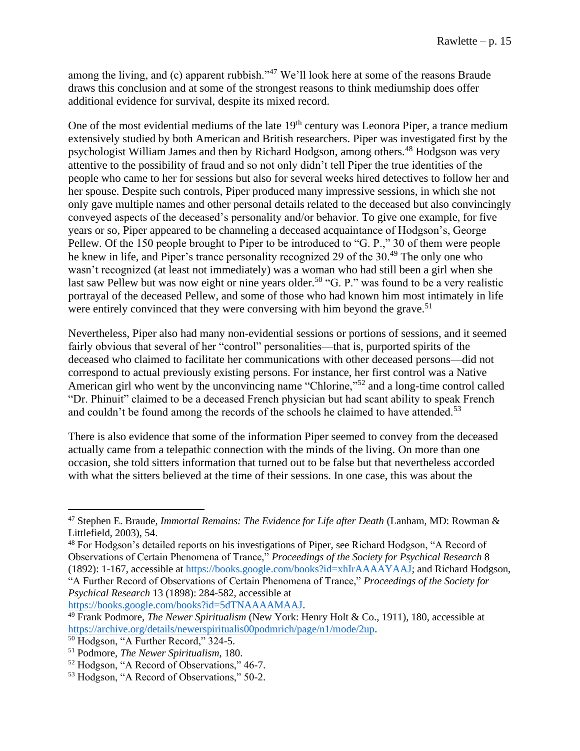among the living, and (c) apparent rubbish."<sup>47</sup> We'll look here at some of the reasons Braude draws this conclusion and at some of the strongest reasons to think mediumship does offer additional evidence for survival, despite its mixed record.

One of the most evidential mediums of the late 19<sup>th</sup> century was Leonora Piper, a trance medium extensively studied by both American and British researchers. Piper was investigated first by the psychologist William James and then by Richard Hodgson, among others. <sup>48</sup> Hodgson was very attentive to the possibility of fraud and so not only didn't tell Piper the true identities of the people who came to her for sessions but also for several weeks hired detectives to follow her and her spouse. Despite such controls, Piper produced many impressive sessions, in which she not only gave multiple names and other personal details related to the deceased but also convincingly conveyed aspects of the deceased's personality and/or behavior. To give one example, for five years or so, Piper appeared to be channeling a deceased acquaintance of Hodgson's, George Pellew. Of the 150 people brought to Piper to be introduced to "G. P.," 30 of them were people he knew in life, and Piper's trance personality recognized 29 of the 30.<sup>49</sup> The only one who wasn't recognized (at least not immediately) was a woman who had still been a girl when she last saw Pellew but was now eight or nine years older.<sup>50</sup> "G. P." was found to be a very realistic portrayal of the deceased Pellew, and some of those who had known him most intimately in life were entirely convinced that they were conversing with him beyond the grave.<sup>51</sup>

Nevertheless, Piper also had many non-evidential sessions or portions of sessions, and it seemed fairly obvious that several of her "control" personalities—that is, purported spirits of the deceased who claimed to facilitate her communications with other deceased persons—did not correspond to actual previously existing persons. For instance, her first control was a Native American girl who went by the unconvincing name "Chlorine,"<sup>52</sup> and a long-time control called "Dr. Phinuit" claimed to be a deceased French physician but had scant ability to speak French and couldn't be found among the records of the schools he claimed to have attended.<sup>53</sup>

There is also evidence that some of the information Piper seemed to convey from the deceased actually came from a telepathic connection with the minds of the living. On more than one occasion, she told sitters information that turned out to be false but that nevertheless accorded with what the sitters believed at the time of their sessions. In one case, this was about the

<sup>48</sup> For Hodgson's detailed reports on his investigations of Piper, see Richard Hodgson, "A Record of Observations of Certain Phenomena of Trance," *Proceedings of the Society for Psychical Research* 8 (1892): 1-167, accessible at [https://books.google.com/books?id=xhIrAAAAYAAJ;](https://books.google.com/books?id=xhIrAAAAYAAJ) and Richard Hodgson, "A Further Record of Observations of Certain Phenomena of Trance," *Proceedings of the Society for Psychical Research* 13 (1898): 284-582, accessible at

[https://books.google.com/books?id=5dTNAAAAMAAJ.](https://books.google.com/books?id=5dTNAAAAMAAJ)

<sup>47</sup> Stephen E. Braude, *Immortal Remains: The Evidence for Life after Death* (Lanham, MD: Rowman & Littlefield, 2003), 54.

<sup>49</sup> Frank Podmore, *The Newer Spiritualism* (New York: Henry Holt & Co., 1911), 180, accessible at [https://archive.org/details/newerspiritualis00podmrich/page/n1/mode/2up.](https://archive.org/details/newerspiritualis00podmrich/page/n1/mode/2up)

<sup>50</sup> Hodgson, "A Further Record," 324-5.

<sup>51</sup> Podmore, *The Newer Spiritualism*, 180.

<sup>52</sup> Hodgson, "A Record of Observations," 46-7.

<sup>53</sup> Hodgson, "A Record of Observations," 50-2.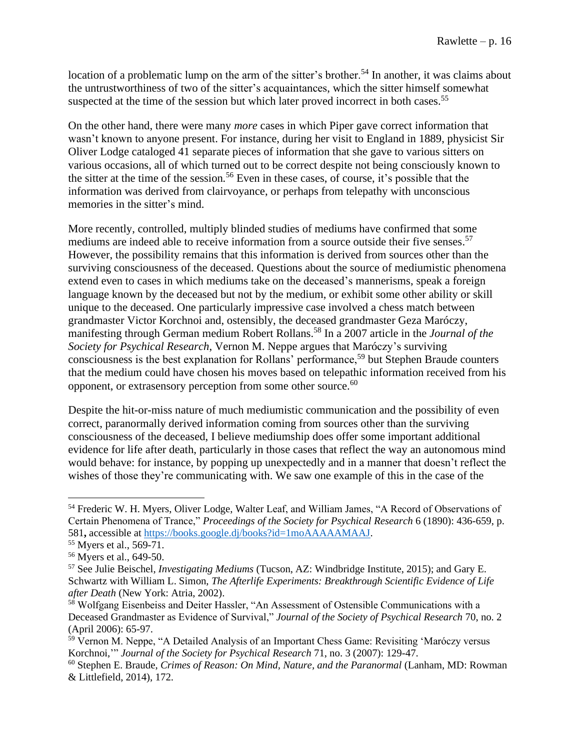location of a problematic lump on the arm of the sitter's brother.<sup>54</sup> In another, it was claims about the untrustworthiness of two of the sitter's acquaintances, which the sitter himself somewhat suspected at the time of the session but which later proved incorrect in both cases.<sup>55</sup>

On the other hand, there were many *more* cases in which Piper gave correct information that wasn't known to anyone present. For instance, during her visit to England in 1889, physicist Sir Oliver Lodge cataloged 41 separate pieces of information that she gave to various sitters on various occasions, all of which turned out to be correct despite not being consciously known to the sitter at the time of the session*.* <sup>56</sup> Even in these cases, of course, it's possible that the information was derived from clairvoyance, or perhaps from telepathy with unconscious memories in the sitter's mind.

More recently, controlled, multiply blinded studies of mediums have confirmed that some mediums are indeed able to receive information from a source outside their five senses.<sup>57</sup> However, the possibility remains that this information is derived from sources other than the surviving consciousness of the deceased. Questions about the source of mediumistic phenomena extend even to cases in which mediums take on the deceased's mannerisms, speak a foreign language known by the deceased but not by the medium, or exhibit some other ability or skill unique to the deceased. One particularly impressive case involved a chess match between grandmaster Victor Korchnoi and, ostensibly, the deceased grandmaster Geza Maróczy, manifesting through German medium Robert Rollans.<sup>58</sup> In a 2007 article in the *Journal of the Society for Psychical Research*, Vernon M. Neppe argues that Maróczy's surviving consciousness is the best explanation for Rollans' performance,<sup>59</sup> but Stephen Braude counters that the medium could have chosen his moves based on telepathic information received from his opponent, or extrasensory perception from some other source.<sup>60</sup>

Despite the hit-or-miss nature of much mediumistic communication and the possibility of even correct, paranormally derived information coming from sources other than the surviving consciousness of the deceased, I believe mediumship does offer some important additional evidence for life after death, particularly in those cases that reflect the way an autonomous mind would behave: for instance, by popping up unexpectedly and in a manner that doesn't reflect the wishes of those they're communicating with. We saw one example of this in the case of the

<sup>&</sup>lt;sup>54</sup> Frederic W. H. Myers, Oliver Lodge, Walter Leaf, and William James, "A Record of Observations of Certain Phenomena of Trance," *Proceedings of the Society for Psychical Research* 6 (1890): 436-659, p. 581**,** accessible at [https://books.google.dj/books?id=1moAAAAAMAAJ.](https://books.google.dj/books?id=1moAAAAAMAAJ)

<sup>&</sup>lt;sup>55</sup> Myers et al., 569-71.

<sup>56</sup> Myers et al., 649-50.

<sup>57</sup> See Julie Beischel, *Investigating Mediums* (Tucson, AZ: Windbridge Institute, 2015); and Gary E. Schwartz with William L. Simon, *The Afterlife Experiments: Breakthrough Scientific Evidence of Life after Death* (New York: Atria, 2002).

<sup>58</sup> Wolfgang Eisenbeiss and Deiter Hassler, "An Assessment of Ostensible Communications with a Deceased Grandmaster as Evidence of Survival," *Journal of the Society of Psychical Research* 70, no. 2 (April 2006): 65-97.

<sup>&</sup>lt;sup>59</sup> Vernon M. Neppe, "A Detailed Analysis of an Important Chess Game: Revisiting 'Maróczy versus Korchnoi,'" *Journal of the Society for Psychical Research* 71, no. 3 (2007): 129-47.

<sup>60</sup> Stephen E. Braude, *Crimes of Reason: On Mind, Nature, and the Paranormal* (Lanham, MD: Rowman & Littlefield, 2014), 172.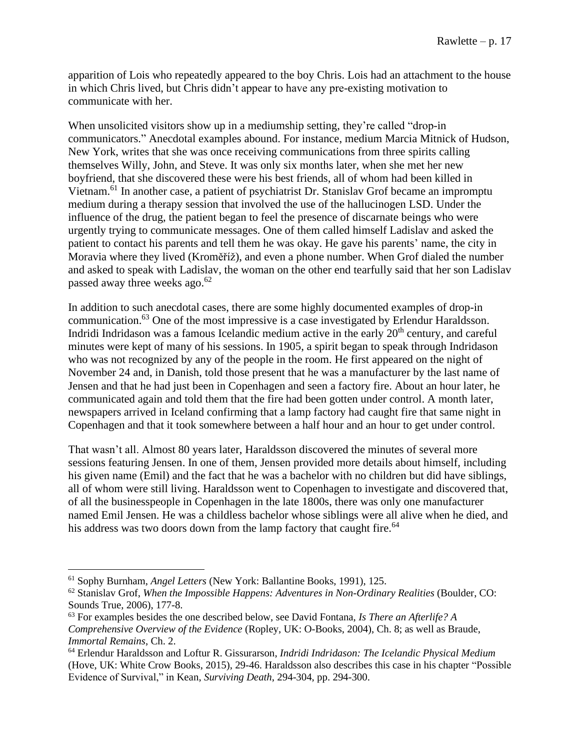apparition of Lois who repeatedly appeared to the boy Chris. Lois had an attachment to the house in which Chris lived, but Chris didn't appear to have any pre-existing motivation to communicate with her.

When unsolicited visitors show up in a mediumship setting, they're called "drop-in" communicators." Anecdotal examples abound. For instance, medium Marcia Mitnick of Hudson, New York, writes that she was once receiving communications from three spirits calling themselves Willy, John, and Steve. It was only six months later, when she met her new boyfriend, that she discovered these were his best friends, all of whom had been killed in Vietnam.<sup>61</sup> In another case, a patient of psychiatrist Dr. Stanislav Grof became an impromptu medium during a therapy session that involved the use of the hallucinogen LSD. Under the influence of the drug, the patient began to feel the presence of discarnate beings who were urgently trying to communicate messages. One of them called himself Ladislav and asked the patient to contact his parents and tell them he was okay. He gave his parents' name, the city in Moravia where they lived (Kroměříž), and even a phone number. When Grof dialed the number and asked to speak with Ladislav, the woman on the other end tearfully said that her son Ladislav passed away three weeks ago.<sup>62</sup>

In addition to such anecdotal cases, there are some highly documented examples of drop-in communication.<sup>63</sup> One of the most impressive is a case investigated by Erlendur Haraldsson. Indridi Indridason was a famous Icelandic medium active in the early  $20<sup>th</sup>$  century, and careful minutes were kept of many of his sessions. In 1905, a spirit began to speak through Indridason who was not recognized by any of the people in the room. He first appeared on the night of November 24 and, in Danish, told those present that he was a manufacturer by the last name of Jensen and that he had just been in Copenhagen and seen a factory fire. About an hour later, he communicated again and told them that the fire had been gotten under control. A month later, newspapers arrived in Iceland confirming that a lamp factory had caught fire that same night in Copenhagen and that it took somewhere between a half hour and an hour to get under control.

That wasn't all. Almost 80 years later, Haraldsson discovered the minutes of several more sessions featuring Jensen. In one of them, Jensen provided more details about himself, including his given name (Emil) and the fact that he was a bachelor with no children but did have siblings, all of whom were still living. Haraldsson went to Copenhagen to investigate and discovered that, of all the businesspeople in Copenhagen in the late 1800s, there was only one manufacturer named Emil Jensen. He was a childless bachelor whose siblings were all alive when he died, and his address was two doors down from the lamp factory that caught fire.<sup>64</sup>

<sup>61</sup> Sophy Burnham, *Angel Letters* (New York: Ballantine Books, 1991), 125.

<sup>62</sup> Stanislav Grof, *When the Impossible Happens: Adventures in Non-Ordinary Realities* (Boulder, CO: Sounds True, 2006), 177-8.

<sup>63</sup> For examples besides the one described below, see David Fontana, *Is There an Afterlife? A Comprehensive Overview of the Evidence* (Ropley, UK: O-Books, 2004), Ch. 8; as well as Braude, *Immortal Remains*, Ch. 2.

<sup>64</sup> Erlendur Haraldsson and Loftur R. Gissurarson, *Indridi Indridason: The Icelandic Physical Medium* (Hove, UK: White Crow Books, 2015), 29-46. Haraldsson also describes this case in his chapter "Possible Evidence of Survival," in Kean, *Surviving Death*, 294-304, pp. 294-300.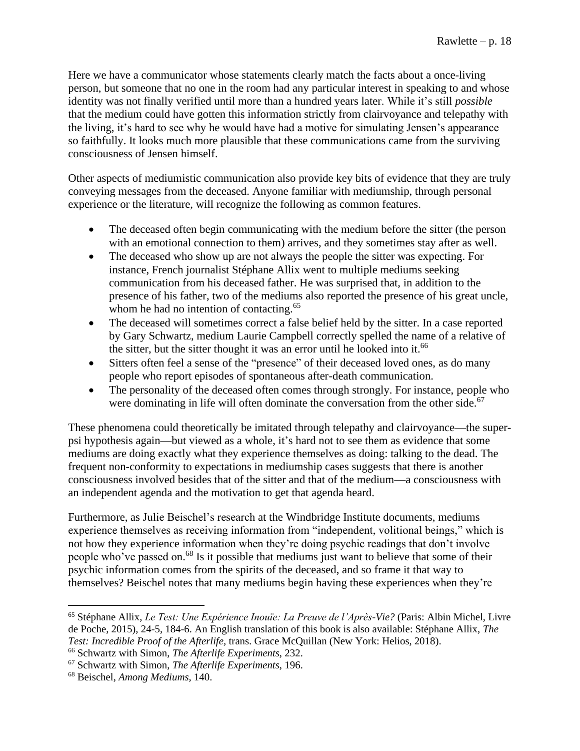Here we have a communicator whose statements clearly match the facts about a once-living person, but someone that no one in the room had any particular interest in speaking to and whose identity was not finally verified until more than a hundred years later. While it's still *possible* that the medium could have gotten this information strictly from clairvoyance and telepathy with the living, it's hard to see why he would have had a motive for simulating Jensen's appearance so faithfully. It looks much more plausible that these communications came from the surviving consciousness of Jensen himself.

Other aspects of mediumistic communication also provide key bits of evidence that they are truly conveying messages from the deceased. Anyone familiar with mediumship, through personal experience or the literature, will recognize the following as common features.

- The deceased often begin communicating with the medium before the sitter (the person with an emotional connection to them) arrives, and they sometimes stay after as well.
- The deceased who show up are not always the people the sitter was expecting. For instance, French journalist Stéphane Allix went to multiple mediums seeking communication from his deceased father. He was surprised that, in addition to the presence of his father, two of the mediums also reported the presence of his great uncle, whom he had no intention of contacting.<sup>65</sup>
- The deceased will sometimes correct a false belief held by the sitter. In a case reported by Gary Schwartz, medium Laurie Campbell correctly spelled the name of a relative of the sitter, but the sitter thought it was an error until he looked into it.<sup>66</sup>
- Sitters often feel a sense of the "presence" of their deceased loved ones, as do many people who report episodes of spontaneous after-death communication.
- The personality of the deceased often comes through strongly. For instance, people who were dominating in life will often dominate the conversation from the other side.<sup>67</sup>

These phenomena could theoretically be imitated through telepathy and clairvoyance—the superpsi hypothesis again—but viewed as a whole, it's hard not to see them as evidence that some mediums are doing exactly what they experience themselves as doing: talking to the dead. The frequent non-conformity to expectations in mediumship cases suggests that there is another consciousness involved besides that of the sitter and that of the medium—a consciousness with an independent agenda and the motivation to get that agenda heard.

Furthermore, as Julie Beischel's research at the Windbridge Institute documents, mediums experience themselves as receiving information from "independent, volitional beings," which is not how they experience information when they're doing psychic readings that don't involve people who've passed on.<sup>68</sup> Is it possible that mediums just want to believe that some of their psychic information comes from the spirits of the deceased, and so frame it that way to themselves? Beischel notes that many mediums begin having these experiences when they're

<sup>65</sup> Stéphane Allix, *Le Test: Une Expérience Inouïe: La Preuve de l'Après-Vie?* (Paris: Albin Michel, Livre de Poche, 2015), 24-5, 184-6. An English translation of this book is also available: Stéphane Allix, *The Test: Incredible Proof of the Afterlife,* trans. Grace McQuillan (New York: Helios, 2018). <sup>66</sup> Schwartz with Simon, *The Afterlife Experiments*, 232.

<sup>67</sup> Schwartz with Simon, *The Afterlife Experiments*, 196.

<sup>68</sup> Beischel, *Among Mediums*, 140.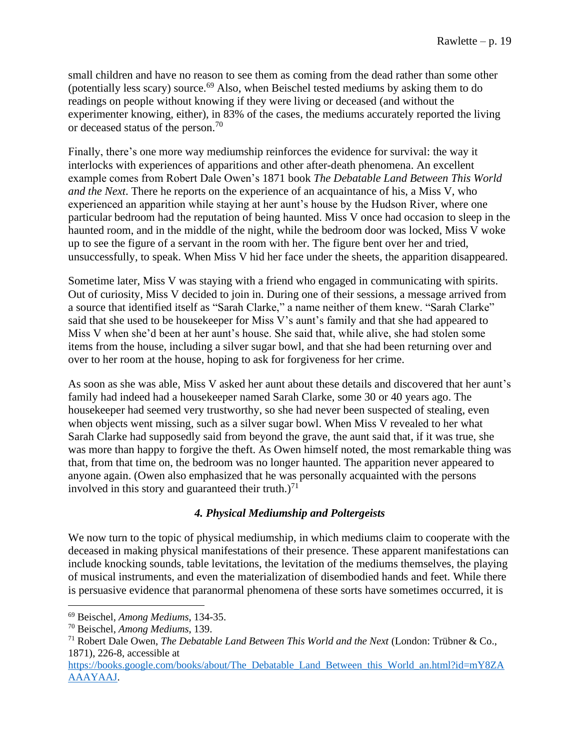small children and have no reason to see them as coming from the dead rather than some other (potentially less scary) source. <sup>69</sup> Also, when Beischel tested mediums by asking them to do readings on people without knowing if they were living or deceased (and without the experimenter knowing, either), in 83% of the cases, the mediums accurately reported the living or deceased status of the person.<sup>70</sup>

Finally, there's one more way mediumship reinforces the evidence for survival: the way it interlocks with experiences of apparitions and other after-death phenomena. An excellent example comes from Robert Dale Owen's 1871 book *The Debatable Land Between This World and the Next*. There he reports on the experience of an acquaintance of his, a Miss V, who experienced an apparition while staying at her aunt's house by the Hudson River, where one particular bedroom had the reputation of being haunted. Miss V once had occasion to sleep in the haunted room, and in the middle of the night, while the bedroom door was locked, Miss V woke up to see the figure of a servant in the room with her. The figure bent over her and tried, unsuccessfully, to speak. When Miss V hid her face under the sheets, the apparition disappeared.

Sometime later, Miss V was staying with a friend who engaged in communicating with spirits. Out of curiosity, Miss V decided to join in. During one of their sessions, a message arrived from a source that identified itself as "Sarah Clarke," a name neither of them knew. "Sarah Clarke" said that she used to be housekeeper for Miss V's aunt's family and that she had appeared to Miss V when she'd been at her aunt's house. She said that, while alive, she had stolen some items from the house, including a silver sugar bowl, and that she had been returning over and over to her room at the house, hoping to ask for forgiveness for her crime.

As soon as she was able, Miss V asked her aunt about these details and discovered that her aunt's family had indeed had a housekeeper named Sarah Clarke, some 30 or 40 years ago. The housekeeper had seemed very trustworthy, so she had never been suspected of stealing, even when objects went missing, such as a silver sugar bowl. When Miss V revealed to her what Sarah Clarke had supposedly said from beyond the grave, the aunt said that, if it was true, she was more than happy to forgive the theft. As Owen himself noted, the most remarkable thing was that, from that time on, the bedroom was no longer haunted. The apparition never appeared to anyone again. (Owen also emphasized that he was personally acquainted with the persons involved in this story and guaranteed their truth.)<sup>71</sup>

## *4. Physical Mediumship and Poltergeists*

We now turn to the topic of physical mediumship, in which mediums claim to cooperate with the deceased in making physical manifestations of their presence. These apparent manifestations can include knocking sounds, table levitations, the levitation of the mediums themselves, the playing of musical instruments, and even the materialization of disembodied hands and feet. While there is persuasive evidence that paranormal phenomena of these sorts have sometimes occurred, it is

<sup>69</sup> Beischel, *Among Mediums*, 134-35.

<sup>70</sup> Beischel, *Among Mediums*, 139.

<sup>71</sup> Robert Dale Owen, *The Debatable Land Between This World and the Next* (London: Trübner & Co., 1871), 226-8, accessible at

[https://books.google.com/books/about/The\\_Debatable\\_Land\\_Between\\_this\\_World\\_an.html?id=mY8ZA](https://books.google.com/books/about/The_Debatable_Land_Between_this_World_an.html?id=mY8ZAAAAYAAJ) [AAAYAAJ.](https://books.google.com/books/about/The_Debatable_Land_Between_this_World_an.html?id=mY8ZAAAAYAAJ)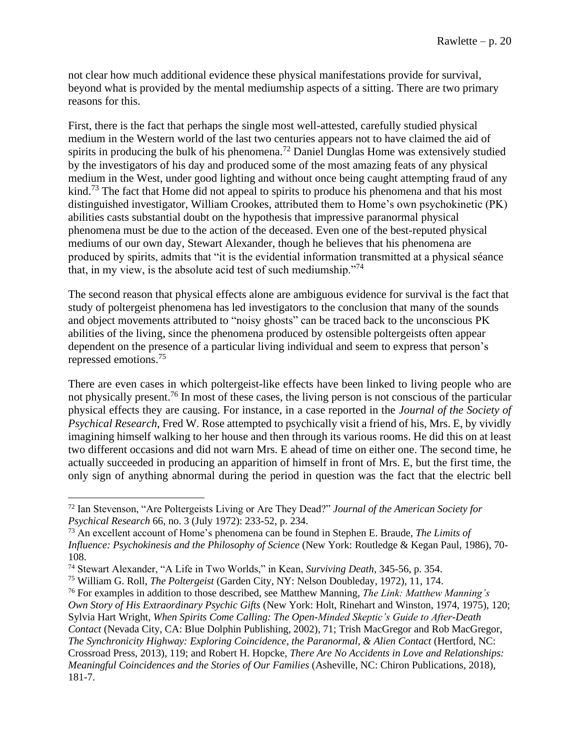not clear how much additional evidence these physical manifestations provide for survival, beyond what is provided by the mental mediumship aspects of a sitting. There are two primary reasons for this.

First, there is the fact that perhaps the single most well-attested, carefully studied physical medium in the Western world of the last two centuries appears not to have claimed the aid of spirits in producing the bulk of his phenomena.<sup>72</sup> Daniel Dunglas Home was extensively studied by the investigators of his day and produced some of the most amazing feats of any physical medium in the West, under good lighting and without once being caught attempting fraud of any kind.<sup>73</sup> The fact that Home did not appeal to spirits to produce his phenomena and that his most distinguished investigator, William Crookes, attributed them to Home's own psychokinetic (PK) abilities casts substantial doubt on the hypothesis that impressive paranormal physical phenomena must be due to the action of the deceased. Even one of the best-reputed physical mediums of our own day, Stewart Alexander, though he believes that his phenomena are produced by spirits, admits that "it is the evidential information transmitted at a physical séance that, in my view, is the absolute acid test of such mediumship. $174$ 

The second reason that physical effects alone are ambiguous evidence for survival is the fact that study of poltergeist phenomena has led investigators to the conclusion that many of the sounds and object movements attributed to "noisy ghosts" can be traced back to the unconscious PK abilities of the living, since the phenomena produced by ostensible poltergeists often appear dependent on the presence of a particular living individual and seem to express that person's repressed emotions. 75

There are even cases in which poltergeist-like effects have been linked to living people who are not physically present.<sup>76</sup> In most of these cases, the living person is not conscious of the particular physical effects they are causing. For instance, in a case reported in the *Journal of the Society of Psychical Research*, Fred W. Rose attempted to psychically visit a friend of his, Mrs. E, by vividly imagining himself walking to her house and then through its various rooms. He did this on at least two different occasions and did not warn Mrs. E ahead of time on either one. The second time, he actually succeeded in producing an apparition of himself in front of Mrs. E, but the first time, the only sign of anything abnormal during the period in question was the fact that the electric bell

<sup>72</sup> Ian Stevenson, "Are Poltergeists Living or Are They Dead?" *Journal of the American Society for Psychical Research* 66, no. 3 (July 1972): 233-52, p. 234.

<sup>73</sup> An excellent account of Home's phenomena can be found in Stephen E. Braude, *The Limits of Influence: Psychokinesis and the Philosophy of Science* (New York: Routledge & Kegan Paul, 1986), 70- 108.

<sup>74</sup> Stewart Alexander, "A Life in Two Worlds," in Kean, *Surviving Death*, 345-56, p. 354.

<sup>75</sup> William G. Roll, *The Poltergeist* (Garden City, NY: Nelson Doubleday, 1972), 11, 174.

<sup>76</sup> For examples in addition to those described, see Matthew Manning, *The Link: Matthew Manning's Own Story of His Extraordinary Psychic Gifts* (New York: Holt, Rinehart and Winston, 1974, 1975), 120; Sylvia Hart Wright, *When Spirits Come Calling: The Open-Minded Skeptic's Guide to After-Death Contact* (Nevada City, CA: Blue Dolphin Publishing, 2002), 71; Trish MacGregor and Rob MacGregor, *The Synchronicity Highway: Exploring Coincidence, the Paranormal, & Alien Contact* (Hertford, NC: Crossroad Press, 2013), 119; and Robert H. Hopcke, *There Are No Accidents in Love and Relationships: Meaningful Coincidences and the Stories of Our Families* (Asheville, NC: Chiron Publications, 2018), 181-7.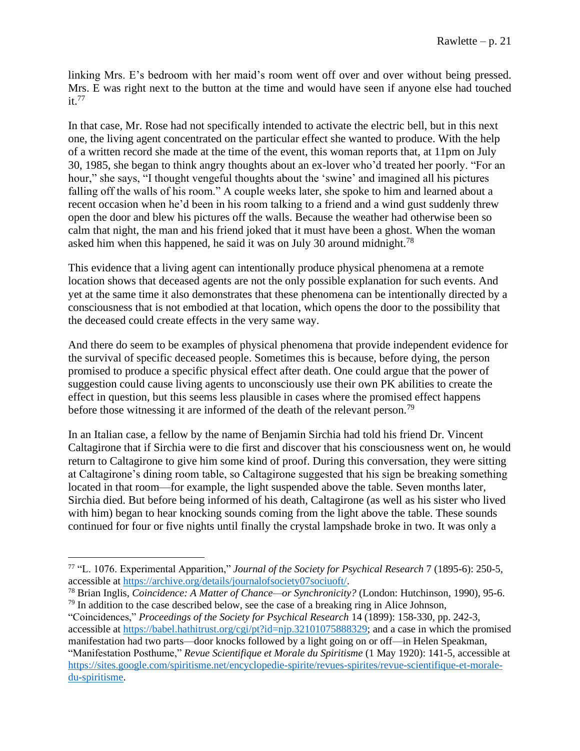linking Mrs. E's bedroom with her maid's room went off over and over without being pressed. Mrs. E was right next to the button at the time and would have seen if anyone else had touched it. 77

In that case, Mr. Rose had not specifically intended to activate the electric bell, but in this next one, the living agent concentrated on the particular effect she wanted to produce. With the help of a written record she made at the time of the event, this woman reports that, at 11pm on July 30, 1985, she began to think angry thoughts about an ex-lover who'd treated her poorly. "For an hour," she says, "I thought vengeful thoughts about the 'swine' and imagined all his pictures falling off the walls of his room." A couple weeks later, she spoke to him and learned about a recent occasion when he'd been in his room talking to a friend and a wind gust suddenly threw open the door and blew his pictures off the walls. Because the weather had otherwise been so calm that night, the man and his friend joked that it must have been a ghost. When the woman asked him when this happened, he said it was on July 30 around midnight.<sup>78</sup>

This evidence that a living agent can intentionally produce physical phenomena at a remote location shows that deceased agents are not the only possible explanation for such events. And yet at the same time it also demonstrates that these phenomena can be intentionally directed by a consciousness that is not embodied at that location, which opens the door to the possibility that the deceased could create effects in the very same way.

And there do seem to be examples of physical phenomena that provide independent evidence for the survival of specific deceased people. Sometimes this is because, before dying, the person promised to produce a specific physical effect after death. One could argue that the power of suggestion could cause living agents to unconsciously use their own PK abilities to create the effect in question, but this seems less plausible in cases where the promised effect happens before those witnessing it are informed of the death of the relevant person.<sup>79</sup>

In an Italian case, a fellow by the name of Benjamin Sirchia had told his friend Dr. Vincent Caltagirone that if Sirchia were to die first and discover that his consciousness went on, he would return to Caltagirone to give him some kind of proof. During this conversation, they were sitting at Caltagirone's dining room table, so Caltagirone suggested that his sign be breaking something located in that room—for example, the light suspended above the table. Seven months later, Sirchia died. But before being informed of his death, Caltagirone (as well as his sister who lived with him) began to hear knocking sounds coming from the light above the table. These sounds continued for four or five nights until finally the crystal lampshade broke in two. It was only a

"Coincidences," *Proceedings of the Society for Psychical Research* 14 (1899): 158-330, pp. 242-3, accessible at [https://babel.hathitrust.org/cgi/pt?id=njp.32101075888329;](https://babel.hathitrust.org/cgi/pt?id=njp.32101075888329) and a case in which the promised manifestation had two parts—door knocks followed by a light going on or off—in Helen Speakman, "Manifestation Posthume," *Revue Scientifique et Morale du Spiritisme* (1 May 1920): 141-5, accessible at [https://sites.google.com/spiritisme.net/encyclopedie-spirite/revues-spirites/revue-scientifique-et-morale](https://sites.google.com/spiritisme.net/encyclopedie-spirite/revues-spirites/revue-scientifique-et-morale-du-spiritisme)[du-spiritisme.](https://sites.google.com/spiritisme.net/encyclopedie-spirite/revues-spirites/revue-scientifique-et-morale-du-spiritisme)

<sup>77</sup> "L. 1076. Experimental Apparition," *Journal of the Society for Psychical Research* 7 (1895-6): 250-5, accessible at [https://archive.org/details/journalofsociety07sociuoft/.](https://archive.org/details/journalofsociety07sociuoft/)

<sup>78</sup> Brian Inglis, *Coincidence: A Matter of Chance—or Synchronicity?* (London: Hutchinson, 1990), 95-6.  $79$  In addition to the case described below, see the case of a breaking ring in Alice Johnson,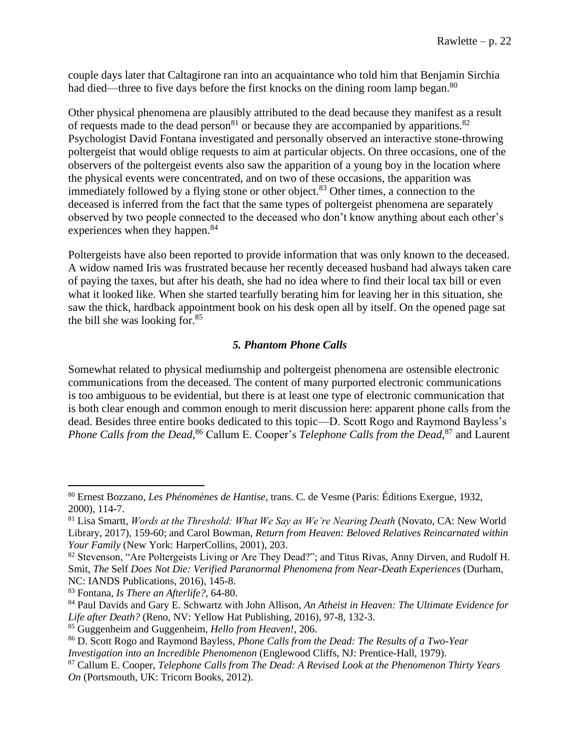couple days later that Caltagirone ran into an acquaintance who told him that Benjamin Sirchia had died—three to five days before the first knocks on the dining room lamp began.<sup>80</sup>

Other physical phenomena are plausibly attributed to the dead because they manifest as a result of requests made to the dead person<sup>81</sup> or because they are accompanied by apparitions.<sup>82</sup> Psychologist David Fontana investigated and personally observed an interactive stone-throwing poltergeist that would oblige requests to aim at particular objects. On three occasions, one of the observers of the poltergeist events also saw the apparition of a young boy in the location where the physical events were concentrated, and on two of these occasions, the apparition was immediately followed by a flying stone or other object.<sup>83</sup> Other times, a connection to the deceased is inferred from the fact that the same types of poltergeist phenomena are separately observed by two people connected to the deceased who don't know anything about each other's experiences when they happen.<sup>84</sup>

Poltergeists have also been reported to provide information that was only known to the deceased. A widow named Iris was frustrated because her recently deceased husband had always taken care of paying the taxes, but after his death, she had no idea where to find their local tax bill or even what it looked like. When she started tearfully berating him for leaving her in this situation, she saw the thick, hardback appointment book on his desk open all by itself. On the opened page sat the bill she was looking for.<sup>85</sup>

## *5. Phantom Phone Calls*

Somewhat related to physical mediumship and poltergeist phenomena are ostensible electronic communications from the deceased. The content of many purported electronic communications is too ambiguous to be evidential, but there is at least one type of electronic communication that is both clear enough and common enough to merit discussion here: apparent phone calls from the dead. Besides three entire books dedicated to this topic—D. Scott Rogo and Raymond Bayless's Phone Calls from the Dead,<sup>86</sup> Callum E. Cooper's *Telephone Calls from the Dead*,<sup>87</sup> and Laurent

<sup>80</sup> Ernest Bozzano, *Les Phénomènes de Hantise*, trans. C. de Vesme (Paris: Éditions Exergue, 1932, 2000), 114-7.

<sup>81</sup> Lisa Smartt, *Words at the Threshold: What We Say as We're Nearing Death* (Novato, CA: New World Library, 2017), 159-60; and Carol Bowman, *Return from Heaven: Beloved Relatives Reincarnated within Your Family* (New York: HarperCollins, 2001), 203.

<sup>&</sup>lt;sup>82</sup> Stevenson, "Are Poltergeists Living or Are They Dead?"; and Titus Rivas, Anny Dirven, and Rudolf H. Smit, *The* Self *Does Not Die: Verified Paranormal Phenomena from Near-Death Experiences* (Durham, NC: IANDS Publications, 2016), 145-8.

<sup>83</sup> Fontana, *Is There an Afterlife?*, 64-80.

<sup>84</sup> Paul Davids and Gary E. Schwartz with John Allison, *An Atheist in Heaven: The Ultimate Evidence for Life after Death?* (Reno, NV: Yellow Hat Publishing, 2016), 97-8, 132-3.

<sup>85</sup> Guggenheim and Guggenheim, *Hello from Heaven!*, 206.

<sup>86</sup> D. Scott Rogo and Raymond Bayless, *Phone Calls from the Dead: The Results of a Two-Year Investigation into an Incredible Phenomenon* (Englewood Cliffs, NJ: Prentice-Hall, 1979).

<sup>87</sup> Callum E. Cooper, *Telephone Calls from The Dead: A Revised Look at the Phenomenon Thirty Years On* (Portsmouth, UK: Tricorn Books, 2012).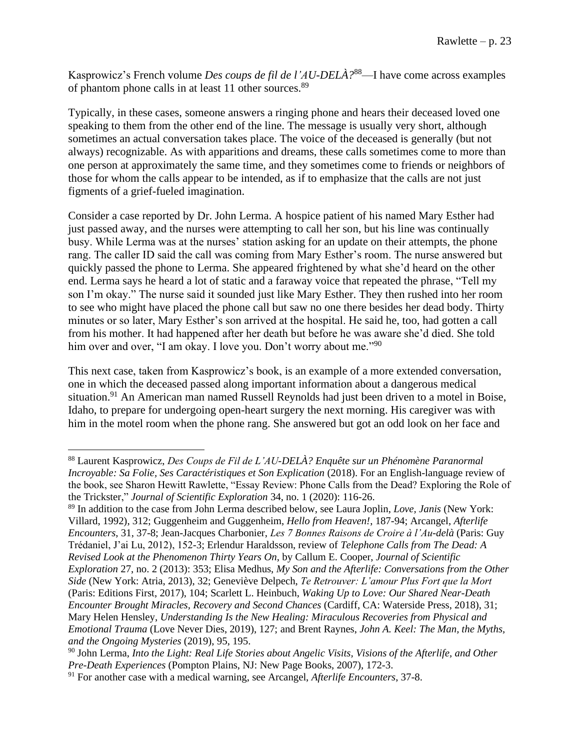Kasprowicz's French volume *Des coups de fil de l'AU-DELÀ?*<sup>88</sup>—I have come across examples of phantom phone calls in at least 11 other sources.<sup>89</sup>

Typically, in these cases, someone answers a ringing phone and hears their deceased loved one speaking to them from the other end of the line. The message is usually very short, although sometimes an actual conversation takes place. The voice of the deceased is generally (but not always) recognizable. As with apparitions and dreams, these calls sometimes come to more than one person at approximately the same time, and they sometimes come to friends or neighbors of those for whom the calls appear to be intended, as if to emphasize that the calls are not just figments of a grief-fueled imagination.

Consider a case reported by Dr. John Lerma. A hospice patient of his named Mary Esther had just passed away, and the nurses were attempting to call her son, but his line was continually busy. While Lerma was at the nurses' station asking for an update on their attempts, the phone rang. The caller ID said the call was coming from Mary Esther's room. The nurse answered but quickly passed the phone to Lerma. She appeared frightened by what she'd heard on the other end. Lerma says he heard a lot of static and a faraway voice that repeated the phrase, "Tell my son I'm okay." The nurse said it sounded just like Mary Esther. They then rushed into her room to see who might have placed the phone call but saw no one there besides her dead body. Thirty minutes or so later, Mary Esther's son arrived at the hospital. He said he, too, had gotten a call from his mother. It had happened after her death but before he was aware she'd died. She told him over and over, "I am okay. I love you. Don't worry about me."<sup>90</sup>

This next case, taken from Kasprowicz's book, is an example of a more extended conversation, one in which the deceased passed along important information about a dangerous medical situation.<sup>91</sup> An American man named Russell Reynolds had just been driven to a motel in Boise, Idaho, to prepare for undergoing open-heart surgery the next morning. His caregiver was with him in the motel room when the phone rang. She answered but got an odd look on her face and

<sup>89</sup> In addition to the case from John Lerma described below, see Laura Joplin, *Love, Janis* (New York: Villard, 1992), 312; Guggenheim and Guggenheim, *Hello from Heaven!*, 187-94; Arcangel, *Afterlife Encounters*, 31, 37-8; Jean-Jacques Charbonier, *Les 7 Bonnes Raisons de Croire à l'Au-delà* (Paris: Guy Trédaniel, J'ai Lu, 2012), 152-3; Erlendur Haraldsson, review of *Telephone Calls from The Dead: A Revised Look at the Phenomenon Thirty Years On*, by Callum E. Cooper, *Journal of Scientific Exploration* 27, no. 2 (2013): 353; Elisa Medhus, *My Son and the Afterlife: Conversations from the Other Side* (New York: Atria, 2013), 32; Geneviève Delpech, *Te Retrouver: L'amour Plus Fort que la Mort* (Paris: Editions First, 2017), 104; Scarlett L. Heinbuch, *Waking Up to Love: Our Shared Near-Death Encounter Brought Miracles, Recovery and Second Chances* (Cardiff, CA: Waterside Press, 2018), 31; Mary Helen Hensley, *Understanding Is the New Healing: Miraculous Recoveries from Physical and Emotional Trauma* (Love Never Dies, 2019), 127; and Brent Raynes, *John A. Keel: The Man, the Myths, and the Ongoing Mysteries* (2019), 95, 195.

<sup>88</sup> Laurent Kasprowicz, *Des Coups de Fil de L'AU-DELÀ? Enquête sur un Phénomène Paranormal Incroyable: Sa Folie, Ses Caractéristiques et Son Explication* (2018). For an English-language review of the book, see Sharon Hewitt Rawlette, "Essay Review: Phone Calls from the Dead? Exploring the Role of the Trickster," *Journal of Scientific Exploration* 34, no. 1 (2020): 116-26.

<sup>90</sup> John Lerma, *Into the Light: Real Life Stories about Angelic Visits, Visions of the Afterlife, and Other Pre-Death Experiences* (Pompton Plains, NJ: New Page Books, 2007), 172-3.

<sup>91</sup> For another case with a medical warning, see Arcangel, *Afterlife Encounters*, 37-8.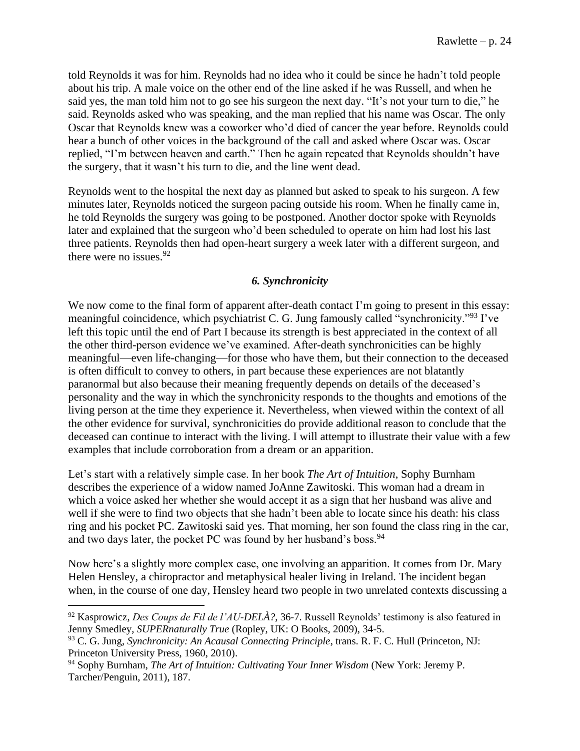told Reynolds it was for him. Reynolds had no idea who it could be since he hadn't told people about his trip. A male voice on the other end of the line asked if he was Russell, and when he said yes, the man told him not to go see his surgeon the next day. "It's not your turn to die," he said. Reynolds asked who was speaking, and the man replied that his name was Oscar. The only Oscar that Reynolds knew was a coworker who'd died of cancer the year before. Reynolds could hear a bunch of other voices in the background of the call and asked where Oscar was. Oscar replied, "I'm between heaven and earth." Then he again repeated that Reynolds shouldn't have the surgery, that it wasn't his turn to die, and the line went dead.

Reynolds went to the hospital the next day as planned but asked to speak to his surgeon. A few minutes later, Reynolds noticed the surgeon pacing outside his room. When he finally came in, he told Reynolds the surgery was going to be postponed. Another doctor spoke with Reynolds later and explained that the surgeon who'd been scheduled to operate on him had lost his last three patients. Reynolds then had open-heart surgery a week later with a different surgeon, and there were no issues.<sup>92</sup>

## *6. Synchronicity*

We now come to the final form of apparent after-death contact I'm going to present in this essay: meaningful coincidence, which psychiatrist C. G. Jung famously called "synchronicity."<sup>93</sup> I've left this topic until the end of Part I because its strength is best appreciated in the context of all the other third-person evidence we've examined. After-death synchronicities can be highly meaningful—even life-changing—for those who have them, but their connection to the deceased is often difficult to convey to others, in part because these experiences are not blatantly paranormal but also because their meaning frequently depends on details of the deceased's personality and the way in which the synchronicity responds to the thoughts and emotions of the living person at the time they experience it. Nevertheless, when viewed within the context of all the other evidence for survival, synchronicities do provide additional reason to conclude that the deceased can continue to interact with the living. I will attempt to illustrate their value with a few examples that include corroboration from a dream or an apparition.

Let's start with a relatively simple case. In her book *The Art of Intuition*, Sophy Burnham describes the experience of a widow named JoAnne Zawitoski. This woman had a dream in which a voice asked her whether she would accept it as a sign that her husband was alive and well if she were to find two objects that she hadn't been able to locate since his death: his class ring and his pocket PC. Zawitoski said yes. That morning, her son found the class ring in the car, and two days later, the pocket PC was found by her husband's boss.<sup>94</sup>

Now here's a slightly more complex case, one involving an apparition. It comes from Dr. Mary Helen Hensley, a chiropractor and metaphysical healer living in Ireland. The incident began when, in the course of one day, Hensley heard two people in two unrelated contexts discussing a

<sup>92</sup> Kasprowicz, *Des Coups de Fil de l'AU-DELÀ?*, 36-7. Russell Reynolds' testimony is also featured in Jenny Smedley, *SUPERnaturally True* (Ropley, UK: O Books, 2009), 34-5.

<sup>93</sup> C. G. Jung, *Synchronicity: An Acausal Connecting Principle*, trans. R. F. C. Hull (Princeton, NJ: Princeton University Press, 1960, 2010).

<sup>94</sup> Sophy Burnham, *The Art of Intuition: Cultivating Your Inner Wisdom* (New York: Jeremy P. Tarcher/Penguin, 2011), 187.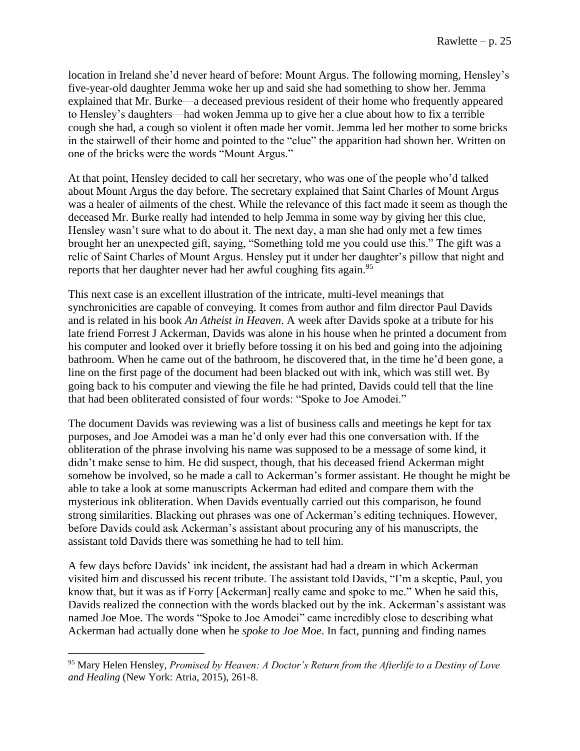location in Ireland she'd never heard of before: Mount Argus. The following morning, Hensley's five-year-old daughter Jemma woke her up and said she had something to show her. Jemma explained that Mr. Burke—a deceased previous resident of their home who frequently appeared to Hensley's daughters—had woken Jemma up to give her a clue about how to fix a terrible cough she had, a cough so violent it often made her vomit. Jemma led her mother to some bricks in the stairwell of their home and pointed to the "clue" the apparition had shown her. Written on one of the bricks were the words "Mount Argus."

At that point, Hensley decided to call her secretary, who was one of the people who'd talked about Mount Argus the day before. The secretary explained that Saint Charles of Mount Argus was a healer of ailments of the chest. While the relevance of this fact made it seem as though the deceased Mr. Burke really had intended to help Jemma in some way by giving her this clue, Hensley wasn't sure what to do about it. The next day, a man she had only met a few times brought her an unexpected gift, saying, "Something told me you could use this." The gift was a relic of Saint Charles of Mount Argus. Hensley put it under her daughter's pillow that night and reports that her daughter never had her awful coughing fits again.<sup>95</sup>

This next case is an excellent illustration of the intricate, multi-level meanings that synchronicities are capable of conveying. It comes from author and film director Paul Davids and is related in his book *An Atheist in Heaven*. A week after Davids spoke at a tribute for his late friend Forrest J Ackerman, Davids was alone in his house when he printed a document from his computer and looked over it briefly before tossing it on his bed and going into the adjoining bathroom. When he came out of the bathroom, he discovered that, in the time he'd been gone, a line on the first page of the document had been blacked out with ink, which was still wet. By going back to his computer and viewing the file he had printed, Davids could tell that the line that had been obliterated consisted of four words: "Spoke to Joe Amodei."

The document Davids was reviewing was a list of business calls and meetings he kept for tax purposes, and Joe Amodei was a man he'd only ever had this one conversation with. If the obliteration of the phrase involving his name was supposed to be a message of some kind, it didn't make sense to him. He did suspect, though, that his deceased friend Ackerman might somehow be involved, so he made a call to Ackerman's former assistant. He thought he might be able to take a look at some manuscripts Ackerman had edited and compare them with the mysterious ink obliteration. When Davids eventually carried out this comparison, he found strong similarities. Blacking out phrases was one of Ackerman's editing techniques. However, before Davids could ask Ackerman's assistant about procuring any of his manuscripts, the assistant told Davids there was something he had to tell him.

A few days before Davids' ink incident, the assistant had had a dream in which Ackerman visited him and discussed his recent tribute. The assistant told Davids, "I'm a skeptic, Paul, you know that, but it was as if Forry [Ackerman] really came and spoke to me." When he said this, Davids realized the connection with the words blacked out by the ink. Ackerman's assistant was named Joe Moe. The words "Spoke to Joe Amodei" came incredibly close to describing what Ackerman had actually done when he *spoke to Joe Moe*. In fact, punning and finding names

<sup>95</sup> Mary Helen Hensley, *Promised by Heaven: A Doctor's Return from the Afterlife to a Destiny of Love and Healing* (New York: Atria, 2015), 261-8.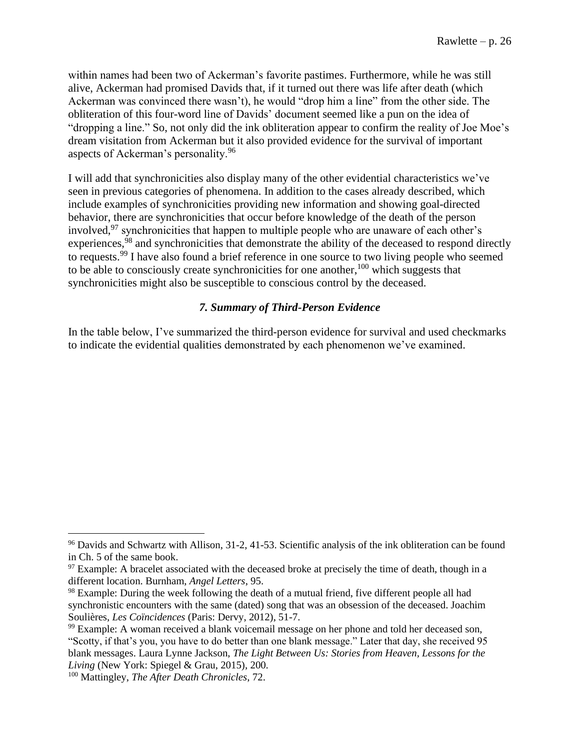within names had been two of Ackerman's favorite pastimes. Furthermore, while he was still alive, Ackerman had promised Davids that, if it turned out there was life after death (which Ackerman was convinced there wasn't), he would "drop him a line" from the other side. The obliteration of this four-word line of Davids' document seemed like a pun on the idea of "dropping a line." So, not only did the ink obliteration appear to confirm the reality of Joe Moe's dream visitation from Ackerman but it also provided evidence for the survival of important aspects of Ackerman's personality.<sup>96</sup>

I will add that synchronicities also display many of the other evidential characteristics we've seen in previous categories of phenomena. In addition to the cases already described, which include examples of synchronicities providing new information and showing goal-directed behavior, there are synchronicities that occur before knowledge of the death of the person involved,<sup>97</sup> synchronicities that happen to multiple people who are unaware of each other's experiences,<sup>98</sup> and synchronicities that demonstrate the ability of the deceased to respond directly to requests.<sup>99</sup> I have also found a brief reference in one source to two living people who seemed to be able to consciously create synchronicities for one another,  $100$  which suggests that synchronicities might also be susceptible to conscious control by the deceased.

## *7. Summary of Third-Person Evidence*

In the table below, I've summarized the third-person evidence for survival and used checkmarks to indicate the evidential qualities demonstrated by each phenomenon we've examined.

<sup>&</sup>lt;sup>96</sup> Davids and Schwartz with Allison, 31-2, 41-53. Scientific analysis of the ink obliteration can be found in Ch. 5 of the same book.

<sup>&</sup>lt;sup>97</sup> Example: A bracelet associated with the deceased broke at precisely the time of death, though in a different location. Burnham, *Angel Letters*, 95.

<sup>&</sup>lt;sup>98</sup> Example: During the week following the death of a mutual friend, five different people all had synchronistic encounters with the same (dated) song that was an obsession of the deceased. Joachim Soulières, *Les Coïncidences* (Paris: Dervy, 2012), 51-7.

<sup>99</sup> Example: A woman received a blank voicemail message on her phone and told her deceased son, "Scotty, if that's you, you have to do better than one blank message." Later that day, she received 95 blank messages. Laura Lynne Jackson, *The Light Between Us: Stories from Heaven, Lessons for the Living* (New York: Spiegel & Grau, 2015), 200.

<sup>100</sup> Mattingley, *The After Death Chronicles*, 72.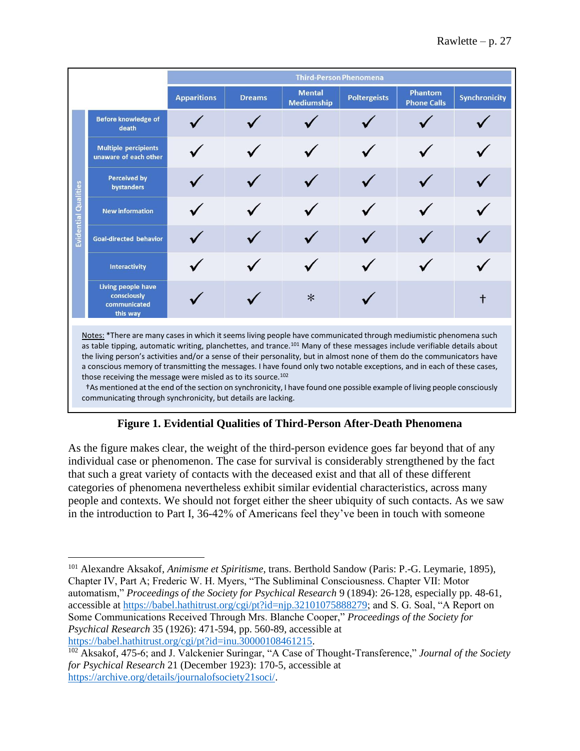|                                                                                                                                                                                                                                                                                                                                                                                                                                                                                                                                                                                                                                                                                                                                                                                          |                                                               | <b>Third-Person Phenomena</b> |               |                                    |                     |                                      |                      |
|------------------------------------------------------------------------------------------------------------------------------------------------------------------------------------------------------------------------------------------------------------------------------------------------------------------------------------------------------------------------------------------------------------------------------------------------------------------------------------------------------------------------------------------------------------------------------------------------------------------------------------------------------------------------------------------------------------------------------------------------------------------------------------------|---------------------------------------------------------------|-------------------------------|---------------|------------------------------------|---------------------|--------------------------------------|----------------------|
|                                                                                                                                                                                                                                                                                                                                                                                                                                                                                                                                                                                                                                                                                                                                                                                          |                                                               | <b>Apparitions</b>            | <b>Dreams</b> | <b>Mental</b><br><b>Mediumship</b> | <b>Poltergeists</b> | <b>Phantom</b><br><b>Phone Calls</b> | <b>Synchronicity</b> |
| Evidential Qualities                                                                                                                                                                                                                                                                                                                                                                                                                                                                                                                                                                                                                                                                                                                                                                     | <b>Before knowledge of</b><br>death                           |                               |               |                                    |                     |                                      |                      |
|                                                                                                                                                                                                                                                                                                                                                                                                                                                                                                                                                                                                                                                                                                                                                                                          | <b>Multiple percipients</b><br>unaware of each other          |                               |               |                                    |                     |                                      |                      |
|                                                                                                                                                                                                                                                                                                                                                                                                                                                                                                                                                                                                                                                                                                                                                                                          | <b>Perceived by</b><br><b>bystanders</b>                      |                               |               |                                    |                     |                                      |                      |
|                                                                                                                                                                                                                                                                                                                                                                                                                                                                                                                                                                                                                                                                                                                                                                                          | <b>New information</b>                                        |                               |               |                                    |                     |                                      |                      |
|                                                                                                                                                                                                                                                                                                                                                                                                                                                                                                                                                                                                                                                                                                                                                                                          | <b>Goal-directed behavior</b>                                 |                               |               |                                    |                     |                                      |                      |
|                                                                                                                                                                                                                                                                                                                                                                                                                                                                                                                                                                                                                                                                                                                                                                                          | <b>Interactivity</b>                                          |                               |               |                                    |                     |                                      |                      |
|                                                                                                                                                                                                                                                                                                                                                                                                                                                                                                                                                                                                                                                                                                                                                                                          | Living people have<br>consciously<br>communicated<br>this way |                               |               | $\ast$                             |                     |                                      |                      |
| Notes: *There are many cases in which it seems living people have communicated through mediumistic phenomena such<br>as table tipping, automatic writing, planchettes, and trance. <sup>101</sup> Many of these messages include verifiable details about<br>the living person's activities and/or a sense of their personality, but in almost none of them do the communicators have<br>a conscious memory of transmitting the messages. I have found only two notable exceptions, and in each of these cases,<br>those receiving the message were misled as to its source. <sup>102</sup><br>tAs mentioned at the end of the section on synchronicity, I have found one possible example of living people consciously<br>communicating through synchronicity, but details are lacking. |                                                               |                               |               |                                    |                     |                                      |                      |



As the figure makes clear, the weight of the third-person evidence goes far beyond that of any individual case or phenomenon. The case for survival is considerably strengthened by the fact that such a great variety of contacts with the deceased exist and that all of these different categories of phenomena nevertheless exhibit similar evidential characteristics, across many people and contexts. We should not forget either the sheer ubiquity of such contacts. As we saw in the introduction to Part I, 36-42% of Americans feel they've been in touch with someone

<sup>101</sup> Alexandre Aksakof, *Animisme et Spiritisme*, trans. Berthold Sandow (Paris: P.-G. Leymarie, 1895), Chapter IV, Part A; Frederic W. H. Myers, "The Subliminal Consciousness. Chapter VII: Motor automatism," *Proceedings of the Society for Psychical Research* 9 (1894): 26-128, especially pp. 48-61, accessible at [https://babel.hathitrust.org/cgi/pt?id=njp.32101075888279;](https://babel.hathitrust.org/cgi/pt?id=njp.32101075888279) and S. G. Soal, "A Report on Some Communications Received Through Mrs. Blanche Cooper," *Proceedings of the Society for Psychical Research* 35 (1926): 471-594, pp. 560-89, accessible at [https://babel.hathitrust.org/cgi/pt?id=inu.30000108461215.](https://babel.hathitrust.org/cgi/pt?id=inu.30000108461215)

<sup>102</sup> Aksakof, 475-6; and J. Valckenier Suringar, "A Case of Thought-Transference," *Journal of the Society for Psychical Research* 21 (December 1923): 170-5, accessible at [https://archive.org/details/journalofsociety21soci/.](https://archive.org/details/journalofsociety21soci/)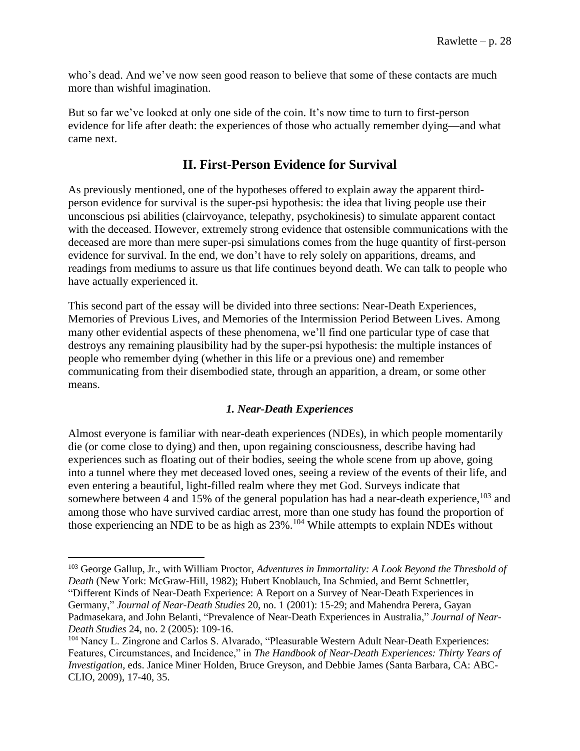who's dead. And we've now seen good reason to believe that some of these contacts are much more than wishful imagination.

But so far we've looked at only one side of the coin. It's now time to turn to first-person evidence for life after death: the experiences of those who actually remember dying—and what came next.

## **II. First-Person Evidence for Survival**

As previously mentioned, one of the hypotheses offered to explain away the apparent thirdperson evidence for survival is the super-psi hypothesis: the idea that living people use their unconscious psi abilities (clairvoyance, telepathy, psychokinesis) to simulate apparent contact with the deceased. However, extremely strong evidence that ostensible communications with the deceased are more than mere super-psi simulations comes from the huge quantity of first-person evidence for survival. In the end, we don't have to rely solely on apparitions, dreams, and readings from mediums to assure us that life continues beyond death. We can talk to people who have actually experienced it.

This second part of the essay will be divided into three sections: Near-Death Experiences, Memories of Previous Lives, and Memories of the Intermission Period Between Lives. Among many other evidential aspects of these phenomena, we'll find one particular type of case that destroys any remaining plausibility had by the super-psi hypothesis: the multiple instances of people who remember dying (whether in this life or a previous one) and remember communicating from their disembodied state, through an apparition, a dream, or some other means.

## *1. Near-Death Experiences*

Almost everyone is familiar with near-death experiences (NDEs), in which people momentarily die (or come close to dying) and then, upon regaining consciousness, describe having had experiences such as floating out of their bodies, seeing the whole scene from up above, going into a tunnel where they met deceased loved ones, seeing a review of the events of their life, and even entering a beautiful, light-filled realm where they met God. Surveys indicate that somewhere between 4 and 15% of the general population has had a near-death experience,  $^{103}$  and among those who have survived cardiac arrest, more than one study has found the proportion of those experiencing an NDE to be as high as 23%.<sup>104</sup> While attempts to explain NDEs without

<sup>103</sup> George Gallup, Jr., with William Proctor, *Adventures in Immortality: A Look Beyond the Threshold of Death* (New York: McGraw-Hill, 1982); Hubert Knoblauch, Ina Schmied, and Bernt Schnettler, "Different Kinds of Near-Death Experience: A Report on a Survey of Near-Death Experiences in Germany," *Journal of Near-Death Studies* 20, no. 1 (2001): 15-29; and Mahendra Perera, Gayan Padmasekara, and John Belanti, "Prevalence of Near-Death Experiences in Australia," *Journal of Near-Death Studies* 24, no. 2 (2005): 109-16.

<sup>&</sup>lt;sup>104</sup> Nancy L. Zingrone and Carlos S. Alvarado, "Pleasurable Western Adult Near-Death Experiences: Features, Circumstances, and Incidence," in *The Handbook of Near-Death Experiences: Thirty Years of Investigation*, eds. Janice Miner Holden, Bruce Greyson, and Debbie James (Santa Barbara, CA: ABC-CLIO, 2009), 17-40, 35.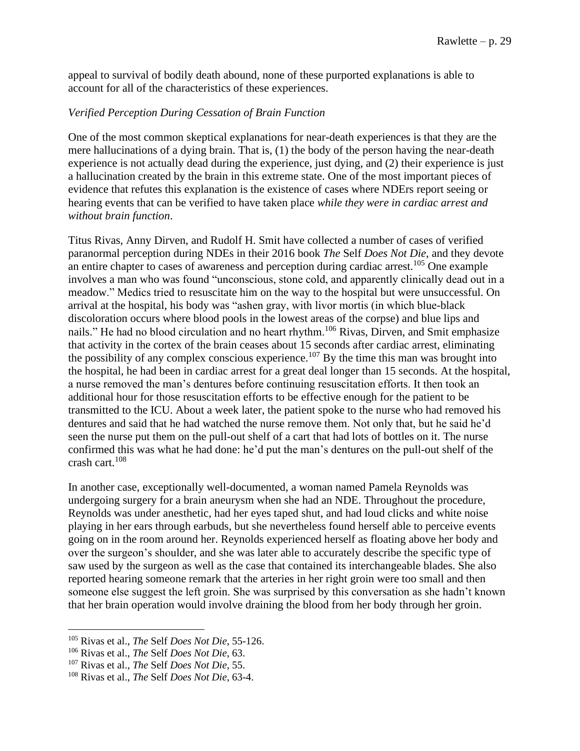appeal to survival of bodily death abound, none of these purported explanations is able to account for all of the characteristics of these experiences.

#### *Verified Perception During Cessation of Brain Function*

One of the most common skeptical explanations for near-death experiences is that they are the mere hallucinations of a dying brain. That is, (1) the body of the person having the near-death experience is not actually dead during the experience, just dying, and (2) their experience is just a hallucination created by the brain in this extreme state. One of the most important pieces of evidence that refutes this explanation is the existence of cases where NDErs report seeing or hearing events that can be verified to have taken place *while they were in cardiac arrest and without brain function*.

Titus Rivas, Anny Dirven, and Rudolf H. Smit have collected a number of cases of verified paranormal perception during NDEs in their 2016 book *The* Self *Does Not Die*, and they devote an entire chapter to cases of awareness and perception during cardiac arrest.<sup>105</sup> One example involves a man who was found "unconscious, stone cold, and apparently clinically dead out in a meadow." Medics tried to resuscitate him on the way to the hospital but were unsuccessful. On arrival at the hospital, his body was "ashen gray, with livor mortis (in which blue-black discoloration occurs where blood pools in the lowest areas of the corpse) and blue lips and nails." He had no blood circulation and no heart rhythm.<sup>106</sup> Rivas, Dirven, and Smit emphasize that activity in the cortex of the brain ceases about 15 seconds after cardiac arrest, eliminating the possibility of any complex conscious experience.<sup>107</sup> By the time this man was brought into the hospital, he had been in cardiac arrest for a great deal longer than 15 seconds. At the hospital, a nurse removed the man's dentures before continuing resuscitation efforts. It then took an additional hour for those resuscitation efforts to be effective enough for the patient to be transmitted to the ICU. About a week later, the patient spoke to the nurse who had removed his dentures and said that he had watched the nurse remove them. Not only that, but he said he'd seen the nurse put them on the pull-out shelf of a cart that had lots of bottles on it. The nurse confirmed this was what he had done: he'd put the man's dentures on the pull-out shelf of the crash cart. 108

In another case, exceptionally well-documented, a woman named Pamela Reynolds was undergoing surgery for a brain aneurysm when she had an NDE. Throughout the procedure, Reynolds was under anesthetic, had her eyes taped shut, and had loud clicks and white noise playing in her ears through earbuds, but she nevertheless found herself able to perceive events going on in the room around her. Reynolds experienced herself as floating above her body and over the surgeon's shoulder, and she was later able to accurately describe the specific type of saw used by the surgeon as well as the case that contained its interchangeable blades. She also reported hearing someone remark that the arteries in her right groin were too small and then someone else suggest the left groin. She was surprised by this conversation as she hadn't known that her brain operation would involve draining the blood from her body through her groin.

<sup>105</sup> Rivas et al., *The* Self *Does Not Die*, 55-126.

<sup>106</sup> Rivas et al., *The* Self *Does Not Die*, 63.

<sup>107</sup> Rivas et al., *The* Self *Does Not Die*, 55.

<sup>108</sup> Rivas et al., *The* Self *Does Not Die*, 63-4.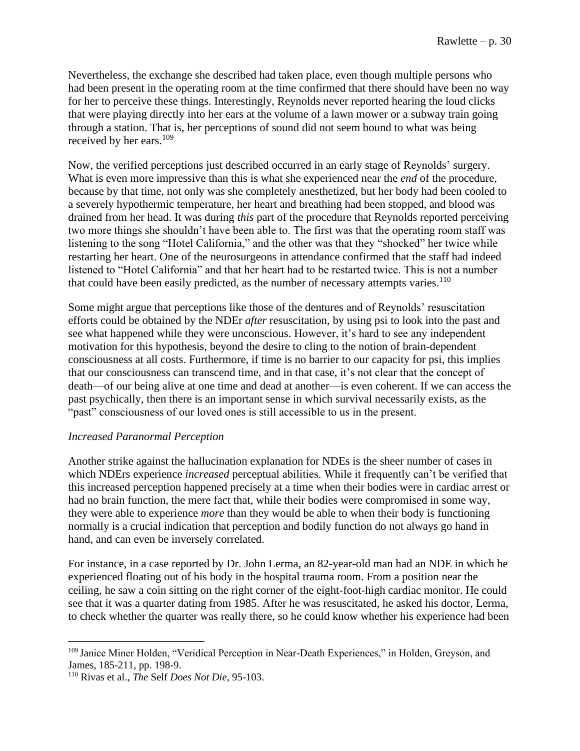Nevertheless, the exchange she described had taken place, even though multiple persons who had been present in the operating room at the time confirmed that there should have been no way for her to perceive these things. Interestingly, Reynolds never reported hearing the loud clicks that were playing directly into her ears at the volume of a lawn mower or a subway train going through a station. That is, her perceptions of sound did not seem bound to what was being received by her ears.<sup>109</sup>

Now, the verified perceptions just described occurred in an early stage of Reynolds' surgery. What is even more impressive than this is what she experienced near the *end* of the procedure, because by that time, not only was she completely anesthetized, but her body had been cooled to a severely hypothermic temperature, her heart and breathing had been stopped, and blood was drained from her head. It was during *this* part of the procedure that Reynolds reported perceiving two more things she shouldn't have been able to. The first was that the operating room staff was listening to the song "Hotel California," and the other was that they "shocked" her twice while restarting her heart. One of the neurosurgeons in attendance confirmed that the staff had indeed listened to "Hotel California" and that her heart had to be restarted twice. This is not a number that could have been easily predicted, as the number of necessary attempts varies.<sup>110</sup>

Some might argue that perceptions like those of the dentures and of Reynolds' resuscitation efforts could be obtained by the NDEr *after* resuscitation, by using psi to look into the past and see what happened while they were unconscious. However, it's hard to see any independent motivation for this hypothesis, beyond the desire to cling to the notion of brain-dependent consciousness at all costs. Furthermore, if time is no barrier to our capacity for psi, this implies that our consciousness can transcend time, and in that case, it's not clear that the concept of death—of our being alive at one time and dead at another—is even coherent. If we can access the past psychically, then there is an important sense in which survival necessarily exists, as the "past" consciousness of our loved ones is still accessible to us in the present.

#### *Increased Paranormal Perception*

Another strike against the hallucination explanation for NDEs is the sheer number of cases in which NDErs experience *increased* perceptual abilities. While it frequently can't be verified that this increased perception happened precisely at a time when their bodies were in cardiac arrest or had no brain function, the mere fact that, while their bodies were compromised in some way, they were able to experience *more* than they would be able to when their body is functioning normally is a crucial indication that perception and bodily function do not always go hand in hand, and can even be inversely correlated.

For instance, in a case reported by Dr. John Lerma, an 82-year-old man had an NDE in which he experienced floating out of his body in the hospital trauma room. From a position near the ceiling, he saw a coin sitting on the right corner of the eight-foot-high cardiac monitor. He could see that it was a quarter dating from 1985. After he was resuscitated, he asked his doctor, Lerma, to check whether the quarter was really there, so he could know whether his experience had been

<sup>&</sup>lt;sup>109</sup> Janice Miner Holden, "Veridical Perception in Near-Death Experiences," in Holden, Greyson, and James, 185-211, pp. 198-9.

<sup>110</sup> Rivas et al., *The* Self *Does Not Die*, 95-103.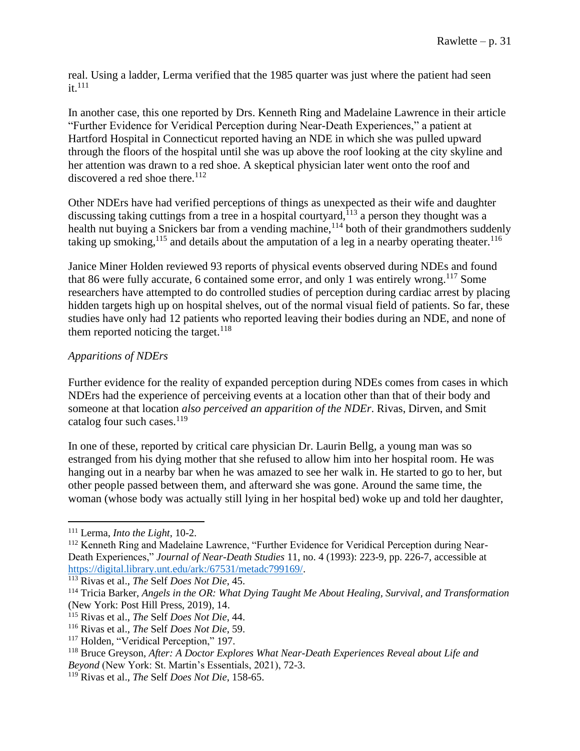real. Using a ladder, Lerma verified that the 1985 quarter was just where the patient had seen  $it<sup>111</sup>$ 

In another case, this one reported by Drs. Kenneth Ring and Madelaine Lawrence in their article "Further Evidence for Veridical Perception during Near-Death Experiences," a patient at Hartford Hospital in Connecticut reported having an NDE in which she was pulled upward through the floors of the hospital until she was up above the roof looking at the city skyline and her attention was drawn to a red shoe. A skeptical physician later went onto the roof and discovered a red shoe there. 112

Other NDErs have had verified perceptions of things as unexpected as their wife and daughter discussing taking cuttings from a tree in a hospital courtyard, $113$  a person they thought was a health nut buying a Snickers bar from a vending machine, <sup>114</sup> both of their grandmothers suddenly taking up smoking,  $^{115}$  and details about the amputation of a leg in a nearby operating theater.  $^{116}$ 

Janice Miner Holden reviewed 93 reports of physical events observed during NDEs and found that 86 were fully accurate, 6 contained some error, and only 1 was entirely wrong.<sup>117</sup> Some researchers have attempted to do controlled studies of perception during cardiac arrest by placing hidden targets high up on hospital shelves, out of the normal visual field of patients. So far, these studies have only had 12 patients who reported leaving their bodies during an NDE, and none of them reported noticing the target. $118$ 

## *Apparitions of NDErs*

Further evidence for the reality of expanded perception during NDEs comes from cases in which NDErs had the experience of perceiving events at a location other than that of their body and someone at that location *also perceived an apparition of the NDEr*. Rivas, Dirven, and Smit catalog four such cases. $^{119}$ 

In one of these, reported by critical care physician Dr. Laurin Bellg, a young man was so estranged from his dying mother that she refused to allow him into her hospital room. He was hanging out in a nearby bar when he was amazed to see her walk in. He started to go to her, but other people passed between them, and afterward she was gone. Around the same time, the woman (whose body was actually still lying in her hospital bed) woke up and told her daughter,

<sup>111</sup> Lerma, *Into the Light*, 10-2.

<sup>&</sup>lt;sup>112</sup> Kenneth Ring and Madelaine Lawrence, "Further Evidence for Veridical Perception during Near-Death Experiences," *Journal of Near-Death Studies* 11, no. 4 (1993): 223-9, pp. 226-7, accessible at [https://digital.library.unt.edu/ark:/67531/metadc799169/.](https://digital.library.unt.edu/ark:/67531/metadc799169/)

<sup>113</sup> Rivas et al., *The* Self *Does Not Die*, 45.

<sup>114</sup> Tricia Barker, *Angels in the OR: What Dying Taught Me About Healing, Survival, and Transformation* (New York: Post Hill Press, 2019), 14.

<sup>115</sup> Rivas et al., *The* Self *Does Not Die*, 44.

<sup>116</sup> Rivas et al., *The* Self *Does Not Die*, 59.

<sup>&</sup>lt;sup>117</sup> Holden, "Veridical Perception," 197.

<sup>118</sup> Bruce Greyson, *After: A Doctor Explores What Near-Death Experiences Reveal about Life and Beyond* (New York: St. Martin's Essentials, 2021), 72-3.

<sup>119</sup> Rivas et al., *The* Self *Does Not Die*, 158-65.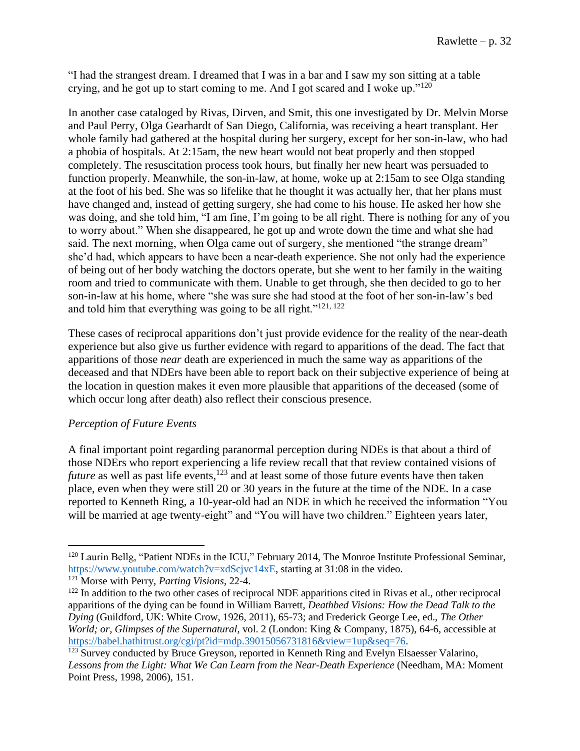"I had the strangest dream. I dreamed that I was in a bar and I saw my son sitting at a table crying, and he got up to start coming to me. And I got scared and I woke up."<sup>120</sup>

In another case cataloged by Rivas, Dirven, and Smit, this one investigated by Dr. Melvin Morse and Paul Perry, Olga Gearhardt of San Diego, California, was receiving a heart transplant. Her whole family had gathered at the hospital during her surgery, except for her son-in-law, who had a phobia of hospitals. At 2:15am, the new heart would not beat properly and then stopped completely. The resuscitation process took hours, but finally her new heart was persuaded to function properly. Meanwhile, the son-in-law, at home, woke up at 2:15am to see Olga standing at the foot of his bed. She was so lifelike that he thought it was actually her, that her plans must have changed and, instead of getting surgery, she had come to his house. He asked her how she was doing, and she told him, "I am fine, I'm going to be all right. There is nothing for any of you to worry about." When she disappeared, he got up and wrote down the time and what she had said. The next morning, when Olga came out of surgery, she mentioned "the strange dream" she'd had, which appears to have been a near-death experience. She not only had the experience of being out of her body watching the doctors operate, but she went to her family in the waiting room and tried to communicate with them. Unable to get through, she then decided to go to her son-in-law at his home, where "she was sure she had stood at the foot of her son-in-law's bed and told him that everything was going to be all right."121, 122

These cases of reciprocal apparitions don't just provide evidence for the reality of the near-death experience but also give us further evidence with regard to apparitions of the dead. The fact that apparitions of those *near* death are experienced in much the same way as apparitions of the deceased and that NDErs have been able to report back on their subjective experience of being at the location in question makes it even more plausible that apparitions of the deceased (some of which occur long after death) also reflect their conscious presence.

## *Perception of Future Events*

A final important point regarding paranormal perception during NDEs is that about a third of those NDErs who report experiencing a life review recall that that review contained visions of future as well as past life events,<sup>123</sup> and at least some of those future events have then taken place, even when they were still 20 or 30 years in the future at the time of the NDE. In a case reported to Kenneth Ring, a 10-year-old had an NDE in which he received the information "You will be married at age twenty-eight" and "You will have two children." Eighteen years later,

 $120$  Laurin Bellg, "Patient NDEs in the ICU," February 2014, The Monroe Institute Professional Seminar, [https://www.youtube.com/watch?v=xdScjvc14xE,](https://www.youtube.com/watch?v=xdScjvc14xE) starting at 31:08 in the video.

<sup>121</sup> Morse with Perry, *Parting Visions*, 22-4.

<sup>&</sup>lt;sup>122</sup> In addition to the two other cases of reciprocal NDE apparitions cited in Rivas et al., other reciprocal apparitions of the dying can be found in William Barrett, *Deathbed Visions: How the Dead Talk to the Dying* (Guildford, UK: White Crow, 1926, 2011), 65-73; and Frederick George Lee, ed., *The Other World; or, Glimpses of the Supernatural*, vol. 2 (London: King & Company, 1875), 64-6, accessible at [https://babel.hathitrust.org/cgi/pt?id=mdp.39015056731816&view=1up&seq=76.](https://babel.hathitrust.org/cgi/pt?id=mdp.39015056731816&view=1up&seq=76)

<sup>&</sup>lt;sup>123</sup> Survey conducted by Bruce Greyson, reported in Kenneth Ring and Evelyn Elsaesser Valarino, *Lessons from the Light: What We Can Learn from the Near-Death Experience* (Needham, MA: Moment Point Press, 1998, 2006), 151.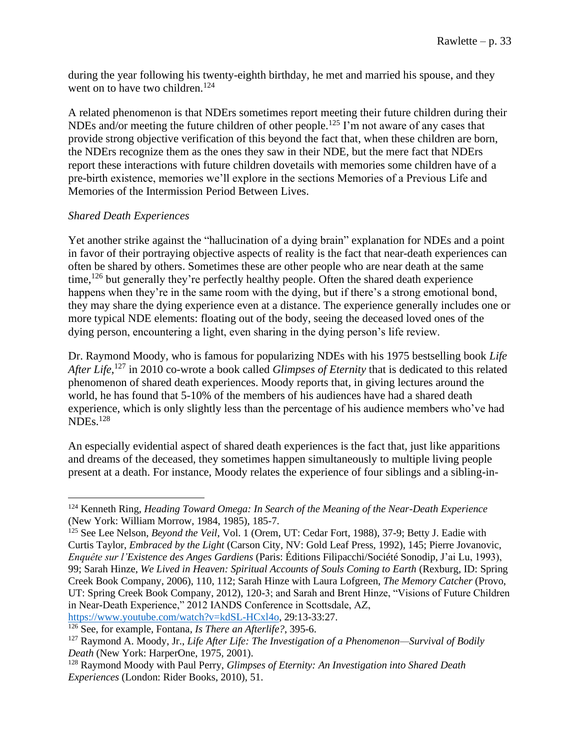during the year following his twenty-eighth birthday, he met and married his spouse, and they went on to have two children.<sup>124</sup>

A related phenomenon is that NDErs sometimes report meeting their future children during their NDEs and/or meeting the future children of other people.<sup>125</sup> I'm not aware of any cases that provide strong objective verification of this beyond the fact that, when these children are born, the NDErs recognize them as the ones they saw in their NDE, but the mere fact that NDErs report these interactions with future children dovetails with memories some children have of a pre-birth existence, memories we'll explore in the sections Memories of a Previous Life and Memories of the Intermission Period Between Lives.

## *Shared Death Experiences*

Yet another strike against the "hallucination of a dying brain" explanation for NDEs and a point in favor of their portraying objective aspects of reality is the fact that near-death experiences can often be shared by others. Sometimes these are other people who are near death at the same time,<sup>126</sup> but generally they're perfectly healthy people. Often the shared death experience happens when they're in the same room with the dying, but if there's a strong emotional bond, they may share the dying experience even at a distance. The experience generally includes one or more typical NDE elements: floating out of the body, seeing the deceased loved ones of the dying person, encountering a light, even sharing in the dying person's life review.

Dr. Raymond Moody, who is famous for popularizing NDEs with his 1975 bestselling book *Life*  After Life,<sup>127</sup> in 2010 co-wrote a book called *Glimpses of Eternity* that is dedicated to this related phenomenon of shared death experiences. Moody reports that, in giving lectures around the world, he has found that 5-10% of the members of his audiences have had a shared death experience, which is only slightly less than the percentage of his audience members who've had NDEs. 128

An especially evidential aspect of shared death experiences is the fact that, just like apparitions and dreams of the deceased, they sometimes happen simultaneously to multiple living people present at a death. For instance, Moody relates the experience of four siblings and a sibling-in-

<sup>126</sup> See, for example, Fontana, *Is There an Afterlife?*, 395-6.

<sup>124</sup> Kenneth Ring, *Heading Toward Omega: In Search of the Meaning of the Near-Death Experience* (New York: William Morrow, 1984, 1985), 185-7.

<sup>125</sup> See Lee Nelson, *Beyond the Veil*, Vol. 1 (Orem, UT: Cedar Fort, 1988), 37-9; Betty J. Eadie with Curtis Taylor, *Embraced by the Light* (Carson City, NV: Gold Leaf Press, 1992), 145; Pierre Jovanovic, *Enquête sur l'Existence des Anges Gardiens* (Paris: Éditions Filipacchi/Société Sonodip, J'ai Lu, 1993), 99; Sarah Hinze, *We Lived in Heaven: Spiritual Accounts of Souls Coming to Earth* (Rexburg, ID: Spring Creek Book Company, 2006), 110, 112; Sarah Hinze with Laura Lofgreen, *The Memory Catcher* (Provo, UT: Spring Creek Book Company, 2012), 120-3; and Sarah and Brent Hinze, "Visions of Future Children in Near-Death Experience," 2012 IANDS Conference in Scottsdale, AZ, [https://www.youtube.com/watch?v=kdSL-HCxl4o,](https://www.youtube.com/watch?v=kdSL-HCxl4o) 29:13-33:27.

<sup>127</sup> Raymond A. Moody, Jr., *Life After Life: The Investigation of a Phenomenon—Survival of Bodily Death* (New York: HarperOne, 1975, 2001).

<sup>128</sup> Raymond Moody with Paul Perry, *Glimpses of Eternity: An Investigation into Shared Death Experiences* (London: Rider Books, 2010), 51.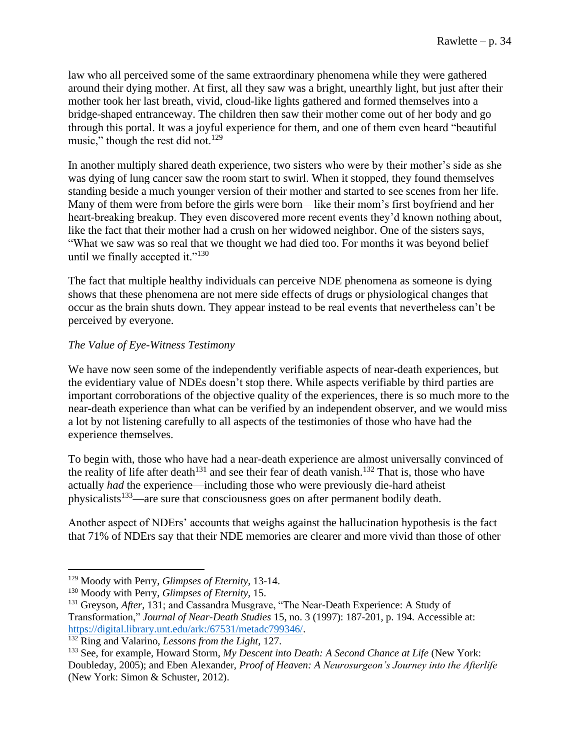law who all perceived some of the same extraordinary phenomena while they were gathered around their dying mother. At first, all they saw was a bright, unearthly light, but just after their mother took her last breath, vivid, cloud-like lights gathered and formed themselves into a bridge-shaped entranceway. The children then saw their mother come out of her body and go through this portal. It was a joyful experience for them, and one of them even heard "beautiful music," though the rest did not. $129$ 

In another multiply shared death experience, two sisters who were by their mother's side as she was dying of lung cancer saw the room start to swirl. When it stopped, they found themselves standing beside a much younger version of their mother and started to see scenes from her life. Many of them were from before the girls were born—like their mom's first boyfriend and her heart-breaking breakup. They even discovered more recent events they'd known nothing about, like the fact that their mother had a crush on her widowed neighbor. One of the sisters says, "What we saw was so real that we thought we had died too. For months it was beyond belief until we finally accepted it."<sup>130</sup>

The fact that multiple healthy individuals can perceive NDE phenomena as someone is dying shows that these phenomena are not mere side effects of drugs or physiological changes that occur as the brain shuts down. They appear instead to be real events that nevertheless can't be perceived by everyone.

## *The Value of Eye-Witness Testimony*

We have now seen some of the independently verifiable aspects of near-death experiences, but the evidentiary value of NDEs doesn't stop there. While aspects verifiable by third parties are important corroborations of the objective quality of the experiences, there is so much more to the near-death experience than what can be verified by an independent observer, and we would miss a lot by not listening carefully to all aspects of the testimonies of those who have had the experience themselves.

To begin with, those who have had a near-death experience are almost universally convinced of the reality of life after death<sup>131</sup> and see their fear of death vanish.<sup>132</sup> That is, those who have actually *had* the experience—including those who were previously die-hard atheist physicalists<sup>133</sup>—are sure that consciousness goes on after permanent bodily death.

Another aspect of NDErs' accounts that weighs against the hallucination hypothesis is the fact that 71% of NDErs say that their NDE memories are clearer and more vivid than those of other

<sup>129</sup> Moody with Perry, *Glimpses of Eternity*, 13-14.

<sup>130</sup> Moody with Perry, *Glimpses of Eternity*, 15.

<sup>131</sup> Greyson, *After*, 131; and Cassandra Musgrave, "The Near-Death Experience: A Study of Transformation," *Journal of Near-Death Studies* 15, no. 3 (1997): 187-201, p. 194. Accessible at: [https://digital.library.unt.edu/ark:/67531/metadc799346/.](https://digital.library.unt.edu/ark:/67531/metadc799346/)

<sup>132</sup> Ring and Valarino, *Lessons from the Light*, 127.

<sup>133</sup> See, for example, Howard Storm, *My Descent into Death: A Second Chance at Life* (New York: Doubleday, 2005); and Eben Alexander, *Proof of Heaven: A Neurosurgeon's Journey into the Afterlife* (New York: Simon & Schuster, 2012).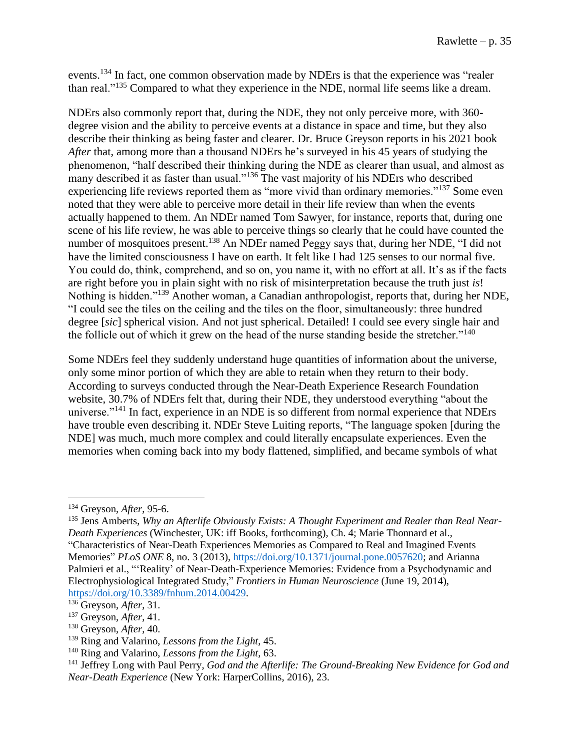events.<sup>134</sup> In fact, one common observation made by NDErs is that the experience was "realer than real."<sup>135</sup> Compared to what they experience in the NDE, normal life seems like a dream.

NDErs also commonly report that, during the NDE, they not only perceive more, with 360 degree vision and the ability to perceive events at a distance in space and time, but they also describe their thinking as being faster and clearer. Dr. Bruce Greyson reports in his 2021 book *After* that, among more than a thousand NDErs he's surveyed in his 45 years of studying the phenomenon, "half described their thinking during the NDE as clearer than usual, and almost as many described it as faster than usual."<sup>136</sup> The vast majority of his NDErs who described experiencing life reviews reported them as "more vivid than ordinary memories."<sup>137</sup> Some even noted that they were able to perceive more detail in their life review than when the events actually happened to them. An NDEr named Tom Sawyer, for instance, reports that, during one scene of his life review, he was able to perceive things so clearly that he could have counted the number of mosquitoes present.<sup>138</sup> An NDEr named Peggy says that, during her NDE, "I did not have the limited consciousness I have on earth. It felt like I had 125 senses to our normal five. You could do, think, comprehend, and so on, you name it, with no effort at all. It's as if the facts are right before you in plain sight with no risk of misinterpretation because the truth just *is*! Nothing is hidden."<sup>139</sup> Another woman, a Canadian anthropologist, reports that, during her NDE, "I could see the tiles on the ceiling and the tiles on the floor, simultaneously: three hundred degree [*sic*] spherical vision. And not just spherical. Detailed! I could see every single hair and the follicle out of which it grew on the head of the nurse standing beside the stretcher."<sup>140</sup>

Some NDErs feel they suddenly understand huge quantities of information about the universe, only some minor portion of which they are able to retain when they return to their body. According to surveys conducted through the Near-Death Experience Research Foundation website, 30.7% of NDErs felt that, during their NDE, they understood everything "about the universe."<sup>141</sup> In fact, experience in an NDE is so different from normal experience that NDErs have trouble even describing it. NDEr Steve Luiting reports, "The language spoken [during the NDE] was much, much more complex and could literally encapsulate experiences. Even the memories when coming back into my body flattened, simplified, and became symbols of what

<sup>134</sup> Greyson, *After*, 95-6.

<sup>135</sup> Jens Amberts, *Why an Afterlife Obviously Exists: A Thought Experiment and Realer than Real Near-Death Experiences* (Winchester, UK: iff Books, forthcoming), Ch. 4; Marie Thonnard et al., "Characteristics of Near-Death Experiences Memories as Compared to Real and Imagined Events Memories" *PLoS ONE* 8, no. 3 (2013), [https://doi.org/10.1371/journal.pone.0057620;](https://doi.org/10.1371/journal.pone.0057620) and Arianna Palmieri et al., "'Reality' of Near-Death-Experience Memories: Evidence from a Psychodynamic and Electrophysiological Integrated Study," *Frontiers in Human Neuroscience* (June 19, 2014), [https://doi.org/10.3389/fnhum.2014.00429.](https://doi.org/10.3389/fnhum.2014.00429)

<sup>136</sup> Greyson, *After*, 31.

<sup>137</sup> Greyson, *After*, 41.

<sup>138</sup> Greyson, *After*, 40.

<sup>139</sup> Ring and Valarino, *Lessons from the Light*, 45.

<sup>140</sup> Ring and Valarino, *Lessons from the Light*, 63.

<sup>141</sup> Jeffrey Long with Paul Perry, *God and the Afterlife: The Ground-Breaking New Evidence for God and Near-Death Experience* (New York: HarperCollins, 2016), 23.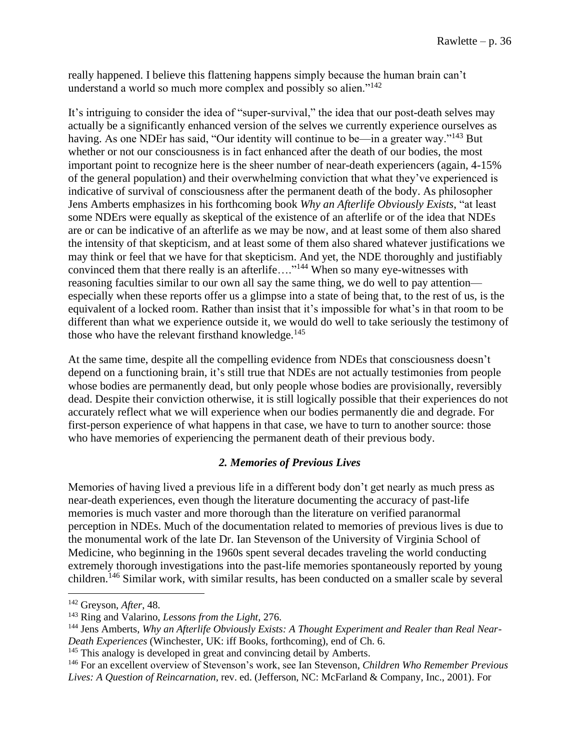really happened. I believe this flattening happens simply because the human brain can't understand a world so much more complex and possibly so alien."<sup>142</sup>

It's intriguing to consider the idea of "super-survival," the idea that our post-death selves may actually be a significantly enhanced version of the selves we currently experience ourselves as having. As one NDEr has said, "Our identity will continue to be—in a greater way."<sup>143</sup> But whether or not our consciousness is in fact enhanced after the death of our bodies, the most important point to recognize here is the sheer number of near-death experiencers (again, 4-15% of the general population) and their overwhelming conviction that what they've experienced is indicative of survival of consciousness after the permanent death of the body. As philosopher Jens Amberts emphasizes in his forthcoming book *Why an Afterlife Obviously Exists*, "at least some NDErs were equally as skeptical of the existence of an afterlife or of the idea that NDEs are or can be indicative of an afterlife as we may be now, and at least some of them also shared the intensity of that skepticism, and at least some of them also shared whatever justifications we may think or feel that we have for that skepticism. And yet, the NDE thoroughly and justifiably convinced them that there really is an afterlife....<sup>"144</sup> When so many eye-witnesses with reasoning faculties similar to our own all say the same thing, we do well to pay attention especially when these reports offer us a glimpse into a state of being that, to the rest of us, is the equivalent of a locked room. Rather than insist that it's impossible for what's in that room to be different than what we experience outside it, we would do well to take seriously the testimony of those who have the relevant firsthand knowledge.<sup>145</sup>

At the same time, despite all the compelling evidence from NDEs that consciousness doesn't depend on a functioning brain, it's still true that NDEs are not actually testimonies from people whose bodies are permanently dead, but only people whose bodies are provisionally, reversibly dead. Despite their conviction otherwise, it is still logically possible that their experiences do not accurately reflect what we will experience when our bodies permanently die and degrade. For first-person experience of what happens in that case, we have to turn to another source: those who have memories of experiencing the permanent death of their previous body.

## *2. Memories of Previous Lives*

Memories of having lived a previous life in a different body don't get nearly as much press as near-death experiences, even though the literature documenting the accuracy of past-life memories is much vaster and more thorough than the literature on verified paranormal perception in NDEs. Much of the documentation related to memories of previous lives is due to the monumental work of the late Dr. Ian Stevenson of the University of Virginia School of Medicine, who beginning in the 1960s spent several decades traveling the world conducting extremely thorough investigations into the past-life memories spontaneously reported by young children.<sup>146</sup> Similar work, with similar results, has been conducted on a smaller scale by several

<sup>142</sup> Greyson, *After*, 48.

<sup>143</sup> Ring and Valarino, *Lessons from the Light*, 276.

<sup>&</sup>lt;sup>144</sup> Jens Amberts, *Why an Afterlife Obviously Exists: A Thought Experiment and Realer than Real Near-Death Experiences* (Winchester, UK: iff Books, forthcoming), end of Ch. 6.

<sup>&</sup>lt;sup>145</sup> This analogy is developed in great and convincing detail by Amberts.

<sup>146</sup> For an excellent overview of Stevenson's work, see Ian Stevenson, *Children Who Remember Previous Lives: A Question of Reincarnation*, rev. ed. (Jefferson, NC: McFarland & Company, Inc., 2001). For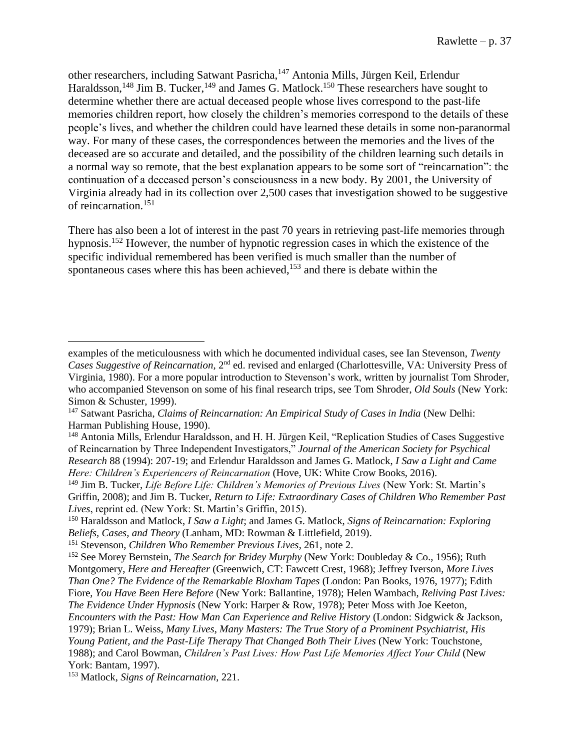other researchers, including Satwant Pasricha,<sup>147</sup> Antonia Mills, Jürgen Keil, Erlendur Haraldsson,<sup>148</sup> Jim B. Tucker,<sup>149</sup> and James G. Matlock.<sup>150</sup> These researchers have sought to determine whether there are actual deceased people whose lives correspond to the past-life memories children report, how closely the children's memories correspond to the details of these people's lives, and whether the children could have learned these details in some non-paranormal way. For many of these cases, the correspondences between the memories and the lives of the deceased are so accurate and detailed, and the possibility of the children learning such details in a normal way so remote, that the best explanation appears to be some sort of "reincarnation": the continuation of a deceased person's consciousness in a new body. By 2001, the University of Virginia already had in its collection over 2,500 cases that investigation showed to be suggestive of reincarnation.<sup>151</sup>

There has also been a lot of interest in the past 70 years in retrieving past-life memories through hypnosis.<sup>152</sup> However, the number of hypnotic regression cases in which the existence of the specific individual remembered has been verified is much smaller than the number of spontaneous cases where this has been achieved,  $153$  and there is debate within the

examples of the meticulousness with which he documented individual cases, see Ian Stevenson, *Twenty*  Cases Suggestive of Reincarnation, 2<sup>nd</sup> ed. revised and enlarged (Charlottesville, VA: University Press of Virginia, 1980). For a more popular introduction to Stevenson's work, written by journalist Tom Shroder, who accompanied Stevenson on some of his final research trips, see Tom Shroder, *Old Souls* (New York: Simon & Schuster, 1999).

<sup>147</sup> Satwant Pasricha, *Claims of Reincarnation: An Empirical Study of Cases in India* (New Delhi: Harman Publishing House, 1990).

<sup>&</sup>lt;sup>148</sup> Antonia Mills, Erlendur Haraldsson, and H. H. Jürgen Keil, "Replication Studies of Cases Suggestive of Reincarnation by Three Independent Investigators," *Journal of the American Society for Psychical Research* 88 (1994): 207-19; and Erlendur Haraldsson and James G. Matlock, *I Saw a Light and Came Here: Children's Experiencers of Reincarnation* (Hove, UK: White Crow Books, 2016).

<sup>149</sup> Jim B. Tucker, *Life Before Life: Children's Memories of Previous Lives* (New York: St. Martin's Griffin, 2008); and Jim B. Tucker, *Return to Life: Extraordinary Cases of Children Who Remember Past Lives*, reprint ed. (New York: St. Martin's Griffin, 2015).

<sup>150</sup> Haraldsson and Matlock, *I Saw a Light*; and James G. Matlock, *Signs of Reincarnation: Exploring Beliefs, Cases, and Theory* (Lanham, MD: Rowman & Littlefield, 2019).

<sup>151</sup> Stevenson, *Children Who Remember Previous Lives*, 261, note 2.

<sup>152</sup> See Morey Bernstein, *The Search for Bridey Murphy* (New York: Doubleday & Co., 1956); Ruth Montgomery, *Here and Hereafter* (Greenwich, CT: Fawcett Crest, 1968); Jeffrey Iverson, *More Lives Than One? The Evidence of the Remarkable Bloxham Tapes* (London: Pan Books, 1976, 1977); Edith Fiore, *You Have Been Here Before* (New York: Ballantine, 1978); Helen Wambach, *Reliving Past Lives: The Evidence Under Hypnosis* (New York: Harper & Row, 1978); Peter Moss with Joe Keeton, *Encounters with the Past: How Man Can Experience and Relive History* (London: Sidgwick & Jackson, 1979); Brian L. Weiss, *Many Lives, Many Masters: The True Story of a Prominent Psychiatrist, His Young Patient, and the Past-Life Therapy That Changed Both Their Lives* (New York: Touchstone, 1988); and Carol Bowman, *Children's Past Lives: How Past Life Memories Affect Your Child* (New York: Bantam, 1997).

<sup>153</sup> Matlock, *Signs of Reincarnation*, 221.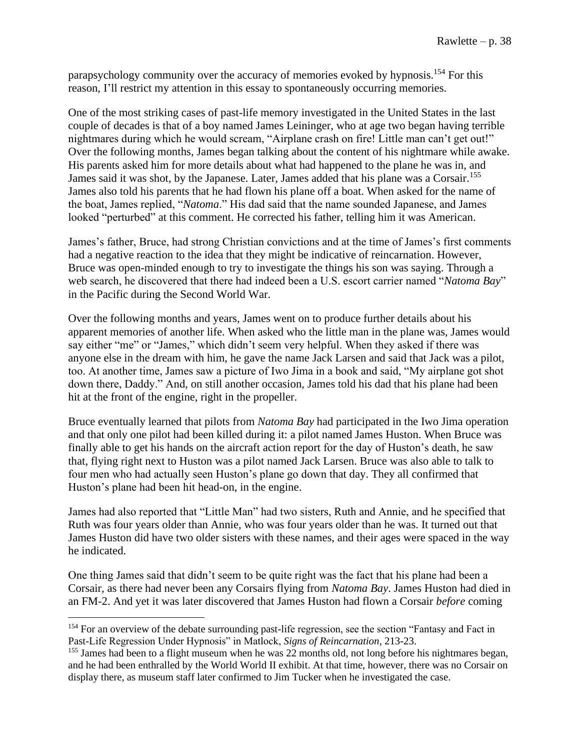parapsychology community over the accuracy of memories evoked by hypnosis.<sup>154</sup> For this reason, I'll restrict my attention in this essay to spontaneously occurring memories.

One of the most striking cases of past-life memory investigated in the United States in the last couple of decades is that of a boy named James Leininger, who at age two began having terrible nightmares during which he would scream, "Airplane crash on fire! Little man can't get out!" Over the following months, James began talking about the content of his nightmare while awake. His parents asked him for more details about what had happened to the plane he was in, and James said it was shot, by the Japanese. Later, James added that his plane was a Corsair.<sup>155</sup> James also told his parents that he had flown his plane off a boat. When asked for the name of the boat, James replied, "*Natoma*." His dad said that the name sounded Japanese, and James looked "perturbed" at this comment. He corrected his father, telling him it was American.

James's father, Bruce, had strong Christian convictions and at the time of James's first comments had a negative reaction to the idea that they might be indicative of reincarnation. However, Bruce was open-minded enough to try to investigate the things his son was saying. Through a web search, he discovered that there had indeed been a U.S. escort carrier named "*Natoma Bay*" in the Pacific during the Second World War.

Over the following months and years, James went on to produce further details about his apparent memories of another life. When asked who the little man in the plane was, James would say either "me" or "James," which didn't seem very helpful. When they asked if there was anyone else in the dream with him, he gave the name Jack Larsen and said that Jack was a pilot, too. At another time, James saw a picture of Iwo Jima in a book and said, "My airplane got shot down there, Daddy." And, on still another occasion, James told his dad that his plane had been hit at the front of the engine, right in the propeller.

Bruce eventually learned that pilots from *Natoma Bay* had participated in the Iwo Jima operation and that only one pilot had been killed during it: a pilot named James Huston. When Bruce was finally able to get his hands on the aircraft action report for the day of Huston's death, he saw that, flying right next to Huston was a pilot named Jack Larsen. Bruce was also able to talk to four men who had actually seen Huston's plane go down that day. They all confirmed that Huston's plane had been hit head-on, in the engine.

James had also reported that "Little Man" had two sisters, Ruth and Annie, and he specified that Ruth was four years older than Annie, who was four years older than he was. It turned out that James Huston did have two older sisters with these names, and their ages were spaced in the way he indicated.

One thing James said that didn't seem to be quite right was the fact that his plane had been a Corsair, as there had never been any Corsairs flying from *Natoma Bay*. James Huston had died in an FM-2. And yet it was later discovered that James Huston had flown a Corsair *before* coming

<sup>&</sup>lt;sup>154</sup> For an overview of the debate surrounding past-life regression, see the section "Fantasy and Fact in Past-Life Regression Under Hypnosis" in Matlock, *Signs of Reincarnation*, 213-23.

<sup>&</sup>lt;sup>155</sup> James had been to a flight museum when he was 22 months old, not long before his nightmares began, and he had been enthralled by the World World II exhibit. At that time, however, there was no Corsair on display there, as museum staff later confirmed to Jim Tucker when he investigated the case.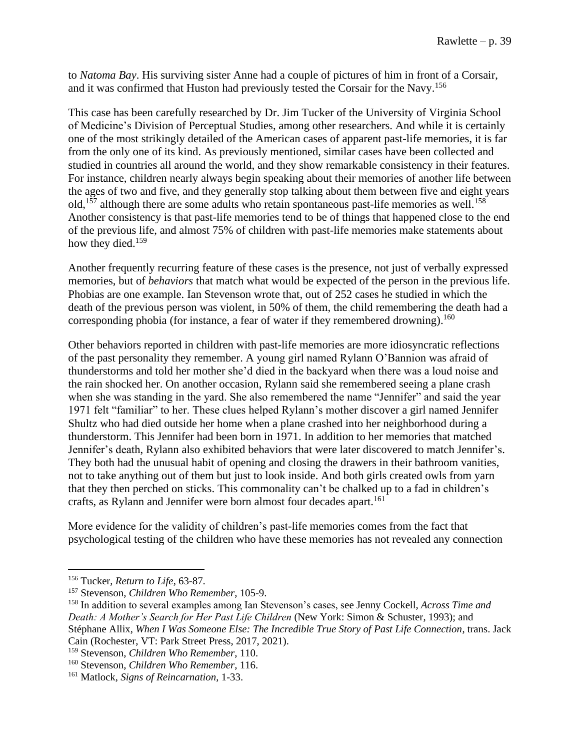to *Natoma Bay*. His surviving sister Anne had a couple of pictures of him in front of a Corsair, and it was confirmed that Huston had previously tested the Corsair for the Navy. 156

This case has been carefully researched by Dr. Jim Tucker of the University of Virginia School of Medicine's Division of Perceptual Studies, among other researchers. And while it is certainly one of the most strikingly detailed of the American cases of apparent past-life memories, it is far from the only one of its kind. As previously mentioned, similar cases have been collected and studied in countries all around the world, and they show remarkable consistency in their features. For instance, children nearly always begin speaking about their memories of another life between the ages of two and five, and they generally stop talking about them between five and eight years old,<sup>157</sup> although there are some adults who retain spontaneous past-life memories as well.<sup>158</sup> Another consistency is that past-life memories tend to be of things that happened close to the end of the previous life, and almost 75% of children with past-life memories make statements about how they died.<sup>159</sup>

Another frequently recurring feature of these cases is the presence, not just of verbally expressed memories, but of *behaviors* that match what would be expected of the person in the previous life. Phobias are one example. Ian Stevenson wrote that, out of 252 cases he studied in which the death of the previous person was violent, in 50% of them, the child remembering the death had a corresponding phobia (for instance, a fear of water if they remembered drowning).<sup>160</sup>

Other behaviors reported in children with past-life memories are more idiosyncratic reflections of the past personality they remember. A young girl named Rylann O'Bannion was afraid of thunderstorms and told her mother she'd died in the backyard when there was a loud noise and the rain shocked her. On another occasion, Rylann said she remembered seeing a plane crash when she was standing in the yard. She also remembered the name "Jennifer" and said the year 1971 felt "familiar" to her. These clues helped Rylann's mother discover a girl named Jennifer Shultz who had died outside her home when a plane crashed into her neighborhood during a thunderstorm. This Jennifer had been born in 1971. In addition to her memories that matched Jennifer's death, Rylann also exhibited behaviors that were later discovered to match Jennifer's. They both had the unusual habit of opening and closing the drawers in their bathroom vanities, not to take anything out of them but just to look inside. And both girls created owls from yarn that they then perched on sticks. This commonality can't be chalked up to a fad in children's crafts, as Rylann and Jennifer were born almost four decades apart. 161

More evidence for the validity of children's past-life memories comes from the fact that psychological testing of the children who have these memories has not revealed any connection

<sup>156</sup> Tucker, *Return to Life*, 63-87.

<sup>157</sup> Stevenson, *Children Who Remember*, 105-9.

<sup>158</sup> In addition to several examples among Ian Stevenson's cases, see Jenny Cockell, *Across Time and Death: A Mother's Search for Her Past Life Children* (New York: Simon & Schuster, 1993); and Stéphane Allix, *When I Was Someone Else: The Incredible True Story of Past Life Connection*, trans. Jack Cain (Rochester, VT: Park Street Press, 2017, 2021).

<sup>159</sup> Stevenson, *Children Who Remember*, 110.

<sup>160</sup> Stevenson, *Children Who Remember*, 116.

<sup>161</sup> Matlock, *Signs of Reincarnation*, 1-33.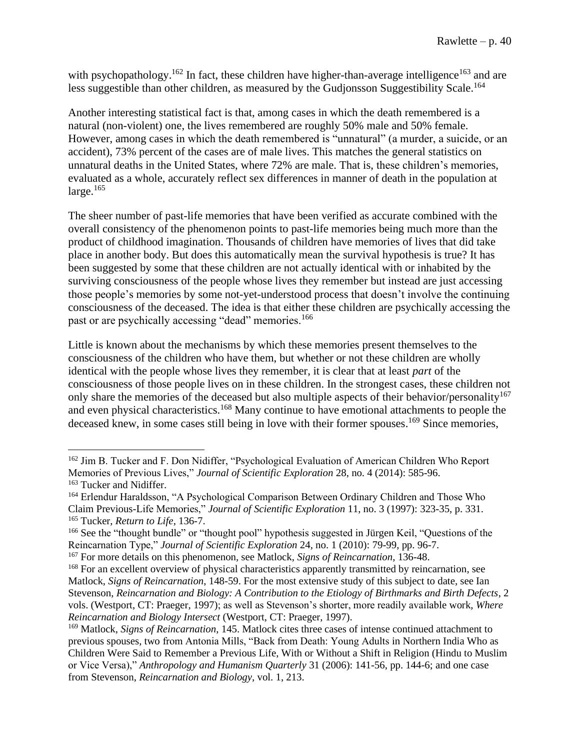with psychopathology.<sup>162</sup> In fact, these children have higher-than-average intelligence<sup>163</sup> and are less suggestible than other children, as measured by the Gudionsson Suggestibility Scale.<sup>164</sup>

Another interesting statistical fact is that, among cases in which the death remembered is a natural (non-violent) one, the lives remembered are roughly 50% male and 50% female. However, among cases in which the death remembered is "unnatural" (a murder, a suicide, or an accident), 73% percent of the cases are of male lives. This matches the general statistics on unnatural deaths in the United States, where 72% are male. That is, these children's memories, evaluated as a whole, accurately reflect sex differences in manner of death in the population at  $large.<sup>165</sup>$ 

The sheer number of past-life memories that have been verified as accurate combined with the overall consistency of the phenomenon points to past-life memories being much more than the product of childhood imagination. Thousands of children have memories of lives that did take place in another body. But does this automatically mean the survival hypothesis is true? It has been suggested by some that these children are not actually identical with or inhabited by the surviving consciousness of the people whose lives they remember but instead are just accessing those people's memories by some not-yet-understood process that doesn't involve the continuing consciousness of the deceased. The idea is that either these children are psychically accessing the past or are psychically accessing "dead" memories.<sup>166</sup>

Little is known about the mechanisms by which these memories present themselves to the consciousness of the children who have them, but whether or not these children are wholly identical with the people whose lives they remember, it is clear that at least *part* of the consciousness of those people lives on in these children. In the strongest cases, these children not only share the memories of the deceased but also multiple aspects of their behavior/personality<sup>167</sup> and even physical characteristics.<sup>168</sup> Many continue to have emotional attachments to people the deceased knew, in some cases still being in love with their former spouses.<sup>169</sup> Since memories,

<sup>&</sup>lt;sup>162</sup> Jim B. Tucker and F. Don Nidiffer, "Psychological Evaluation of American Children Who Report Memories of Previous Lives," *Journal of Scientific Exploration* 28, no. 4 (2014): 585-96. <sup>163</sup> Tucker and Nidiffer.

<sup>164</sup> Erlendur Haraldsson, "A Psychological Comparison Between Ordinary Children and Those Who Claim Previous-Life Memories," *Journal of Scientific Exploration* 11, no. 3 (1997): 323-35, p. 331. <sup>165</sup> Tucker, *Return to Life*, 136-7.

<sup>&</sup>lt;sup>166</sup> See the "thought bundle" or "thought pool" hypothesis suggested in Jürgen Keil, "Questions of the Reincarnation Type," *Journal of Scientific Exploration* 24, no. 1 (2010): 79-99, pp. 96-7.

<sup>167</sup> For more details on this phenomenon, see Matlock, *Signs of Reincarnation*, 136-48.

<sup>168</sup> For an excellent overview of physical characteristics apparently transmitted by reincarnation, see Matlock, *Signs of Reincarnation*, 148-59. For the most extensive study of this subject to date, see Ian Stevenson, *Reincarnation and Biology: A Contribution to the Etiology of Birthmarks and Birth Defects*, 2 vols. (Westport, CT: Praeger, 1997); as well as Stevenson's shorter, more readily available work, *Where Reincarnation and Biology Intersect* (Westport, CT: Praeger, 1997).

<sup>169</sup> Matlock, *Signs of Reincarnation*, 145. Matlock cites three cases of intense continued attachment to previous spouses, two from Antonia Mills, "Back from Death: Young Adults in Northern India Who as Children Were Said to Remember a Previous Life, With or Without a Shift in Religion (Hindu to Muslim or Vice Versa)," *Anthropology and Humanism Quarterly* 31 (2006): 141-56, pp. 144-6; and one case from Stevenson, *Reincarnation and Biology*, vol. 1, 213.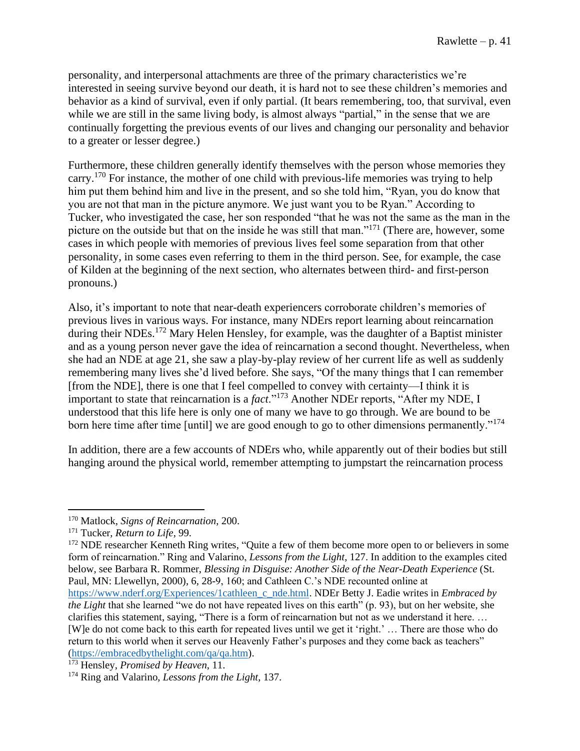personality, and interpersonal attachments are three of the primary characteristics we're interested in seeing survive beyond our death, it is hard not to see these children's memories and behavior as a kind of survival, even if only partial. (It bears remembering, too, that survival, even while we are still in the same living body, is almost always "partial," in the sense that we are continually forgetting the previous events of our lives and changing our personality and behavior to a greater or lesser degree.)

Furthermore, these children generally identify themselves with the person whose memories they carry.<sup>170</sup> For instance, the mother of one child with previous-life memories was trying to help him put them behind him and live in the present, and so she told him, "Ryan, you do know that you are not that man in the picture anymore. We just want you to be Ryan." According to Tucker, who investigated the case, her son responded "that he was not the same as the man in the picture on the outside but that on the inside he was still that man."<sup>171</sup> (There are, however, some cases in which people with memories of previous lives feel some separation from that other personality, in some cases even referring to them in the third person. See, for example, the case of Kilden at the beginning of the next section, who alternates between third- and first-person pronouns.)

Also, it's important to note that near-death experiencers corroborate children's memories of previous lives in various ways. For instance, many NDErs report learning about reincarnation during their NDEs.<sup>172</sup> Mary Helen Hensley, for example, was the daughter of a Baptist minister and as a young person never gave the idea of reincarnation a second thought. Nevertheless, when she had an NDE at age 21, she saw a play-by-play review of her current life as well as suddenly remembering many lives she'd lived before. She says, "Of the many things that I can remember [from the NDE], there is one that I feel compelled to convey with certainty—I think it is important to state that reincarnation is a *fact*."<sup>173</sup> Another NDEr reports, "After my NDE, I understood that this life here is only one of many we have to go through. We are bound to be born here time after time [until] we are good enough to go to other dimensions permanently."<sup>174</sup>

In addition, there are a few accounts of NDErs who, while apparently out of their bodies but still hanging around the physical world, remember attempting to jumpstart the reincarnation process

<sup>172</sup> NDE researcher Kenneth Ring writes, "Ouite a few of them become more open to or believers in some form of reincarnation." Ring and Valarino, *Lessons from the Light*, 127. In addition to the examples cited below, see Barbara R. Rommer, *Blessing in Disguise: Another Side of the Near-Death Experience* (St. Paul, MN: Llewellyn, 2000), 6, 28-9, 160; and Cathleen C.'s NDE recounted online at

<sup>170</sup> Matlock, *Signs of Reincarnation*, 200.

<sup>171</sup> Tucker, *Return to Life*, 99.

[https://www.nderf.org/Experiences/1cathleen\\_c\\_nde.html.](https://www.nderf.org/Experiences/1cathleen_c_nde.html) NDEr Betty J. Eadie writes in *Embraced by the Light* that she learned "we do not have repeated lives on this earth" (p. 93), but on her website, she clarifies this statement, saying, "There is a form of reincarnation but not as we understand it here. … [W]e do not come back to this earth for repeated lives until we get it 'right.' … There are those who do return to this world when it serves our Heavenly Father's purposes and they come back as teachers" [\(https://embracedbythelight.com/qa/qa.htm\)](https://embracedbythelight.com/qa/qa.htm).

<sup>173</sup> Hensley, *Promised by Heaven*, 11.

<sup>174</sup> Ring and Valarino, *Lessons from the Light*, 137.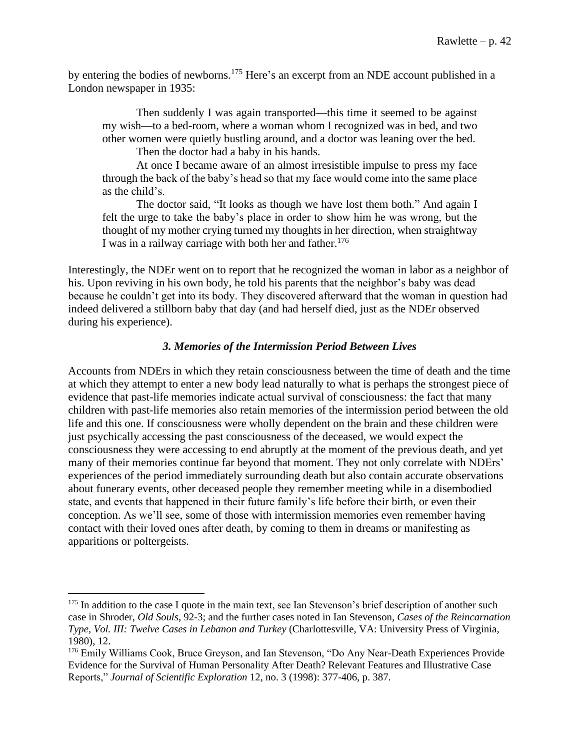by entering the bodies of newborns.<sup>175</sup> Here's an excerpt from an NDE account published in a London newspaper in 1935:

Then suddenly I was again transported—this time it seemed to be against my wish—to a bed-room, where a woman whom I recognized was in bed, and two other women were quietly bustling around, and a doctor was leaning over the bed.

Then the doctor had a baby in his hands.

At once I became aware of an almost irresistible impulse to press my face through the back of the baby's head so that my face would come into the same place as the child's.

The doctor said, "It looks as though we have lost them both." And again I felt the urge to take the baby's place in order to show him he was wrong, but the thought of my mother crying turned my thoughts in her direction, when straightway I was in a railway carriage with both her and father.<sup>176</sup>

Interestingly, the NDEr went on to report that he recognized the woman in labor as a neighbor of his. Upon reviving in his own body, he told his parents that the neighbor's baby was dead because he couldn't get into its body. They discovered afterward that the woman in question had indeed delivered a stillborn baby that day (and had herself died, just as the NDEr observed during his experience).

#### *3. Memories of the Intermission Period Between Lives*

Accounts from NDErs in which they retain consciousness between the time of death and the time at which they attempt to enter a new body lead naturally to what is perhaps the strongest piece of evidence that past-life memories indicate actual survival of consciousness: the fact that many children with past-life memories also retain memories of the intermission period between the old life and this one. If consciousness were wholly dependent on the brain and these children were just psychically accessing the past consciousness of the deceased, we would expect the consciousness they were accessing to end abruptly at the moment of the previous death, and yet many of their memories continue far beyond that moment. They not only correlate with NDErs' experiences of the period immediately surrounding death but also contain accurate observations about funerary events, other deceased people they remember meeting while in a disembodied state, and events that happened in their future family's life before their birth, or even their conception. As we'll see, some of those with intermission memories even remember having contact with their loved ones after death, by coming to them in dreams or manifesting as apparitions or poltergeists.

<sup>&</sup>lt;sup>175</sup> In addition to the case I quote in the main text, see Ian Stevenson's brief description of another such case in Shroder, *Old Souls*, 92-3; and the further cases noted in Ian Stevenson, *Cases of the Reincarnation Type, Vol. III: Twelve Cases in Lebanon and Turkey* (Charlottesville, VA: University Press of Virginia, 1980), 12.

<sup>176</sup> Emily Williams Cook, Bruce Greyson, and Ian Stevenson, "Do Any Near-Death Experiences Provide Evidence for the Survival of Human Personality After Death? Relevant Features and Illustrative Case Reports," *Journal of Scientific Exploration* 12, no. 3 (1998): 377-406, p. 387.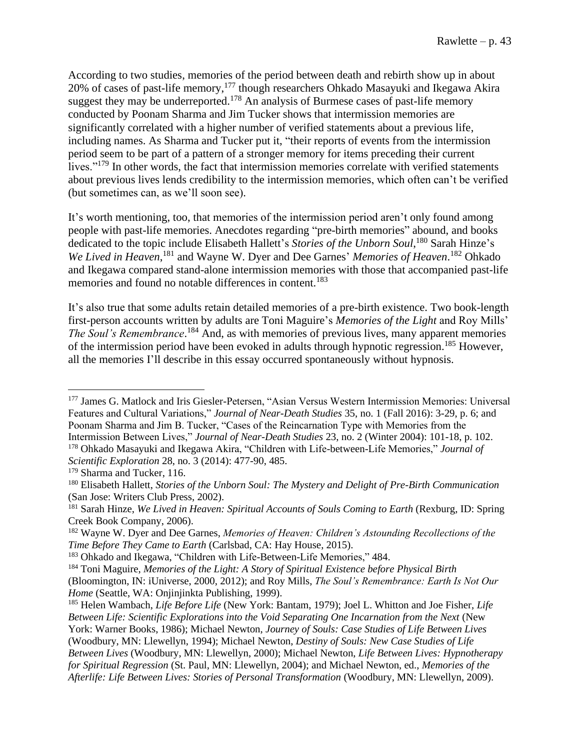According to two studies, memories of the period between death and rebirth show up in about 20% of cases of past-life memory, <sup>177</sup> though researchers Ohkado Masayuki and Ikegawa Akira suggest they may be underreported.<sup>178</sup> An analysis of Burmese cases of past-life memory conducted by Poonam Sharma and Jim Tucker shows that intermission memories are significantly correlated with a higher number of verified statements about a previous life, including names. As Sharma and Tucker put it, "their reports of events from the intermission period seem to be part of a pattern of a stronger memory for items preceding their current lives."<sup>179</sup> In other words, the fact that intermission memories correlate with verified statements about previous lives lends credibility to the intermission memories, which often can't be verified (but sometimes can, as we'll soon see).

It's worth mentioning, too, that memories of the intermission period aren't only found among people with past-life memories. Anecdotes regarding "pre-birth memories" abound, and books dedicated to the topic include Elisabeth Hallett's *Stories of the Unborn Soul*, <sup>180</sup> Sarah Hinze's We Lived in Heaven,<sup>181</sup> and Wayne W. Dyer and Dee Garnes' Memories of Heaven.<sup>182</sup> Ohkado and Ikegawa compared stand-alone intermission memories with those that accompanied past-life memories and found no notable differences in content.<sup>183</sup>

It's also true that some adults retain detailed memories of a pre-birth existence. Two book-length first-person accounts written by adults are Toni Maguire's *Memories of the Light* and Roy Mills' The Soul's Remembrance.<sup>184</sup> And, as with memories of previous lives, many apparent memories of the intermission period have been evoked in adults through hypnotic regression.<sup>185</sup> However, all the memories I'll describe in this essay occurred spontaneously without hypnosis.

<sup>183</sup> Ohkado and Ikegawa, "Children with Life-Between-Life Memories," 484.

<sup>&</sup>lt;sup>177</sup> James G. Matlock and Iris Giesler-Petersen, "Asian Versus Western Intermission Memories: Universal Features and Cultural Variations," *Journal of Near-Death Studies* 35, no. 1 (Fall 2016): 3-29, p. 6; and Poonam Sharma and Jim B. Tucker, "Cases of the Reincarnation Type with Memories from the Intermission Between Lives," *Journal of Near-Death Studies* 23, no. 2 (Winter 2004): 101-18, p. 102. <sup>178</sup> Ohkado Masayuki and Ikegawa Akira, "Children with Life-between-Life Memories," *Journal of* 

*Scientific Exploration* 28, no. 3 (2014): 477-90, 485.

<sup>&</sup>lt;sup>179</sup> Sharma and Tucker, 116.

<sup>180</sup> Elisabeth Hallett, *Stories of the Unborn Soul: The Mystery and Delight of Pre-Birth Communication* (San Jose: Writers Club Press, 2002).

<sup>181</sup> Sarah Hinze, *We Lived in Heaven: Spiritual Accounts of Souls Coming to Earth* (Rexburg, ID: Spring Creek Book Company, 2006).

<sup>182</sup> Wayne W. Dyer and Dee Garnes, *Memories of Heaven: Children's Astounding Recollections of the Time Before They Came to Earth* (Carlsbad, CA: Hay House, 2015).

<sup>184</sup> Toni Maguire, *Memories of the Light: A Story of Spiritual Existence before Physical Birth* (Bloomington, IN: iUniverse, 2000, 2012); and Roy Mills, *The Soul's Remembrance: Earth Is Not Our Home* (Seattle, WA: Onjinjinkta Publishing, 1999).

<sup>185</sup> Helen Wambach, *Life Before Life* (New York: Bantam, 1979); Joel L. Whitton and Joe Fisher, *Life Between Life: Scientific Explorations into the Void Separating One Incarnation from the Next* (New York: Warner Books, 1986); Michael Newton, *Journey of Souls: Case Studies of Life Between Lives* (Woodbury, MN: Llewellyn, 1994); Michael Newton, *Destiny of Souls: New Case Studies of Life Between Lives* (Woodbury, MN: Llewellyn, 2000); Michael Newton, *Life Between Lives: Hypnotherapy for Spiritual Regression* (St. Paul, MN: Llewellyn, 2004); and Michael Newton, ed., *Memories of the Afterlife: Life Between Lives: Stories of Personal Transformation* (Woodbury, MN: Llewellyn, 2009).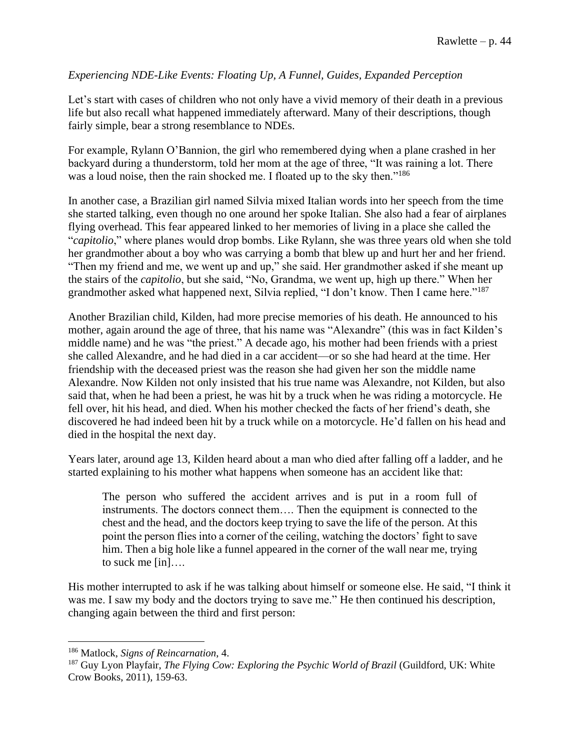## *Experiencing NDE-Like Events: Floating Up, A Funnel, Guides, Expanded Perception*

Let's start with cases of children who not only have a vivid memory of their death in a previous life but also recall what happened immediately afterward. Many of their descriptions, though fairly simple, bear a strong resemblance to NDEs.

For example, Rylann O'Bannion, the girl who remembered dying when a plane crashed in her backyard during a thunderstorm, told her mom at the age of three, "It was raining a lot. There was a loud noise, then the rain shocked me. I floated up to the sky then."<sup>186</sup>

In another case, a Brazilian girl named Silvia mixed Italian words into her speech from the time she started talking, even though no one around her spoke Italian. She also had a fear of airplanes flying overhead. This fear appeared linked to her memories of living in a place she called the "*capitolio*," where planes would drop bombs. Like Rylann, she was three years old when she told her grandmother about a boy who was carrying a bomb that blew up and hurt her and her friend. "Then my friend and me, we went up and up," she said. Her grandmother asked if she meant up the stairs of the *capitolio*, but she said, "No, Grandma, we went up, high up there." When her grandmother asked what happened next, Silvia replied, "I don't know. Then I came here."<sup>187</sup>

Another Brazilian child, Kilden, had more precise memories of his death. He announced to his mother, again around the age of three, that his name was "Alexandre" (this was in fact Kilden's middle name) and he was "the priest." A decade ago, his mother had been friends with a priest she called Alexandre, and he had died in a car accident—or so she had heard at the time. Her friendship with the deceased priest was the reason she had given her son the middle name Alexandre. Now Kilden not only insisted that his true name was Alexandre, not Kilden, but also said that, when he had been a priest, he was hit by a truck when he was riding a motorcycle. He fell over, hit his head, and died. When his mother checked the facts of her friend's death, she discovered he had indeed been hit by a truck while on a motorcycle. He'd fallen on his head and died in the hospital the next day.

Years later, around age 13, Kilden heard about a man who died after falling off a ladder, and he started explaining to his mother what happens when someone has an accident like that:

The person who suffered the accident arrives and is put in a room full of instruments. The doctors connect them…. Then the equipment is connected to the chest and the head, and the doctors keep trying to save the life of the person. At this point the person flies into a corner of the ceiling, watching the doctors' fight to save him. Then a big hole like a funnel appeared in the corner of the wall near me, trying to suck me [in]….

His mother interrupted to ask if he was talking about himself or someone else. He said, "I think it was me. I saw my body and the doctors trying to save me." He then continued his description, changing again between the third and first person:

<sup>186</sup> Matlock, *Signs of Reincarnation*, 4.

<sup>187</sup> Guy Lyon Playfair, *The Flying Cow: Exploring the Psychic World of Brazil* (Guildford, UK: White Crow Books, 2011), 159-63.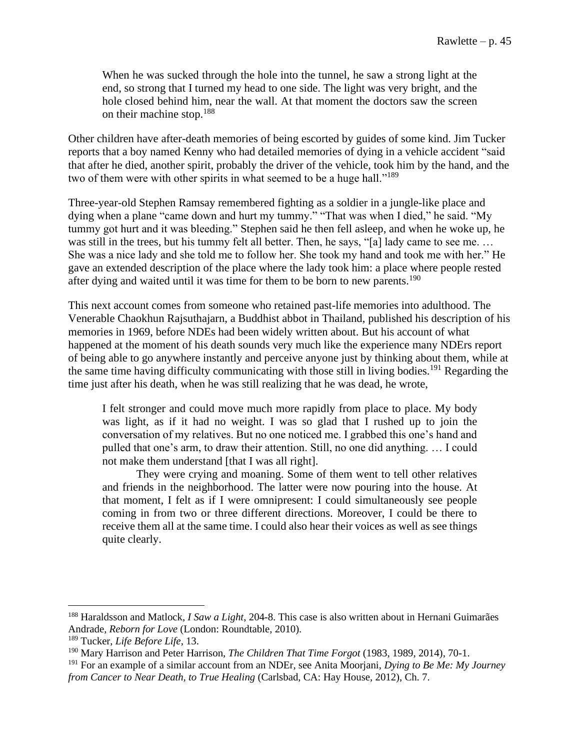When he was sucked through the hole into the tunnel, he saw a strong light at the end, so strong that I turned my head to one side. The light was very bright, and the hole closed behind him, near the wall. At that moment the doctors saw the screen on their machine stop.<sup>188</sup>

Other children have after-death memories of being escorted by guides of some kind. Jim Tucker reports that a boy named Kenny who had detailed memories of dying in a vehicle accident "said that after he died, another spirit, probably the driver of the vehicle, took him by the hand, and the two of them were with other spirits in what seemed to be a huge hall."<sup>189</sup>

Three-year-old Stephen Ramsay remembered fighting as a soldier in a jungle-like place and dying when a plane "came down and hurt my tummy." "That was when I died," he said. "My tummy got hurt and it was bleeding." Stephen said he then fell asleep, and when he woke up, he was still in the trees, but his tummy felt all better. Then, he says, "[a] lady came to see me... She was a nice lady and she told me to follow her. She took my hand and took me with her." He gave an extended description of the place where the lady took him: a place where people rested after dying and waited until it was time for them to be born to new parents.<sup>190</sup>

This next account comes from someone who retained past-life memories into adulthood. The Venerable Chaokhun Rajsuthajarn, a Buddhist abbot in Thailand, published his description of his memories in 1969, before NDEs had been widely written about. But his account of what happened at the moment of his death sounds very much like the experience many NDErs report of being able to go anywhere instantly and perceive anyone just by thinking about them, while at the same time having difficulty communicating with those still in living bodies.<sup>191</sup> Regarding the time just after his death, when he was still realizing that he was dead, he wrote,

I felt stronger and could move much more rapidly from place to place. My body was light, as if it had no weight. I was so glad that I rushed up to join the conversation of my relatives. But no one noticed me. I grabbed this one's hand and pulled that one's arm, to draw their attention. Still, no one did anything. … I could not make them understand [that I was all right].

They were crying and moaning. Some of them went to tell other relatives and friends in the neighborhood. The latter were now pouring into the house. At that moment, I felt as if I were omnipresent: I could simultaneously see people coming in from two or three different directions. Moreover, I could be there to receive them all at the same time. I could also hear their voices as well as see things quite clearly.

<sup>188</sup> Haraldsson and Matlock, *I Saw a Light*, 204-8. This case is also written about in Hernani Guimarães Andrade, *Reborn for Love* (London: Roundtable, 2010).

<sup>189</sup> Tucker, *Life Before Life*, 13.

<sup>190</sup> Mary Harrison and Peter Harrison, *The Children That Time Forgot* (1983, 1989, 2014), 70-1.

<sup>191</sup> For an example of a similar account from an NDEr, see Anita Moorjani, *Dying to Be Me: My Journey from Cancer to Near Death, to True Healing* (Carlsbad, CA: Hay House, 2012), Ch. 7.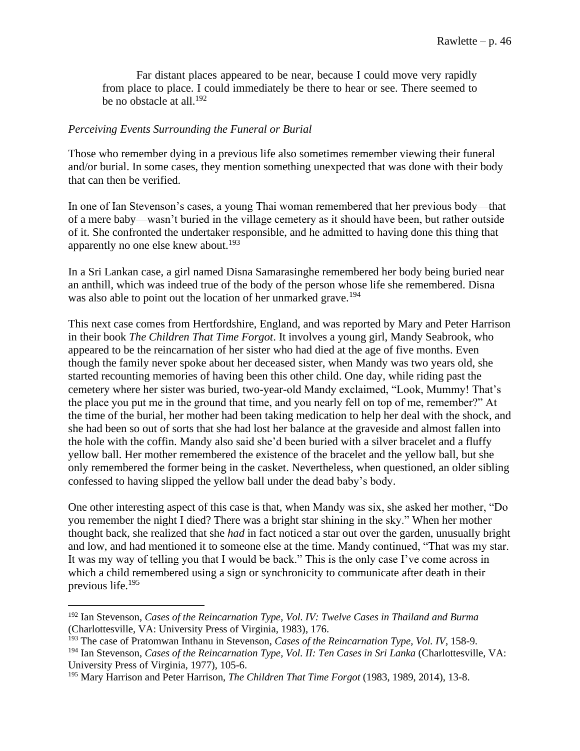Far distant places appeared to be near, because I could move very rapidly from place to place. I could immediately be there to hear or see. There seemed to be no obstacle at all.<sup>192</sup>

#### *Perceiving Events Surrounding the Funeral or Burial*

Those who remember dying in a previous life also sometimes remember viewing their funeral and/or burial. In some cases, they mention something unexpected that was done with their body that can then be verified.

In one of Ian Stevenson's cases, a young Thai woman remembered that her previous body—that of a mere baby—wasn't buried in the village cemetery as it should have been, but rather outside of it. She confronted the undertaker responsible, and he admitted to having done this thing that apparently no one else knew about.<sup>193</sup>

In a Sri Lankan case, a girl named Disna Samarasinghe remembered her body being buried near an anthill, which was indeed true of the body of the person whose life she remembered. Disna was also able to point out the location of her unmarked grave.<sup>194</sup>

This next case comes from Hertfordshire, England, and was reported by Mary and Peter Harrison in their book *The Children That Time Forgot*. It involves a young girl, Mandy Seabrook, who appeared to be the reincarnation of her sister who had died at the age of five months. Even though the family never spoke about her deceased sister, when Mandy was two years old, she started recounting memories of having been this other child. One day, while riding past the cemetery where her sister was buried, two-year-old Mandy exclaimed, "Look, Mummy! That's the place you put me in the ground that time, and you nearly fell on top of me, remember?" At the time of the burial, her mother had been taking medication to help her deal with the shock, and she had been so out of sorts that she had lost her balance at the graveside and almost fallen into the hole with the coffin. Mandy also said she'd been buried with a silver bracelet and a fluffy yellow ball. Her mother remembered the existence of the bracelet and the yellow ball, but she only remembered the former being in the casket. Nevertheless, when questioned, an older sibling confessed to having slipped the yellow ball under the dead baby's body.

One other interesting aspect of this case is that, when Mandy was six, she asked her mother, "Do you remember the night I died? There was a bright star shining in the sky." When her mother thought back, she realized that she *had* in fact noticed a star out over the garden, unusually bright and low, and had mentioned it to someone else at the time. Mandy continued, "That was my star. It was my way of telling you that I would be back." This is the only case I've come across in which a child remembered using a sign or synchronicity to communicate after death in their previous life.<sup>195</sup>

<sup>192</sup> Ian Stevenson, *Cases of the Reincarnation Type*, *Vol. IV: Twelve Cases in Thailand and Burma*  (Charlottesville, VA: University Press of Virginia, 1983), 176.

<sup>193</sup> The case of Pratomwan Inthanu in Stevenson, *Cases of the Reincarnation Type, Vol. IV*, 158-9.

<sup>194</sup> Ian Stevenson, *Cases of the Reincarnation Type, Vol. II: Ten Cases in Sri Lanka* (Charlottesville, VA: University Press of Virginia, 1977), 105-6.

<sup>195</sup> Mary Harrison and Peter Harrison, *The Children That Time Forgot* (1983, 1989, 2014), 13-8.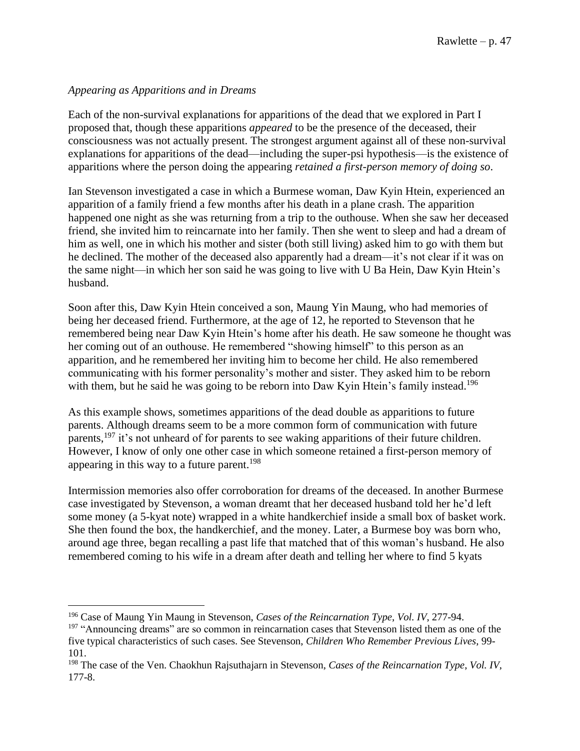## *Appearing as Apparitions and in Dreams*

Each of the non-survival explanations for apparitions of the dead that we explored in Part I proposed that, though these apparitions *appeared* to be the presence of the deceased, their consciousness was not actually present. The strongest argument against all of these non-survival explanations for apparitions of the dead—including the super-psi hypothesis—is the existence of apparitions where the person doing the appearing *retained a first-person memory of doing so*.

Ian Stevenson investigated a case in which a Burmese woman, Daw Kyin Htein, experienced an apparition of a family friend a few months after his death in a plane crash. The apparition happened one night as she was returning from a trip to the outhouse. When she saw her deceased friend, she invited him to reincarnate into her family. Then she went to sleep and had a dream of him as well, one in which his mother and sister (both still living) asked him to go with them but he declined. The mother of the deceased also apparently had a dream—it's not clear if it was on the same night—in which her son said he was going to live with U Ba Hein, Daw Kyin Htein's husband.

Soon after this, Daw Kyin Htein conceived a son, Maung Yin Maung, who had memories of being her deceased friend. Furthermore, at the age of 12, he reported to Stevenson that he remembered being near Daw Kyin Htein's home after his death. He saw someone he thought was her coming out of an outhouse. He remembered "showing himself" to this person as an apparition, and he remembered her inviting him to become her child. He also remembered communicating with his former personality's mother and sister. They asked him to be reborn with them, but he said he was going to be reborn into Daw Kyin Htein's family instead.<sup>196</sup>

As this example shows, sometimes apparitions of the dead double as apparitions to future parents. Although dreams seem to be a more common form of communication with future parents,<sup>197</sup> it's not unheard of for parents to see waking apparitions of their future children. However, I know of only one other case in which someone retained a first-person memory of appearing in this way to a future parent.<sup>198</sup>

Intermission memories also offer corroboration for dreams of the deceased. In another Burmese case investigated by Stevenson, a woman dreamt that her deceased husband told her he'd left some money (a 5-kyat note) wrapped in a white handkerchief inside a small box of basket work. She then found the box, the handkerchief, and the money. Later, a Burmese boy was born who, around age three, began recalling a past life that matched that of this woman's husband. He also remembered coming to his wife in a dream after death and telling her where to find 5 kyats

<sup>196</sup> Case of Maung Yin Maung in Stevenson, *Cases of the Reincarnation Type*, *Vol. IV*, 277-94.

<sup>&</sup>lt;sup>197</sup> "Announcing dreams" are so common in reincarnation cases that Stevenson listed them as one of the five typical characteristics of such cases. See Stevenson, *Children Who Remember Previous Lives*, 99- 101.

<sup>198</sup> The case of the Ven. Chaokhun Rajsuthajarn in Stevenson, *Cases of the Reincarnation Type*, *Vol. IV*, 177-8.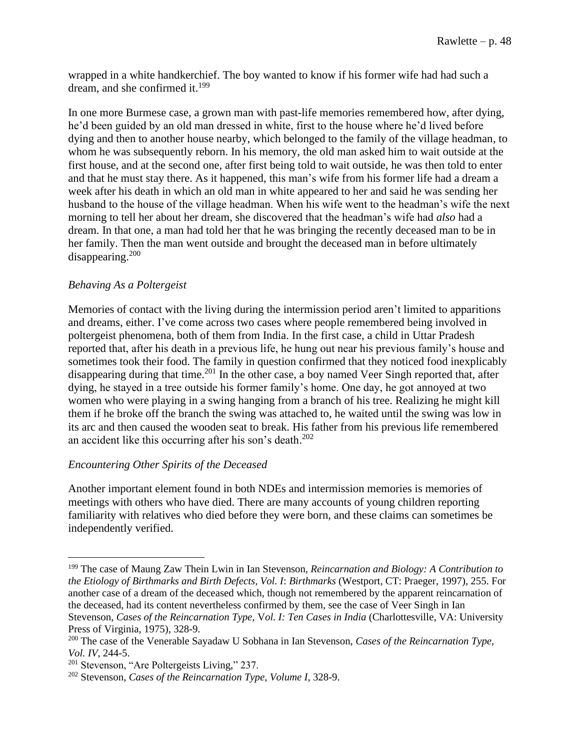wrapped in a white handkerchief. The boy wanted to know if his former wife had had such a dream, and she confirmed it. $^{199}$ 

In one more Burmese case, a grown man with past-life memories remembered how, after dying, he'd been guided by an old man dressed in white, first to the house where he'd lived before dying and then to another house nearby, which belonged to the family of the village headman, to whom he was subsequently reborn. In his memory, the old man asked him to wait outside at the first house, and at the second one, after first being told to wait outside, he was then told to enter and that he must stay there. As it happened, this man's wife from his former life had a dream a week after his death in which an old man in white appeared to her and said he was sending her husband to the house of the village headman. When his wife went to the headman's wife the next morning to tell her about her dream, she discovered that the headman's wife had *also* had a dream. In that one, a man had told her that he was bringing the recently deceased man to be in her family. Then the man went outside and brought the deceased man in before ultimately disappearing.<sup>200</sup>

#### *Behaving As a Poltergeist*

Memories of contact with the living during the intermission period aren't limited to apparitions and dreams, either. I've come across two cases where people remembered being involved in poltergeist phenomena, both of them from India. In the first case, a child in Uttar Pradesh reported that, after his death in a previous life, he hung out near his previous family's house and sometimes took their food. The family in question confirmed that they noticed food inexplicably disappearing during that time.<sup>201</sup> In the other case, a boy named Veer Singh reported that, after dying, he stayed in a tree outside his former family's home. One day, he got annoyed at two women who were playing in a swing hanging from a branch of his tree. Realizing he might kill them if he broke off the branch the swing was attached to, he waited until the swing was low in its arc and then caused the wooden seat to break. His father from his previous life remembered an accident like this occurring after his son's death. 202

#### *Encountering Other Spirits of the Deceased*

Another important element found in both NDEs and intermission memories is memories of meetings with others who have died. There are many accounts of young children reporting familiarity with relatives who died before they were born, and these claims can sometimes be independently verified.

<sup>199</sup> The case of Maung Zaw Thein Lwin in Ian Stevenson, *Reincarnation and Biology: A Contribution to the Etiology of Birthmarks and Birth Defects, Vol. I*: *Birthmarks* (Westport, CT: Praeger, 1997), 255. For another case of a dream of the deceased which, though not remembered by the apparent reincarnation of the deceased, had its content nevertheless confirmed by them, see the case of Veer Singh in Ian Stevenson, *Cases of the Reincarnation Type,* V*ol. I: Ten Cases in India* (Charlottesville, VA: University Press of Virginia, 1975), 328-9.

<sup>200</sup> The case of the Venerable Sayadaw U Sobhana in Ian Stevenson, *Cases of the Reincarnation Type, Vol. IV*, 244-5.

<sup>201</sup> Stevenson, "Are Poltergeists Living," 237.

<sup>202</sup> Stevenson, *Cases of the Reincarnation Type, Volume I*, 328-9.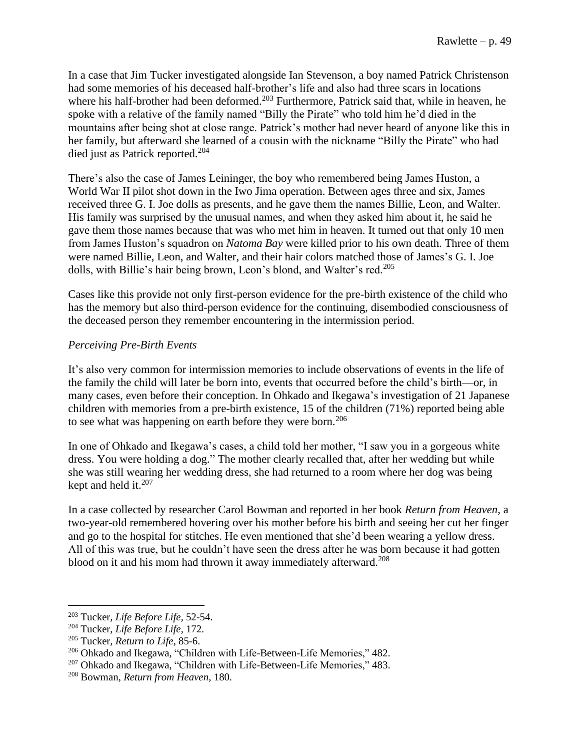In a case that Jim Tucker investigated alongside Ian Stevenson, a boy named Patrick Christenson had some memories of his deceased half-brother's life and also had three scars in locations where his half-brother had been deformed.<sup>203</sup> Furthermore, Patrick said that, while in heaven, he spoke with a relative of the family named "Billy the Pirate" who told him he'd died in the mountains after being shot at close range. Patrick's mother had never heard of anyone like this in her family, but afterward she learned of a cousin with the nickname "Billy the Pirate" who had died just as Patrick reported.<sup>204</sup>

There's also the case of James Leininger, the boy who remembered being James Huston, a World War II pilot shot down in the Iwo Jima operation. Between ages three and six, James received three G. I. Joe dolls as presents, and he gave them the names Billie, Leon, and Walter. His family was surprised by the unusual names, and when they asked him about it, he said he gave them those names because that was who met him in heaven. It turned out that only 10 men from James Huston's squadron on *Natoma Bay* were killed prior to his own death. Three of them were named Billie, Leon, and Walter, and their hair colors matched those of James's G. I. Joe dolls, with Billie's hair being brown, Leon's blond, and Walter's red.<sup>205</sup>

Cases like this provide not only first-person evidence for the pre-birth existence of the child who has the memory but also third-person evidence for the continuing, disembodied consciousness of the deceased person they remember encountering in the intermission period.

## *Perceiving Pre-Birth Events*

It's also very common for intermission memories to include observations of events in the life of the family the child will later be born into, events that occurred before the child's birth—or, in many cases, even before their conception. In Ohkado and Ikegawa's investigation of 21 Japanese children with memories from a pre-birth existence, 15 of the children (71%) reported being able to see what was happening on earth before they were born.<sup>206</sup>

In one of Ohkado and Ikegawa's cases, a child told her mother, "I saw you in a gorgeous white dress. You were holding a dog." The mother clearly recalled that, after her wedding but while she was still wearing her wedding dress, she had returned to a room where her dog was being kept and held it.<sup>207</sup>

In a case collected by researcher Carol Bowman and reported in her book *Return from Heaven*, a two-year-old remembered hovering over his mother before his birth and seeing her cut her finger and go to the hospital for stitches. He even mentioned that she'd been wearing a yellow dress. All of this was true, but he couldn't have seen the dress after he was born because it had gotten blood on it and his mom had thrown it away immediately afterward.<sup>208</sup>

<sup>203</sup> Tucker, *Life Before Life*, 52-54.

<sup>204</sup> Tucker, *Life Before Life*, 172.

<sup>205</sup> Tucker, *Return to Life*, 85-6.

<sup>206</sup> Ohkado and Ikegawa, "Children with Life-Between-Life Memories," 482.

<sup>207</sup> Ohkado and Ikegawa, "Children with Life-Between-Life Memories," 483.

<sup>208</sup> Bowman, *Return from Heaven*, 180.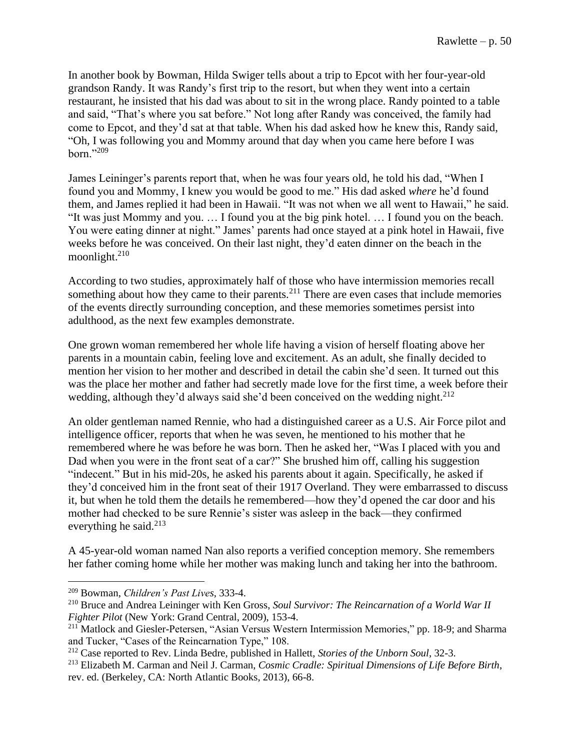In another book by Bowman, Hilda Swiger tells about a trip to Epcot with her four-year-old grandson Randy. It was Randy's first trip to the resort, but when they went into a certain restaurant, he insisted that his dad was about to sit in the wrong place. Randy pointed to a table and said, "That's where you sat before." Not long after Randy was conceived, the family had come to Epcot, and they'd sat at that table. When his dad asked how he knew this, Randy said, "Oh, I was following you and Mommy around that day when you came here before I was born."<sup>209</sup>

James Leininger's parents report that, when he was four years old, he told his dad, "When I found you and Mommy, I knew you would be good to me." His dad asked *where* he'd found them, and James replied it had been in Hawaii. "It was not when we all went to Hawaii," he said. "It was just Mommy and you. … I found you at the big pink hotel. … I found you on the beach. You were eating dinner at night." James' parents had once stayed at a pink hotel in Hawaii, five weeks before he was conceived. On their last night, they'd eaten dinner on the beach in the moonlight. 210

According to two studies, approximately half of those who have intermission memories recall something about how they came to their parents.<sup>211</sup> There are even cases that include memories of the events directly surrounding conception, and these memories sometimes persist into adulthood, as the next few examples demonstrate.

One grown woman remembered her whole life having a vision of herself floating above her parents in a mountain cabin, feeling love and excitement. As an adult, she finally decided to mention her vision to her mother and described in detail the cabin she'd seen. It turned out this was the place her mother and father had secretly made love for the first time, a week before their wedding, although they'd always said she'd been conceived on the wedding night.<sup>212</sup>

An older gentleman named Rennie, who had a distinguished career as a U.S. Air Force pilot and intelligence officer, reports that when he was seven, he mentioned to his mother that he remembered where he was before he was born. Then he asked her, "Was I placed with you and Dad when you were in the front seat of a car?" She brushed him off, calling his suggestion "indecent." But in his mid-20s, he asked his parents about it again. Specifically, he asked if they'd conceived him in the front seat of their 1917 Overland. They were embarrassed to discuss it, but when he told them the details he remembered—how they'd opened the car door and his mother had checked to be sure Rennie's sister was asleep in the back—they confirmed everything he said. $2^{13}$ 

A 45-year-old woman named Nan also reports a verified conception memory. She remembers her father coming home while her mother was making lunch and taking her into the bathroom.

<sup>209</sup> Bowman, *Children's Past Lives*, 333-4.

<sup>210</sup> Bruce and Andrea Leininger with Ken Gross, *Soul Survivor: The Reincarnation of a World War II Fighter Pilot* (New York: Grand Central, 2009), 153-4.

<sup>211</sup> Matlock and Giesler-Petersen, "Asian Versus Western Intermission Memories," pp. 18-9; and Sharma and Tucker, "Cases of the Reincarnation Type," 108.

<sup>212</sup> Case reported to Rev. Linda Bedre, published in Hallett, *Stories of the Unborn Soul*, 32-3.

<sup>213</sup> Elizabeth M. Carman and Neil J. Carman, *Cosmic Cradle: Spiritual Dimensions of Life Before Birth*, rev. ed. (Berkeley, CA: North Atlantic Books, 2013), 66-8.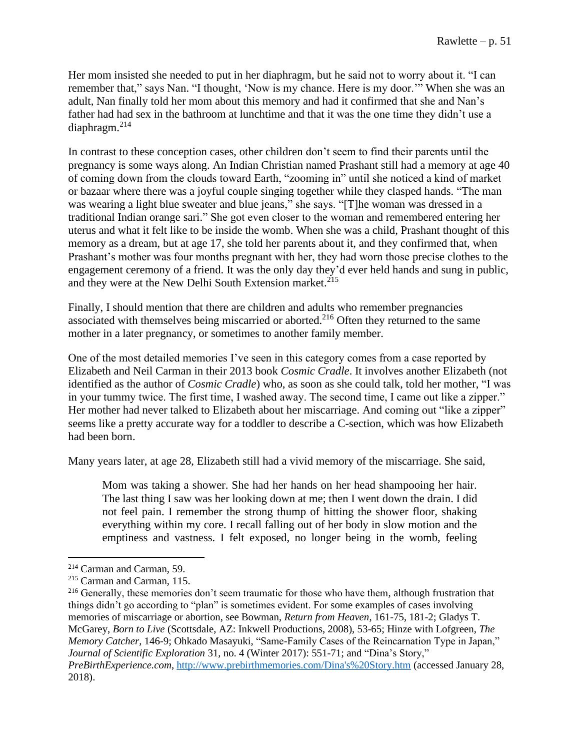Her mom insisted she needed to put in her diaphragm, but he said not to worry about it. "I can remember that," says Nan. "I thought, 'Now is my chance. Here is my door.'" When she was an adult, Nan finally told her mom about this memory and had it confirmed that she and Nan's father had had sex in the bathroom at lunchtime and that it was the one time they didn't use a diaphragm.<sup>214</sup>

In contrast to these conception cases, other children don't seem to find their parents until the pregnancy is some ways along. An Indian Christian named Prashant still had a memory at age 40 of coming down from the clouds toward Earth, "zooming in" until she noticed a kind of market or bazaar where there was a joyful couple singing together while they clasped hands. "The man was wearing a light blue sweater and blue jeans," she says. "[T]he woman was dressed in a traditional Indian orange sari." She got even closer to the woman and remembered entering her uterus and what it felt like to be inside the womb. When she was a child, Prashant thought of this memory as a dream, but at age 17, she told her parents about it, and they confirmed that, when Prashant's mother was four months pregnant with her, they had worn those precise clothes to the engagement ceremony of a friend. It was the only day they'd ever held hands and sung in public, and they were at the New Delhi South Extension market.<sup>215</sup>

Finally, I should mention that there are children and adults who remember pregnancies associated with themselves being miscarried or aborted.<sup>216</sup> Often they returned to the same mother in a later pregnancy, or sometimes to another family member.

One of the most detailed memories I've seen in this category comes from a case reported by Elizabeth and Neil Carman in their 2013 book *Cosmic Cradle*. It involves another Elizabeth (not identified as the author of *Cosmic Cradle*) who, as soon as she could talk, told her mother, "I was in your tummy twice. The first time, I washed away. The second time, I came out like a zipper." Her mother had never talked to Elizabeth about her miscarriage. And coming out "like a zipper" seems like a pretty accurate way for a toddler to describe a C-section, which was how Elizabeth had been born.

Many years later, at age 28, Elizabeth still had a vivid memory of the miscarriage. She said,

Mom was taking a shower. She had her hands on her head shampooing her hair. The last thing I saw was her looking down at me; then I went down the drain. I did not feel pain. I remember the strong thump of hitting the shower floor, shaking everything within my core. I recall falling out of her body in slow motion and the emptiness and vastness. I felt exposed, no longer being in the womb, feeling

<sup>214</sup> Carman and Carman, 59.

<sup>215</sup> Carman and Carman, 115.

<sup>&</sup>lt;sup>216</sup> Generally, these memories don't seem traumatic for those who have them, although frustration that things didn't go according to "plan" is sometimes evident. For some examples of cases involving memories of miscarriage or abortion, see Bowman, *Return from Heaven*, 161-75, 181-2; Gladys T. McGarey, *Born to Live* (Scottsdale, AZ: Inkwell Productions, 2008), 53-65; Hinze with Lofgreen, *The Memory Catcher*, 146-9; Ohkado Masayuki, "Same-Family Cases of the Reincarnation Type in Japan," *Journal of Scientific Exploration* 31, no. 4 (Winter 2017): 551-71; and "Dina's Story," *PreBirthExperience.com*, [http://www.prebirthmemories.com/Dina's%20Story.htm](http://www.prebirthmemories.com/Dina) (accessed January 28, 2018).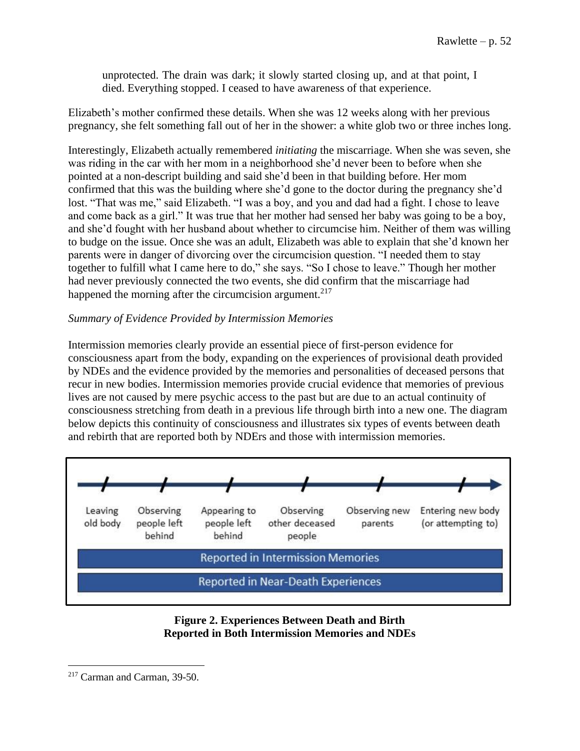unprotected. The drain was dark; it slowly started closing up, and at that point, I died. Everything stopped. I ceased to have awareness of that experience.

Elizabeth's mother confirmed these details. When she was 12 weeks along with her previous pregnancy, she felt something fall out of her in the shower: a white glob two or three inches long.

Interestingly, Elizabeth actually remembered *initiating* the miscarriage. When she was seven, she was riding in the car with her mom in a neighborhood she'd never been to before when she pointed at a non-descript building and said she'd been in that building before. Her mom confirmed that this was the building where she'd gone to the doctor during the pregnancy she'd lost. "That was me," said Elizabeth. "I was a boy, and you and dad had a fight. I chose to leave and come back as a girl." It was true that her mother had sensed her baby was going to be a boy, and she'd fought with her husband about whether to circumcise him. Neither of them was willing to budge on the issue. Once she was an adult, Elizabeth was able to explain that she'd known her parents were in danger of divorcing over the circumcision question. "I needed them to stay together to fulfill what I came here to do," she says. "So I chose to leave." Though her mother had never previously connected the two events, she did confirm that the miscarriage had happened the morning after the circumcision argument.<sup>217</sup>

## *Summary of Evidence Provided by Intermission Memories*

Intermission memories clearly provide an essential piece of first-person evidence for consciousness apart from the body, expanding on the experiences of provisional death provided by NDEs and the evidence provided by the memories and personalities of deceased persons that recur in new bodies. Intermission memories provide crucial evidence that memories of previous lives are not caused by mere psychic access to the past but are due to an actual continuity of consciousness stretching from death in a previous life through birth into a new one. The diagram below depicts this continuity of consciousness and illustrates six types of events between death and rebirth that are reported both by NDErs and those with intermission memories.



## **Figure 2. Experiences Between Death and Birth Reported in Both Intermission Memories and NDEs**

<sup>217</sup> Carman and Carman, 39-50.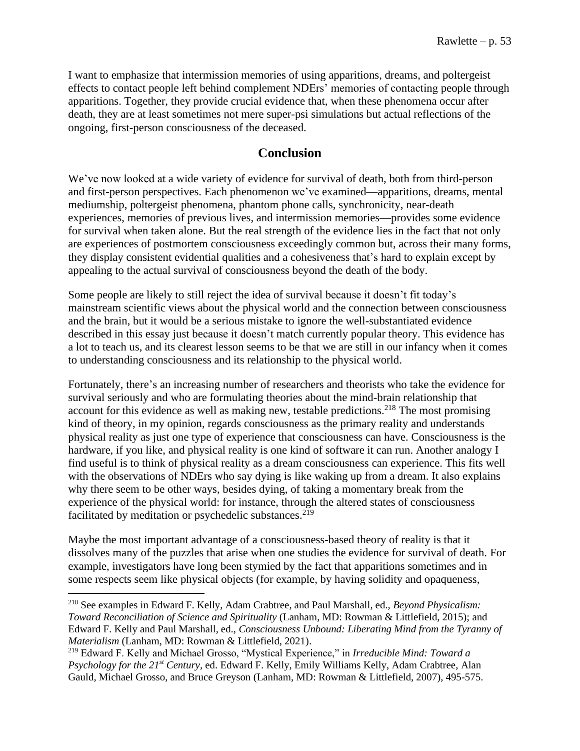I want to emphasize that intermission memories of using apparitions, dreams, and poltergeist effects to contact people left behind complement NDErs' memories of contacting people through apparitions. Together, they provide crucial evidence that, when these phenomena occur after death, they are at least sometimes not mere super-psi simulations but actual reflections of the ongoing, first-person consciousness of the deceased.

## **Conclusion**

We've now looked at a wide variety of evidence for survival of death, both from third-person and first-person perspectives. Each phenomenon we've examined—apparitions, dreams, mental mediumship, poltergeist phenomena, phantom phone calls, synchronicity, near-death experiences, memories of previous lives, and intermission memories—provides some evidence for survival when taken alone. But the real strength of the evidence lies in the fact that not only are experiences of postmortem consciousness exceedingly common but, across their many forms, they display consistent evidential qualities and a cohesiveness that's hard to explain except by appealing to the actual survival of consciousness beyond the death of the body.

Some people are likely to still reject the idea of survival because it doesn't fit today's mainstream scientific views about the physical world and the connection between consciousness and the brain, but it would be a serious mistake to ignore the well-substantiated evidence described in this essay just because it doesn't match currently popular theory. This evidence has a lot to teach us, and its clearest lesson seems to be that we are still in our infancy when it comes to understanding consciousness and its relationship to the physical world.

Fortunately, there's an increasing number of researchers and theorists who take the evidence for survival seriously and who are formulating theories about the mind-brain relationship that account for this evidence as well as making new, testable predictions.<sup>218</sup> The most promising kind of theory, in my opinion, regards consciousness as the primary reality and understands physical reality as just one type of experience that consciousness can have. Consciousness is the hardware, if you like, and physical reality is one kind of software it can run. Another analogy I find useful is to think of physical reality as a dream consciousness can experience. This fits well with the observations of NDErs who say dying is like waking up from a dream. It also explains why there seem to be other ways, besides dying, of taking a momentary break from the experience of the physical world: for instance, through the altered states of consciousness facilitated by meditation or psychedelic substances.<sup>219</sup>

Maybe the most important advantage of a consciousness-based theory of reality is that it dissolves many of the puzzles that arise when one studies the evidence for survival of death. For example, investigators have long been stymied by the fact that apparitions sometimes and in some respects seem like physical objects (for example, by having solidity and opaqueness,

<sup>218</sup> See examples in Edward F. Kelly, Adam Crabtree, and Paul Marshall, ed., *Beyond Physicalism: Toward Reconciliation of Science and Spirituality* (Lanham, MD: Rowman & Littlefield, 2015); and Edward F. Kelly and Paul Marshall, ed., *Consciousness Unbound: Liberating Mind from the Tyranny of Materialism* (Lanham, MD: Rowman & Littlefield, 2021).

<sup>219</sup> Edward F. Kelly and Michael Grosso, "Mystical Experience," in *Irreducible Mind: Toward a Psychology for the 21st Century*, ed. Edward F. Kelly, Emily Williams Kelly, Adam Crabtree, Alan Gauld, Michael Grosso, and Bruce Greyson (Lanham, MD: Rowman & Littlefield, 2007), 495-575.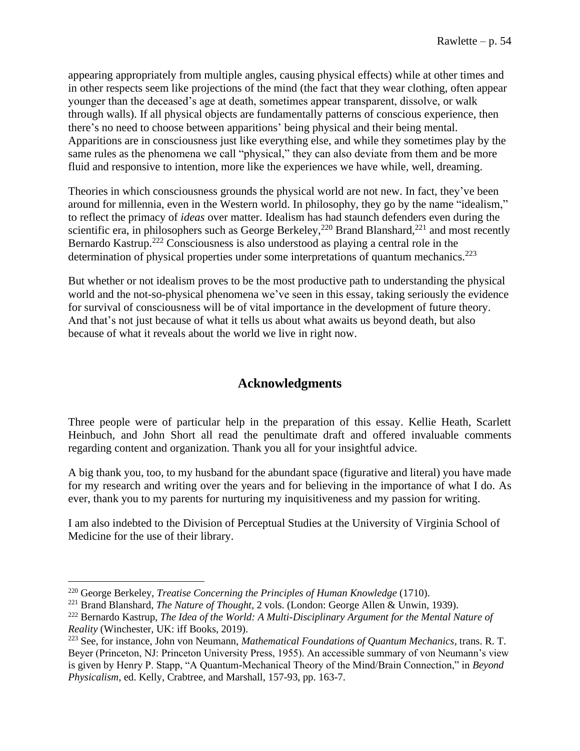appearing appropriately from multiple angles, causing physical effects) while at other times and in other respects seem like projections of the mind (the fact that they wear clothing, often appear younger than the deceased's age at death, sometimes appear transparent, dissolve, or walk through walls). If all physical objects are fundamentally patterns of conscious experience, then there's no need to choose between apparitions' being physical and their being mental. Apparitions are in consciousness just like everything else, and while they sometimes play by the same rules as the phenomena we call "physical," they can also deviate from them and be more fluid and responsive to intention, more like the experiences we have while, well, dreaming.

Theories in which consciousness grounds the physical world are not new. In fact, they've been around for millennia, even in the Western world. In philosophy, they go by the name "idealism," to reflect the primacy of *ideas* over matter. Idealism has had staunch defenders even during the scientific era, in philosophers such as George Berkeley,<sup>220</sup> Brand Blanshard,<sup>221</sup> and most recently Bernardo Kastrup.<sup>222</sup> Consciousness is also understood as playing a central role in the determination of physical properties under some interpretations of quantum mechanics.<sup>223</sup>

But whether or not idealism proves to be the most productive path to understanding the physical world and the not-so-physical phenomena we've seen in this essay, taking seriously the evidence for survival of consciousness will be of vital importance in the development of future theory. And that's not just because of what it tells us about what awaits us beyond death, but also because of what it reveals about the world we live in right now.

## **Acknowledgments**

Three people were of particular help in the preparation of this essay. Kellie Heath, Scarlett Heinbuch, and John Short all read the penultimate draft and offered invaluable comments regarding content and organization. Thank you all for your insightful advice.

A big thank you, too, to my husband for the abundant space (figurative and literal) you have made for my research and writing over the years and for believing in the importance of what I do. As ever, thank you to my parents for nurturing my inquisitiveness and my passion for writing.

I am also indebted to the Division of Perceptual Studies at the University of Virginia School of Medicine for the use of their library.

<sup>221</sup> Brand Blanshard, *The Nature of Thought*, 2 vols. (London: George Allen & Unwin, 1939).

<sup>220</sup> George Berkeley, *Treatise Concerning the Principles of Human Knowledge* (1710).

<sup>222</sup> Bernardo Kastrup, *The Idea of the World: A Multi-Disciplinary Argument for the Mental Nature of Reality* (Winchester, UK: iff Books, 2019).

<sup>223</sup> See, for instance, John von Neumann, *Mathematical Foundations of Quantum Mechanics*, trans. R. T. Beyer (Princeton, NJ: Princeton University Press, 1955). An accessible summary of von Neumann's view is given by Henry P. Stapp, "A Quantum-Mechanical Theory of the Mind/Brain Connection," in *Beyond Physicalism*, ed. Kelly, Crabtree, and Marshall, 157-93, pp. 163-7.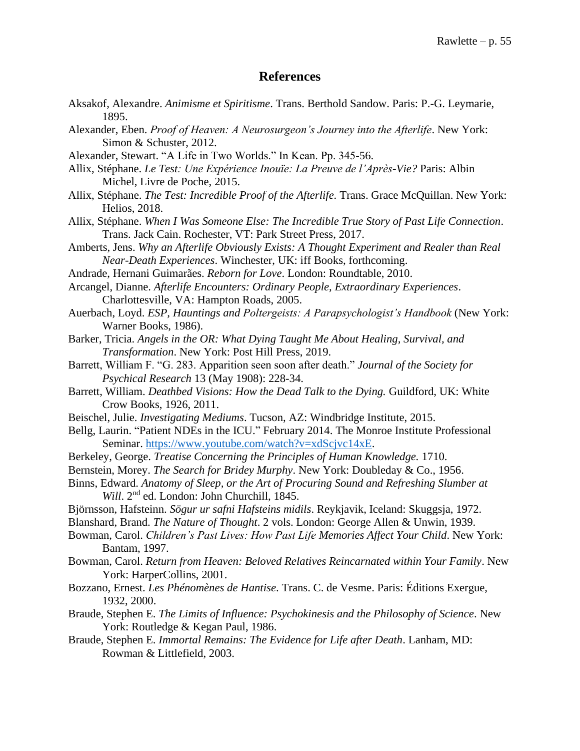## **References**

- Aksakof, Alexandre. *Animisme et Spiritisme*. Trans. Berthold Sandow. Paris: P.-G. Leymarie, 1895.
- Alexander, Eben. *Proof of Heaven: A Neurosurgeon's Journey into the Afterlife*. New York: Simon & Schuster, 2012.
- Alexander, Stewart. "A Life in Two Worlds." In Kean. Pp. 345-56.
- Allix, Stéphane. *Le Test: Une Expérience Inouïe: La Preuve de l'Après-Vie?* Paris: Albin Michel, Livre de Poche, 2015.
- Allix, Stéphane. *The Test: Incredible Proof of the Afterlife.* Trans. Grace McQuillan. New York: Helios, 2018.
- Allix, Stéphane. *When I Was Someone Else: The Incredible True Story of Past Life Connection*. Trans. Jack Cain. Rochester, VT: Park Street Press, 2017.
- Amberts, Jens. *Why an Afterlife Obviously Exists: A Thought Experiment and Realer than Real Near-Death Experiences*. Winchester, UK: iff Books, forthcoming.
- Andrade, Hernani Guimarães. *Reborn for Love*. London: Roundtable, 2010.
- Arcangel, Dianne. *Afterlife Encounters: Ordinary People, Extraordinary Experiences*. Charlottesville, VA: Hampton Roads, 2005.
- Auerbach, Loyd. *ESP, Hauntings and Poltergeists: A Parapsychologist's Handbook* (New York: Warner Books, 1986).
- Barker, Tricia. *Angels in the OR: What Dying Taught Me About Healing, Survival, and Transformation*. New York: Post Hill Press, 2019.
- Barrett, William F. "G. 283. Apparition seen soon after death." *Journal of the Society for Psychical Research* 13 (May 1908): 228-34.
- Barrett, William. *Deathbed Visions: How the Dead Talk to the Dying.* Guildford, UK: White Crow Books, 1926, 2011.
- Beischel, Julie. *Investigating Mediums*. Tucson, AZ: Windbridge Institute, 2015.
- Bellg, Laurin. "Patient NDEs in the ICU." February 2014. The Monroe Institute Professional Seminar. [https://www.youtube.com/watch?v=xdScjvc14xE.](https://www.youtube.com/watch?v=xdScjvc14xE)
- Berkeley, George. *Treatise Concerning the Principles of Human Knowledge.* 1710.
- Bernstein, Morey. *The Search for Bridey Murphy*. New York: Doubleday & Co., 1956.
- Binns, Edward. *Anatomy of Sleep, or the Art of Procuring Sound and Refreshing Slumber at*  Will. 2<sup>nd</sup> ed. London: John Churchill, 1845.
- Björnsson, Hafsteinn. *Sögur ur safni Hafsteins midils*. Reykjavik, Iceland: Skuggsja, 1972.
- Blanshard, Brand. *The Nature of Thought*. 2 vols. London: George Allen & Unwin, 1939.
- Bowman, Carol. *Children's Past Lives: How Past Life Memories Affect Your Child*. New York: Bantam, 1997.
- Bowman, Carol. *Return from Heaven: Beloved Relatives Reincarnated within Your Family*. New York: HarperCollins, 2001.
- Bozzano, Ernest. *Les Phénomènes de Hantise*. Trans. C. de Vesme. Paris: Éditions Exergue, 1932, 2000.
- Braude, Stephen E. *The Limits of Influence: Psychokinesis and the Philosophy of Science*. New York: Routledge & Kegan Paul, 1986.
- Braude, Stephen E. *Immortal Remains: The Evidence for Life after Death*. Lanham, MD: Rowman & Littlefield, 2003.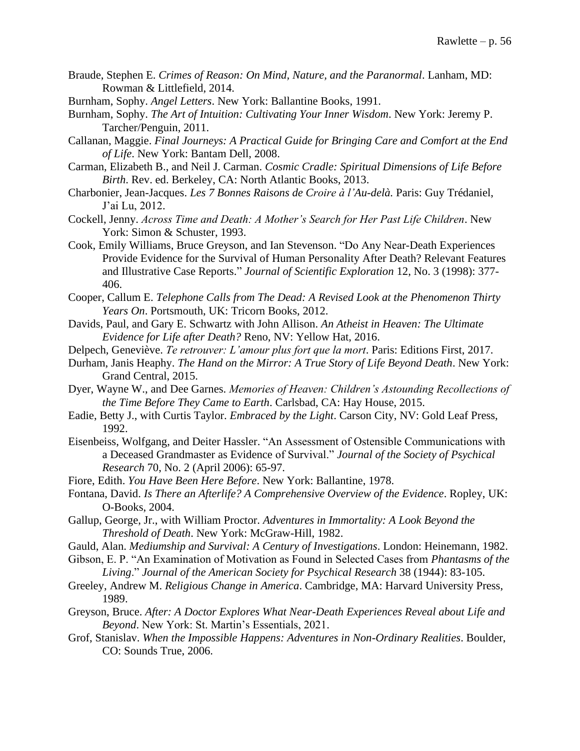- Braude, Stephen E. *Crimes of Reason: On Mind, Nature, and the Paranormal*. Lanham, MD: Rowman & Littlefield, 2014.
- Burnham, Sophy. *Angel Letters*. New York: Ballantine Books, 1991.
- Burnham, Sophy. *The Art of Intuition: Cultivating Your Inner Wisdom*. New York: Jeremy P. Tarcher/Penguin, 2011.
- Callanan, Maggie. *Final Journeys: A Practical Guide for Bringing Care and Comfort at the End of Life*. New York: Bantam Dell, 2008.
- Carman, Elizabeth B., and Neil J. Carman. *Cosmic Cradle: Spiritual Dimensions of Life Before Birth*. Rev. ed. Berkeley, CA: North Atlantic Books, 2013.
- Charbonier, Jean-Jacques. *Les 7 Bonnes Raisons de Croire à l'Au-delà.* Paris: Guy Trédaniel, J'ai Lu, 2012.
- Cockell, Jenny. *Across Time and Death: A Mother's Search for Her Past Life Children*. New York: Simon & Schuster, 1993.
- Cook, Emily Williams, Bruce Greyson, and Ian Stevenson. "Do Any Near-Death Experiences Provide Evidence for the Survival of Human Personality After Death? Relevant Features and Illustrative Case Reports." *Journal of Scientific Exploration* 12, No. 3 (1998): 377- 406.
- Cooper, Callum E. *Telephone Calls from The Dead: A Revised Look at the Phenomenon Thirty Years On*. Portsmouth, UK: Tricorn Books, 2012.
- Davids, Paul, and Gary E. Schwartz with John Allison. *An Atheist in Heaven: The Ultimate Evidence for Life after Death?* Reno, NV: Yellow Hat, 2016.
- Delpech, Geneviève. *Te retrouver: L'amour plus fort que la mort*. Paris: Editions First, 2017.
- Durham, Janis Heaphy. *The Hand on the Mirror: A True Story of Life Beyond Death*. New York: Grand Central, 2015.
- Dyer, Wayne W., and Dee Garnes. *Memories of Heaven: Children's Astounding Recollections of the Time Before They Came to Earth*. Carlsbad, CA: Hay House, 2015.
- Eadie, Betty J., with Curtis Taylor. *Embraced by the Light*. Carson City, NV: Gold Leaf Press, 1992.
- Eisenbeiss, Wolfgang, and Deiter Hassler. "An Assessment of Ostensible Communications with a Deceased Grandmaster as Evidence of Survival." *Journal of the Society of Psychical Research* 70, No. 2 (April 2006): 65-97.
- Fiore, Edith. *You Have Been Here Before*. New York: Ballantine, 1978.
- Fontana, David. *Is There an Afterlife? A Comprehensive Overview of the Evidence*. Ropley, UK: O-Books, 2004.
- Gallup, George, Jr., with William Proctor. *Adventures in Immortality: A Look Beyond the Threshold of Death*. New York: McGraw-Hill, 1982.
- Gauld, Alan. *Mediumship and Survival: A Century of Investigations*. London: Heinemann, 1982.
- Gibson, E. P. "An Examination of Motivation as Found in Selected Cases from *Phantasms of the Living*." *Journal of the American Society for Psychical Research* 38 (1944): 83-105.
- Greeley, Andrew M. *Religious Change in America*. Cambridge, MA: Harvard University Press, 1989.
- Greyson, Bruce. *After: A Doctor Explores What Near-Death Experiences Reveal about Life and Beyond*. New York: St. Martin's Essentials, 2021.
- Grof, Stanislav. *When the Impossible Happens: Adventures in Non-Ordinary Realities*. Boulder, CO: Sounds True, 2006.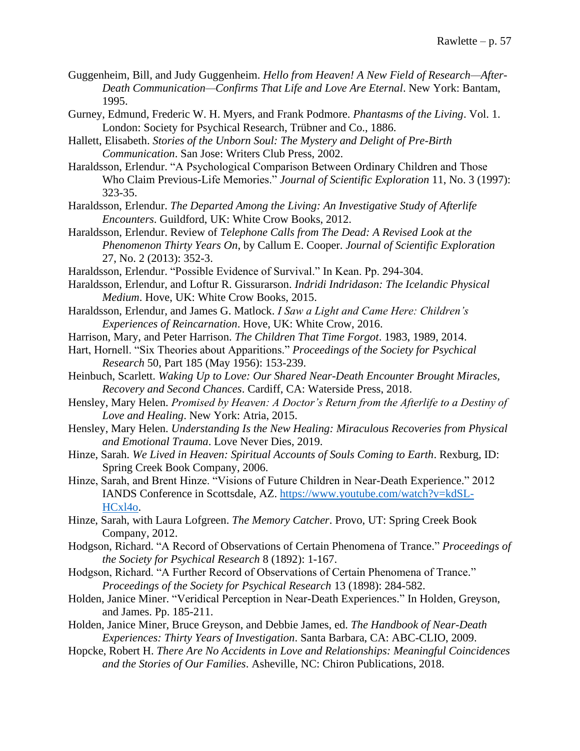- Guggenheim, Bill, and Judy Guggenheim. *Hello from Heaven! A New Field of Research—After-Death Communication—Confirms That Life and Love Are Eternal*. New York: Bantam, 1995.
- Gurney, Edmund, Frederic W. H. Myers, and Frank Podmore. *Phantasms of the Living*. Vol. 1. London: Society for Psychical Research, Trübner and Co., 1886.
- Hallett, Elisabeth. *Stories of the Unborn Soul: The Mystery and Delight of Pre-Birth Communication*. San Jose: Writers Club Press, 2002.
- Haraldsson, Erlendur. "A Psychological Comparison Between Ordinary Children and Those Who Claim Previous-Life Memories." *Journal of Scientific Exploration* 11, No. 3 (1997): 323-35.
- Haraldsson, Erlendur. *The Departed Among the Living: An Investigative Study of Afterlife Encounters*. Guildford, UK: White Crow Books, 2012.
- Haraldsson, Erlendur. Review of *Telephone Calls from The Dead: A Revised Look at the Phenomenon Thirty Years On*, by Callum E. Cooper. *Journal of Scientific Exploration* 27, No. 2 (2013): 352-3.
- Haraldsson, Erlendur. "Possible Evidence of Survival." In Kean. Pp. 294-304.
- Haraldsson, Erlendur, and Loftur R. Gissurarson. *Indridi Indridason: The Icelandic Physical Medium*. Hove, UK: White Crow Books, 2015.
- Haraldsson, Erlendur, and James G. Matlock. *I Saw a Light and Came Here: Children's Experiences of Reincarnation*. Hove, UK: White Crow, 2016.
- Harrison, Mary, and Peter Harrison. *The Children That Time Forgot*. 1983, 1989, 2014.
- Hart, Hornell. "Six Theories about Apparitions." *Proceedings of the Society for Psychical Research* 50, Part 185 (May 1956): 153-239.
- Heinbuch, Scarlett. *Waking Up to Love: Our Shared Near-Death Encounter Brought Miracles, Recovery and Second Chances*. Cardiff, CA: Waterside Press, 2018.
- Hensley, Mary Helen. *Promised by Heaven: A Doctor's Return from the Afterlife to a Destiny of Love and Healing*. New York: Atria, 2015.
- Hensley, Mary Helen. *Understanding Is the New Healing: Miraculous Recoveries from Physical and Emotional Trauma*. Love Never Dies, 2019.
- Hinze, Sarah. *We Lived in Heaven: Spiritual Accounts of Souls Coming to Earth*. Rexburg, ID: Spring Creek Book Company, 2006.
- Hinze, Sarah, and Brent Hinze. "Visions of Future Children in Near-Death Experience." 2012 IANDS Conference in Scottsdale, AZ. [https://www.youtube.com/watch?v=kdSL-](https://www.youtube.com/watch?v=kdSL-HCxl4o)[HCxl4o.](https://www.youtube.com/watch?v=kdSL-HCxl4o)
- Hinze, Sarah, with Laura Lofgreen. *The Memory Catcher*. Provo, UT: Spring Creek Book Company, 2012.
- Hodgson, Richard. "A Record of Observations of Certain Phenomena of Trance." *Proceedings of the Society for Psychical Research* 8 (1892): 1-167.
- Hodgson, Richard. "A Further Record of Observations of Certain Phenomena of Trance." *Proceedings of the Society for Psychical Research* 13 (1898): 284-582.
- Holden, Janice Miner. "Veridical Perception in Near-Death Experiences." In Holden, Greyson, and James. Pp. 185-211.
- Holden, Janice Miner, Bruce Greyson, and Debbie James, ed. *The Handbook of Near-Death Experiences: Thirty Years of Investigation*. Santa Barbara, CA: ABC-CLIO, 2009.
- Hopcke, Robert H. *There Are No Accidents in Love and Relationships: Meaningful Coincidences and the Stories of Our Families*. Asheville, NC: Chiron Publications, 2018.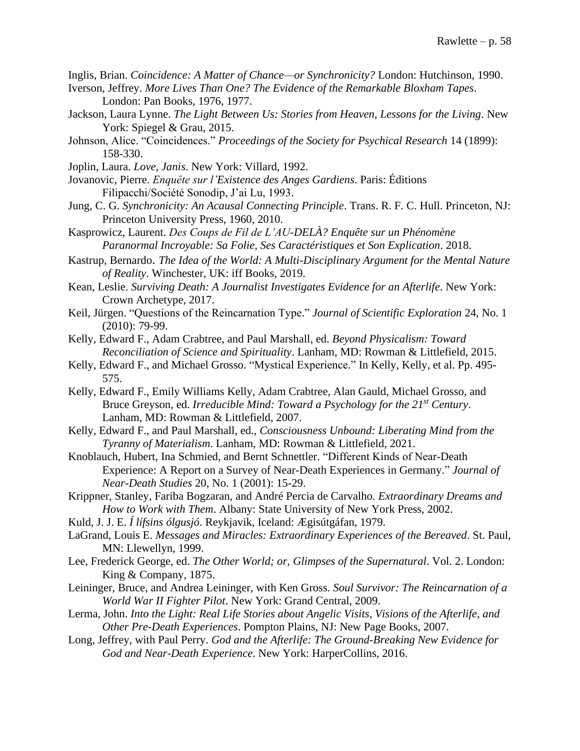- Inglis, Brian. *Coincidence: A Matter of Chance—or Synchronicity?* London: Hutchinson, 1990.
- Iverson, Jeffrey. *More Lives Than One? The Evidence of the Remarkable Bloxham Tapes*. London: Pan Books, 1976, 1977.
- Jackson, Laura Lynne. *The Light Between Us: Stories from Heaven, Lessons for the Living*. New York: Spiegel & Grau, 2015.
- Johnson, Alice. "Coincidences." *Proceedings of the Society for Psychical Research* 14 (1899): 158-330.
- Joplin, Laura. *Love, Janis*. New York: Villard, 1992.
- Jovanovic, Pierre. *Enquête sur l'Existence des Anges Gardiens*. Paris: Éditions Filipacchi/Société Sonodip, J'ai Lu, 1993.
- Jung, C. G. *Synchronicity: An Acausal Connecting Principle*. Trans. R. F. C. Hull. Princeton, NJ: Princeton University Press, 1960, 2010.
- Kasprowicz, Laurent. *Des Coups de Fil de L'AU-DELÀ? Enquête sur un Phénomène Paranormal Incroyable: Sa Folie, Ses Caractéristiques et Son Explication*. 2018.
- Kastrup, Bernardo. *The Idea of the World: A Multi-Disciplinary Argument for the Mental Nature of Reality*. Winchester, UK: iff Books, 2019.
- Kean, Leslie. *Surviving Death: A Journalist Investigates Evidence for an Afterlife*. New York: Crown Archetype, 2017.
- Keil, Jürgen. "Questions of the Reincarnation Type." *Journal of Scientific Exploration* 24, No. 1 (2010): 79-99.
- Kelly, Edward F., Adam Crabtree, and Paul Marshall, ed. *Beyond Physicalism: Toward Reconciliation of Science and Spirituality*. Lanham, MD: Rowman & Littlefield, 2015.
- Kelly, Edward F., and Michael Grosso. "Mystical Experience." In Kelly, Kelly, et al. Pp. 495- 575.
- Kelly, Edward F., Emily Williams Kelly, Adam Crabtree, Alan Gauld, Michael Grosso, and Bruce Greyson, ed. *Irreducible Mind: Toward a Psychology for the 21st Century*. Lanham, MD: Rowman & Littlefield, 2007.
- Kelly, Edward F., and Paul Marshall, ed., *Consciousness Unbound: Liberating Mind from the Tyranny of Materialism*. Lanham, MD: Rowman & Littlefield, 2021.
- Knoblauch, Hubert, Ina Schmied, and Bernt Schnettler. "Different Kinds of Near-Death Experience: A Report on a Survey of Near-Death Experiences in Germany." *Journal of Near-Death Studies* 20, No. 1 (2001): 15-29.
- Krippner, Stanley, Fariba Bogzaran, and André Percia de Carvalho. *Extraordinary Dreams and How to Work with Them*. Albany: State University of New York Press, 2002.
- Kuld, J. J. E. *Í lífsins ólgusjó*. Reykjavik, Iceland: Ægisútgáfan, 1979.
- LaGrand, Louis E. *Messages and Miracles: Extraordinary Experiences of the Bereaved*. St. Paul, MN: Llewellyn, 1999.
- Lee, Frederick George, ed. *The Other World; or, Glimpses of the Supernatural*. Vol. 2. London: King & Company, 1875.
- Leininger, Bruce, and Andrea Leininger, with Ken Gross. *Soul Survivor: The Reincarnation of a World War II Fighter Pilot*. New York: Grand Central, 2009.
- Lerma, John. *Into the Light: Real Life Stories about Angelic Visits, Visions of the Afterlife, and Other Pre-Death Experiences*. Pompton Plains, NJ: New Page Books, 2007.
- Long, Jeffrey, with Paul Perry. *God and the Afterlife: The Ground-Breaking New Evidence for God and Near-Death Experience*. New York: HarperCollins, 2016.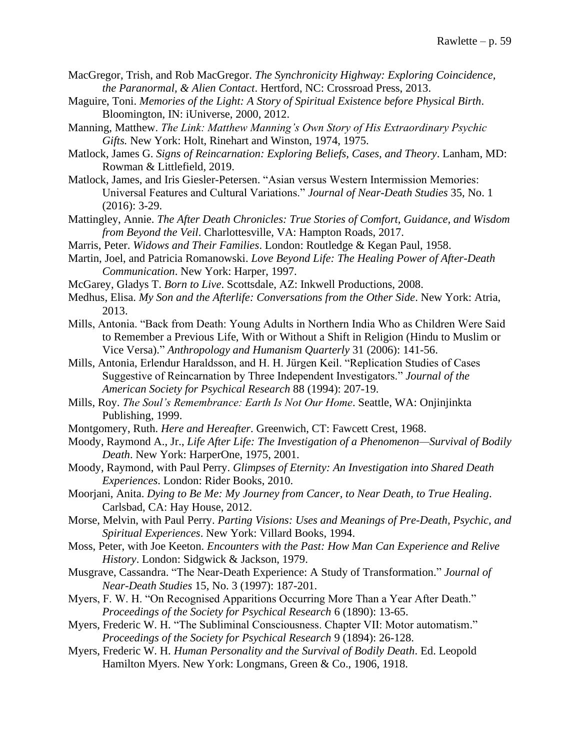- MacGregor, Trish, and Rob MacGregor. *The Synchronicity Highway: Exploring Coincidence, the Paranormal, & Alien Contact*. Hertford, NC: Crossroad Press, 2013.
- Maguire, Toni. *Memories of the Light: A Story of Spiritual Existence before Physical Birth*. Bloomington, IN: iUniverse, 2000, 2012.
- Manning, Matthew. *The Link: Matthew Manning's Own Story of His Extraordinary Psychic Gifts.* New York: Holt, Rinehart and Winston, 1974, 1975.
- Matlock, James G. *Signs of Reincarnation: Exploring Beliefs, Cases, and Theory*. Lanham, MD: Rowman & Littlefield, 2019.
- Matlock, James, and Iris Giesler-Petersen. "Asian versus Western Intermission Memories: Universal Features and Cultural Variations." *Journal of Near-Death Studies* 35, No. 1 (2016): 3-29.

Mattingley, Annie. *The After Death Chronicles: True Stories of Comfort, Guidance, and Wisdom from Beyond the Veil*. Charlottesville, VA: Hampton Roads, 2017.

- Marris, Peter. *Widows and Their Families*. London: Routledge & Kegan Paul, 1958.
- Martin, Joel, and Patricia Romanowski. *Love Beyond Life: The Healing Power of After-Death Communication*. New York: Harper, 1997.
- McGarey, Gladys T. *Born to Live*. Scottsdale, AZ: Inkwell Productions, 2008.
- Medhus, Elisa. *My Son and the Afterlife: Conversations from the Other Side*. New York: Atria, 2013.
- Mills, Antonia. "Back from Death: Young Adults in Northern India Who as Children Were Said to Remember a Previous Life, With or Without a Shift in Religion (Hindu to Muslim or Vice Versa)." *Anthropology and Humanism Quarterly* 31 (2006): 141-56.
- Mills, Antonia, Erlendur Haraldsson, and H. H. Jürgen Keil. "Replication Studies of Cases Suggestive of Reincarnation by Three Independent Investigators." *Journal of the American Society for Psychical Research* 88 (1994): 207-19.
- Mills, Roy. *The Soul's Remembrance: Earth Is Not Our Home*. Seattle, WA: Onjinjinkta Publishing, 1999.
- Montgomery, Ruth. *Here and Hereafter*. Greenwich, CT: Fawcett Crest, 1968.
- Moody, Raymond A., Jr., *Life After Life: The Investigation of a Phenomenon—Survival of Bodily Death*. New York: HarperOne, 1975, 2001.
- Moody, Raymond, with Paul Perry. *Glimpses of Eternity: An Investigation into Shared Death Experiences*. London: Rider Books, 2010.
- Moorjani, Anita. *Dying to Be Me: My Journey from Cancer, to Near Death, to True Healing*. Carlsbad, CA: Hay House, 2012.
- Morse, Melvin, with Paul Perry. *Parting Visions: Uses and Meanings of Pre-Death, Psychic, and Spiritual Experiences*. New York: Villard Books, 1994.
- Moss, Peter, with Joe Keeton. *Encounters with the Past: How Man Can Experience and Relive History*. London: Sidgwick & Jackson, 1979.
- Musgrave, Cassandra. "The Near-Death Experience: A Study of Transformation." *Journal of Near-Death Studies* 15, No. 3 (1997): 187-201.
- Myers, F. W. H. "On Recognised Apparitions Occurring More Than a Year After Death." *Proceedings of the Society for Psychical Research* 6 (1890): 13-65.
- Myers, Frederic W. H. "The Subliminal Consciousness. Chapter VII: Motor automatism." *Proceedings of the Society for Psychical Research* 9 (1894): 26-128.
- Myers, Frederic W. H. *Human Personality and the Survival of Bodily Death*. Ed. Leopold Hamilton Myers. New York: Longmans, Green & Co., 1906, 1918.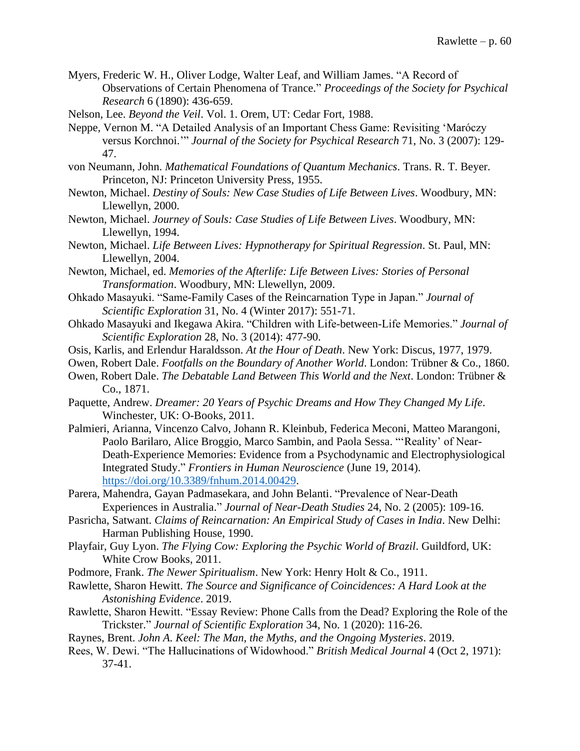- Myers, Frederic W. H., Oliver Lodge, Walter Leaf, and William James. "A Record of Observations of Certain Phenomena of Trance." *Proceedings of the Society for Psychical Research* 6 (1890): 436-659.
- Nelson, Lee. *Beyond the Veil*. Vol. 1. Orem, UT: Cedar Fort, 1988.
- Neppe, Vernon M. "A Detailed Analysis of an Important Chess Game: Revisiting 'Maróczy versus Korchnoi.'" *Journal of the Society for Psychical Research* 71, No. 3 (2007): 129- 47.
- von Neumann, John. *Mathematical Foundations of Quantum Mechanics*. Trans. R. T. Beyer. Princeton, NJ: Princeton University Press, 1955.
- Newton, Michael. *Destiny of Souls: New Case Studies of Life Between Lives*. Woodbury, MN: Llewellyn, 2000.
- Newton, Michael. *Journey of Souls: Case Studies of Life Between Lives*. Woodbury, MN: Llewellyn, 1994.
- Newton, Michael. *Life Between Lives: Hypnotherapy for Spiritual Regression*. St. Paul, MN: Llewellyn, 2004.
- Newton, Michael, ed. *Memories of the Afterlife: Life Between Lives: Stories of Personal Transformation*. Woodbury, MN: Llewellyn, 2009.
- Ohkado Masayuki. "Same-Family Cases of the Reincarnation Type in Japan." *Journal of Scientific Exploration* 31, No. 4 (Winter 2017): 551-71.
- Ohkado Masayuki and Ikegawa Akira. "Children with Life-between-Life Memories." *Journal of Scientific Exploration* 28, No. 3 (2014): 477-90.
- Osis, Karlis, and Erlendur Haraldsson. *At the Hour of Death*. New York: Discus, 1977, 1979.
- Owen, Robert Dale. *Footfalls on the Boundary of Another World*. London: Trübner & Co., 1860.
- Owen, Robert Dale. *The Debatable Land Between This World and the Next*. London: Trübner & Co., 1871.
- Paquette, Andrew. *Dreamer: 20 Years of Psychic Dreams and How They Changed My Life*. Winchester, UK: O-Books, 2011.
- Palmieri, Arianna, Vincenzo Calvo, Johann R. Kleinbub, Federica Meconi, Matteo Marangoni, Paolo Barilaro, Alice Broggio, Marco Sambin, and Paola Sessa. "'Reality' of Near-Death-Experience Memories: Evidence from a Psychodynamic and Electrophysiological Integrated Study." *Frontiers in Human Neuroscience* (June 19, 2014). [https://doi.org/10.3389/fnhum.2014.00429.](https://doi.org/10.3389/fnhum.2014.00429)
- Parera, Mahendra, Gayan Padmasekara, and John Belanti. "Prevalence of Near-Death Experiences in Australia." *Journal of Near-Death Studies* 24, No. 2 (2005): 109-16.
- Pasricha, Satwant. *Claims of Reincarnation: An Empirical Study of Cases in India*. New Delhi: Harman Publishing House, 1990.
- Playfair, Guy Lyon. *The Flying Cow: Exploring the Psychic World of Brazil*. Guildford, UK: White Crow Books, 2011.
- Podmore, Frank. *The Newer Spiritualism*. New York: Henry Holt & Co., 1911.
- Rawlette, Sharon Hewitt. *The Source and Significance of Coincidences: A Hard Look at the Astonishing Evidence*. 2019.
- Rawlette, Sharon Hewitt. "Essay Review: Phone Calls from the Dead? Exploring the Role of the Trickster." *Journal of Scientific Exploration* 34, No. 1 (2020): 116-26.
- Raynes, Brent. *John A. Keel: The Man, the Myths, and the Ongoing Mysteries*. 2019.
- Rees, W. Dewi. "The Hallucinations of Widowhood." *British Medical Journal* 4 (Oct 2, 1971): 37-41.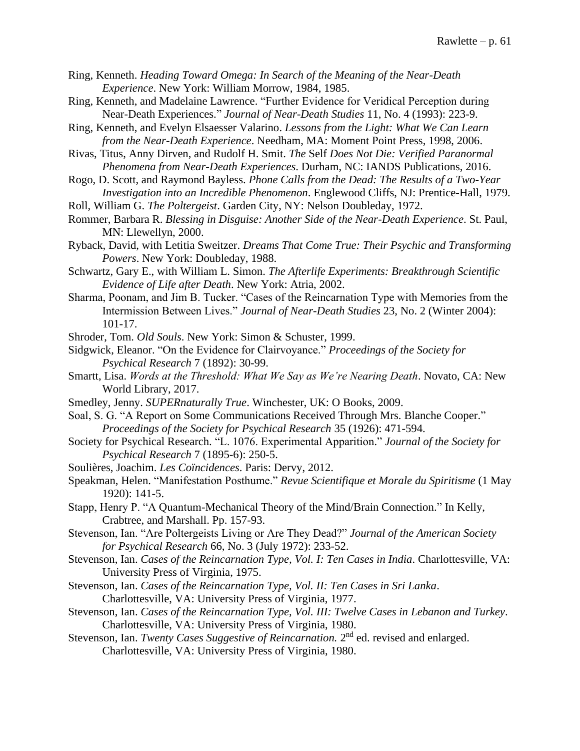- Ring, Kenneth. *Heading Toward Omega: In Search of the Meaning of the Near-Death Experience*. New York: William Morrow, 1984, 1985.
- Ring, Kenneth, and Madelaine Lawrence. "Further Evidence for Veridical Perception during Near-Death Experiences." *Journal of Near-Death Studies* 11, No. 4 (1993): 223-9.
- Ring, Kenneth, and Evelyn Elsaesser Valarino. *Lessons from the Light: What We Can Learn from the Near-Death Experience*. Needham, MA: Moment Point Press, 1998, 2006.
- Rivas, Titus, Anny Dirven, and Rudolf H. Smit. *The* Self *Does Not Die: Verified Paranormal Phenomena from Near-Death Experiences*. Durham, NC: IANDS Publications, 2016.
- Rogo, D. Scott, and Raymond Bayless. *Phone Calls from the Dead: The Results of a Two-Year Investigation into an Incredible Phenomenon*. Englewood Cliffs, NJ: Prentice-Hall, 1979.
- Roll, William G. *The Poltergeist*. Garden City, NY: Nelson Doubleday, 1972.
- Rommer, Barbara R. *Blessing in Disguise: Another Side of the Near-Death Experience*. St. Paul, MN: Llewellyn, 2000.
- Ryback, David, with Letitia Sweitzer. *Dreams That Come True: Their Psychic and Transforming Powers*. New York: Doubleday, 1988.
- Schwartz, Gary E., with William L. Simon. *The Afterlife Experiments: Breakthrough Scientific Evidence of Life after Death*. New York: Atria, 2002.
- Sharma, Poonam, and Jim B. Tucker. "Cases of the Reincarnation Type with Memories from the Intermission Between Lives." *Journal of Near-Death Studies* 23, No. 2 (Winter 2004): 101-17.
- Shroder, Tom. *Old Souls*. New York: Simon & Schuster, 1999.
- Sidgwick, Eleanor. "On the Evidence for Clairvoyance." *Proceedings of the Society for Psychical Research* 7 (1892): 30-99.
- Smartt, Lisa. *Words at the Threshold: What We Say as We're Nearing Death*. Novato, CA: New World Library, 2017.
- Smedley, Jenny. *SUPERnaturally True*. Winchester, UK: O Books, 2009.
- Soal, S. G. "A Report on Some Communications Received Through Mrs. Blanche Cooper." *Proceedings of the Society for Psychical Research* 35 (1926): 471-594.
- Society for Psychical Research. "L. 1076. Experimental Apparition." *Journal of the Society for Psychical Research* 7 (1895-6): 250-5.
- Soulières, Joachim. *Les Coïncidences*. Paris: Dervy, 2012.
- Speakman, Helen. "Manifestation Posthume." *Revue Scientifique et Morale du Spiritisme* (1 May 1920): 141-5.
- Stapp, Henry P. "A Quantum-Mechanical Theory of the Mind/Brain Connection." In Kelly, Crabtree, and Marshall. Pp. 157-93.
- Stevenson, Ian. "Are Poltergeists Living or Are They Dead?" *Journal of the American Society for Psychical Research* 66, No. 3 (July 1972): 233-52.
- Stevenson, Ian. *Cases of the Reincarnation Type, Vol. I: Ten Cases in India*. Charlottesville, VA: University Press of Virginia, 1975.
- Stevenson, Ian. *Cases of the Reincarnation Type, Vol. II: Ten Cases in Sri Lanka*. Charlottesville, VA: University Press of Virginia, 1977.
- Stevenson, Ian. *Cases of the Reincarnation Type, Vol. III: Twelve Cases in Lebanon and Turkey*. Charlottesville, VA: University Press of Virginia, 1980.
- Stevenson, Ian. *Twenty Cases Suggestive of Reincarnation*. 2<sup>nd</sup> ed. revised and enlarged. Charlottesville, VA: University Press of Virginia, 1980.